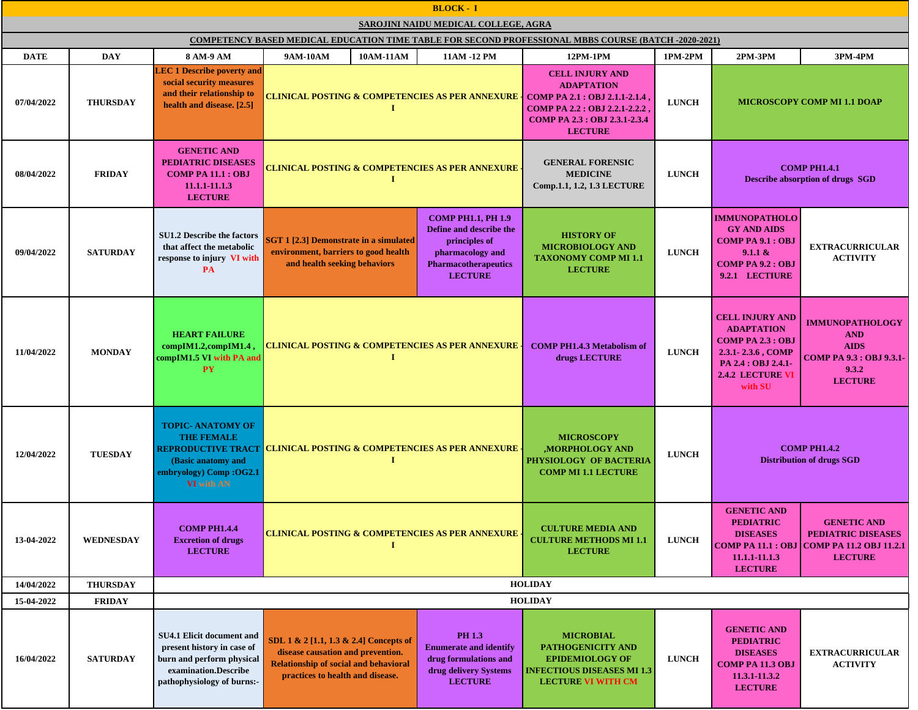| <b>BLOCK - I</b>                     |                  |                                                                                                                                                   |                                                                                                                                                                 |                                                                                                                                     |                                                                                                                                        |              |                                                                                                                                                             |                                                                                                            |  |
|--------------------------------------|------------------|---------------------------------------------------------------------------------------------------------------------------------------------------|-----------------------------------------------------------------------------------------------------------------------------------------------------------------|-------------------------------------------------------------------------------------------------------------------------------------|----------------------------------------------------------------------------------------------------------------------------------------|--------------|-------------------------------------------------------------------------------------------------------------------------------------------------------------|------------------------------------------------------------------------------------------------------------|--|
| SAROJINI NAIDU MEDICAL COLLEGE, AGRA |                  |                                                                                                                                                   |                                                                                                                                                                 |                                                                                                                                     |                                                                                                                                        |              |                                                                                                                                                             |                                                                                                            |  |
|                                      |                  |                                                                                                                                                   | <b>COMPETENCY BASED MEDICAL EDUCATION TIME TABLE FOR SECOND PROFESSIONAL MBBS COURSE (BATCH -2020-2021)</b>                                                     |                                                                                                                                     |                                                                                                                                        |              |                                                                                                                                                             |                                                                                                            |  |
| <b>DATE</b>                          | <b>DAY</b>       | 8 AM-9 AM                                                                                                                                         | 10AM-11AM<br><b>9AM-10AM</b>                                                                                                                                    | 11AM -12 PM                                                                                                                         | 12PM-1PM                                                                                                                               | 1PM-2PM      | 2PM-3PM                                                                                                                                                     | <b>3PM-4PM</b>                                                                                             |  |
| 07/04/2022                           | <b>THURSDAY</b>  | <b>LEC 1 Describe poverty and</b><br>social security measures<br>and their relationship to<br>health and disease. [2.5]                           | <b>CLINICAL POSTING &amp; COMPETENCIES AS PER ANNEXURE   COMP PA 2.1 : OBJ 2.1.1-2.1.4</b>                                                                      |                                                                                                                                     | <b>CELL INJURY AND</b><br><b>ADAPTATION</b><br><b>COMP PA 2.2 : OBJ 2.2.1-2.2.2</b><br>COMP PA 2.3 : OBJ 2.3.1-2.3.4<br><b>LECTURE</b> | <b>LUNCH</b> |                                                                                                                                                             | <b>MICROSCOPY COMP MI 1.1 DOAP</b>                                                                         |  |
| 08/04/2022                           | <b>FRIDAY</b>    | <b>GENETIC AND</b><br><b>PEDIATRIC DISEASES</b><br><b>COMP PA 11.1 : OBJ</b><br>11.1.1-11.1.3<br><b>LECTURE</b>                                   | Т                                                                                                                                                               | CLINICAL POSTING & COMPETENCIES AS PER ANNEXURE <sub>:</sub><br>Comp.1.1, 1.2, 1.3 LECTURE                                          |                                                                                                                                        |              |                                                                                                                                                             | <b>COMP PH1.4.1</b><br><b>Describe absorption of drugs SGD</b>                                             |  |
| 09/04/2022                           | <b>SATURDAY</b>  | <b>SU1.2 Describe the factors</b><br>that affect the metabolic<br>response to injury VI with<br>PA                                                | <b>SGT 1 [2.3] Demonstrate in a simulated</b><br>environment, barriers to good health<br>and health seeking behaviors                                           | <b>COMP PH1.1, PH 1.9</b><br>Define and describe the<br>principles of<br>pharmacology and<br>Pharmacotherapeutics<br><b>LECTURE</b> | <b>HISTORY OF</b><br><b>MICROBIOLOGY AND</b><br><b>TAXONOMY COMP MI 1.1</b><br><b>LECTURE</b>                                          | <b>LUNCH</b> | <b>IMMUNOPATHOLO</b><br><b>GY AND AIDS</b><br><b>COMP PA 9.1 : OBJ</b><br>$9.1.1 \&$<br><b>COMP PA 9.2 : OBJ</b><br>9.2.1 LECTIURE                          | <b>EXTRACURRICULAR</b><br><b>ACTIVITY</b>                                                                  |  |
| 11/04/2022                           | <b>MONDAY</b>    | <b>HEART FAILURE</b><br>compIM1.2,compIM1.4,<br>compIM1.5 VI with PA and<br><b>PY</b>                                                             | $\bf{I}$                                                                                                                                                        | <b>CLINICAL POSTING &amp; COMPETENCIES AS PER ANNEXURE</b><br><b>COMP PH1.4.3 Metabolism of</b>                                     |                                                                                                                                        | <b>LUNCH</b> | <b>CELL INJURY AND</b><br><b>ADAPTATION</b><br><b>COMP PA 2.3 : OBJ</b><br>2.3.1 - 2.3.6, COMP<br>PA 2.4 : OBJ 2.4.1-<br><b>2.4.2 LECTURE VI</b><br>with SU | <b>IMMUNOPATHOLOGY</b><br><b>AND</b><br><b>AIDS</b><br>COMP PA 9.3 : OBJ 9.3.1-<br>9.3.2<br><b>LECTURE</b> |  |
| 12/04/2022                           | <b>TUESDAY</b>   | <b>TOPIC- ANATOMY OF</b><br><b>THE FEMALE</b><br>(Basic anatomy and<br>embryology) Comp: OG2.1<br><b>VI</b> with AN                               | 1                                                                                                                                                               |                                                                                                                                     | <b>MICROSCOPY</b><br><b>MORPHOLOGY AND</b><br>PHYSIOLOGY OF BACTERIA<br><b>COMP MI 1.1 LECTURE</b>                                     | <b>LUNCH</b> |                                                                                                                                                             | <b>COMP PH1.4.2</b><br><b>Distribution of drugs SGD</b>                                                    |  |
| 13-04-2022                           | <b>WEDNESDAY</b> | <b>COMP PH1.4.4</b><br><b>Excretion of drugs</b><br><b>LECTURE</b>                                                                                | CLINICAL POSTING & COMPETENCIES AS PER ANNEXURE -                                                                                                               |                                                                                                                                     | <b>CULTURE MEDIA AND</b><br><b>CULTURE METHODS MI 1.1</b><br><b>LECTURE</b>                                                            | <b>LUNCH</b> | <b>GENETIC AND</b><br><b>PEDIATRIC</b><br><b>DISEASES</b><br><b>COMP PA 11.1 : OBJ</b><br>11.1.1-11.1.3<br><b>LECTURE</b>                                   | <b>GENETIC AND</b><br>PEDIATRIC DISEASES<br><b>COMP PA 11.2 OBJ 11.2.1</b><br><b>LECTURE</b>               |  |
| 14/04/2022                           | <b>THURSDAY</b>  |                                                                                                                                                   |                                                                                                                                                                 |                                                                                                                                     | <b>HOLIDAY</b>                                                                                                                         |              |                                                                                                                                                             |                                                                                                            |  |
| 15-04-2022                           | <b>FRIDAY</b>    |                                                                                                                                                   |                                                                                                                                                                 |                                                                                                                                     | <b>HOLIDAY</b>                                                                                                                         |              |                                                                                                                                                             |                                                                                                            |  |
| 16/04/2022                           | <b>SATURDAY</b>  | <b>SU4.1 Elicit document and</b><br>present history in case of<br>burn and perform physical<br>examination.Describe<br>pathophysiology of burns:- | SDL 1 & 2 [1.1, 1.3 & 2.4] Concepts of<br>disease causation and prevention.<br><b>Relationship of social and behavioral</b><br>practices to health and disease. | PH 1.3<br><b>Enumerate and identify</b><br>drug formulations and<br>drug delivery Systems<br><b>LECTURE</b>                         | <b>MICROBIAL</b><br>PATHOGENICITY AND<br><b>EPIDEMIOLOGY OF</b><br><b>INFECTIOUS DISEASES MI 1.3</b><br><b>LECTURE VI WITH CM</b>      | <b>LUNCH</b> | <b>GENETIC AND</b><br><b>PEDIATRIC</b><br><b>DISEASES</b><br><b>COMP PA 11.3 OBJ</b><br>11.3.1-11.3.2<br><b>LECTURE</b>                                     | <b>EXTRACURRICULAR</b><br><b>ACTIVITY</b>                                                                  |  |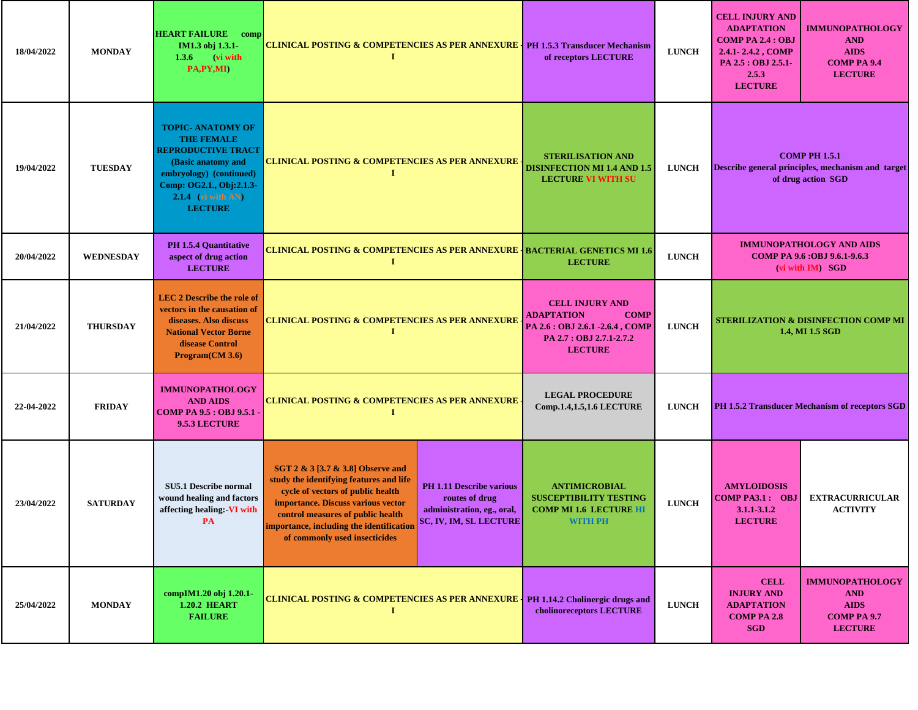| 18/04/2022 | <b>MONDAY</b>    | <b>HEART FAILURE</b> comp<br>IM1.3 obj 1.3.1-<br>$1.3.6$ (vi with<br>PA,PY,MI)                                                                                                                    | <b>CLINICAL POSTING &amp; COMPETENCIES AS PER ANNEXURE   PH 1.5.3 Transducer Mechanism</b><br>Т                                                                                                                                                                                                 |                                                                                 | of receptors LECTURE                                                                                                                        | <b>LUNCH</b> | <b>CELL INJURY AND</b><br><b>ADAPTATION</b><br><b>COMP PA 2.4 : OBJ</b><br>2.4.1-2.4.2, COMP<br>PA 2.5 : OBJ 2.5.1-<br>2.5.3<br><b>LECTURE</b> | <b>IMMUNOPATHOLOGY</b><br><b>AND</b><br><b>AIDS</b><br><b>COMP PA 9.4</b><br><b>LECTURE</b>     |
|------------|------------------|---------------------------------------------------------------------------------------------------------------------------------------------------------------------------------------------------|-------------------------------------------------------------------------------------------------------------------------------------------------------------------------------------------------------------------------------------------------------------------------------------------------|---------------------------------------------------------------------------------|---------------------------------------------------------------------------------------------------------------------------------------------|--------------|------------------------------------------------------------------------------------------------------------------------------------------------|-------------------------------------------------------------------------------------------------|
| 19/04/2022 | <b>TUESDAY</b>   | <b>TOPIC- ANATOMY OF</b><br><b>THE FEMALE</b><br><b>REPRODUCTIVE TRACT</b><br>(Basic anatomy and<br>embryology) (continued)<br>Comp: OG2.1., Obj:2.1.3-<br>$2.1.4$ (vi with AN)<br><b>LECTURE</b> | <u>CLINICAL POSTING &amp; COMPETENCIES AS PER ANNEXURE</u><br>Т                                                                                                                                                                                                                                 |                                                                                 | <b>STERILISATION AND</b><br><b>DISINFECTION MI 1.4 AND 1.5</b><br><b>LECTURE VI WITH SU</b>                                                 | <b>LUNCH</b> |                                                                                                                                                | <b>COMP PH 1.5.1</b><br>Describe general principles, mechanism and target<br>of drug action SGD |
| 20/04/2022 | <b>WEDNESDAY</b> | PH 1.5.4 Quantitative<br>aspect of drug action<br><b>LECTURE</b>                                                                                                                                  | <b>CLINICAL POSTING &amp; COMPETENCIES AS PER ANNEXURE   BACTERIAL GENETICS MI 1.6</b>                                                                                                                                                                                                          |                                                                                 | <b>LECTURE</b>                                                                                                                              | <b>LUNCH</b> |                                                                                                                                                | <b>IMMUNOPATHOLOGY AND AIDS</b><br>COMP PA 9.6 : OBJ 9.6.1-9.6.3<br>(vi with IM) SGD            |
| 21/04/2022 | <b>THURSDAY</b>  | <b>LEC 2 Describe the role of</b><br>vectors in the causation of<br>diseases. Also discuss<br><b>National Vector Borne</b><br>disease Control<br>Program(CM 3.6)                                  | <b>CLINICAL POSTING &amp; COMPETENCIES AS PER ANNEXURE</b><br>п                                                                                                                                                                                                                                 |                                                                                 | <b>CELL INJURY AND</b><br><b>ADAPTATION</b><br><b>COMP</b><br>PA 2.6 : OBJ 2.6.1 -2.6.4, COMP<br>PA 2.7 : OBJ 2.7.1-2.7.2<br><b>LECTURE</b> | <b>LUNCH</b> | <b>STERILIZATION &amp; DISINFECTION COMP MI</b><br>1.4, MI 1.5 SGD                                                                             |                                                                                                 |
| 22-04-2022 | <b>FRIDAY</b>    | <b>IMMUNOPATHOLOGY</b><br><b>AND AIDS</b><br>COMP PA 9.5 : OBJ 9.5.1 ·<br>9.5.3 LECTURE                                                                                                           | <b>CLINICAL POSTING &amp; COMPETENCIES AS PER ANNEXURE</b><br>Т                                                                                                                                                                                                                                 |                                                                                 | <b>LEGAL PROCEDURE</b><br>Comp.1.4,1.5,1.6 LECTURE                                                                                          | <b>LUNCH</b> |                                                                                                                                                | PH 1.5.2 Transducer Mechanism of receptors SGD                                                  |
| 23/04/2022 | <b>SATURDAY</b>  | <b>SU5.1 Describe normal</b><br>wound healing and factors<br>affecting healing:-VI with<br>PA                                                                                                     | SGT 2 & 3 [3.7 & 3.8] Observe and<br>study the identifying features and life<br>cycle of vectors of public health<br>importance. Discuss various vector<br>control measures of public health<br>mportance, including the identification SC, IV, IM, SL LECTURE<br>of commonly used insecticides | <b>PH 1.11 Describe various</b><br>routes of drug<br>administration, eg., oral, | <b>ANTIMICROBIAL</b><br><b>SUSCEPTIBILITY TESTING</b><br><b>COMP MI 1.6 LECTURE HI</b><br><b>WITH PH</b>                                    | <b>LUNCH</b> | <b>AMYLOIDOSIS</b><br><b>COMP PA3.1: OBJ</b><br>$3.1.1 - 3.1.2$<br><b>LECTURE</b>                                                              | <b>EXTRACURRICULAR</b><br><b>ACTIVITY</b>                                                       |
| 25/04/2022 | <b>MONDAY</b>    | compIM1.20 obj 1.20.1-<br><b>1.20.2 HEART</b><br><b>FAILURE</b>                                                                                                                                   | CLINICAL POSTING & COMPETENCIES AS PER ANNEXURE   PH 1.14.2 Cholinergic drugs and<br>1                                                                                                                                                                                                          |                                                                                 | cholinoreceptors LECTURE                                                                                                                    | <b>LUNCH</b> | <b>CELL</b><br><b>INJURY AND</b><br><b>ADAPTATION</b><br><b>COMP PA 2.8</b><br><b>SGD</b>                                                      | <b>IMMUNOPATHOLOGY</b><br><b>AND</b><br><b>AIDS</b><br><b>COMP PA 9.7</b><br><b>LECTURE</b>     |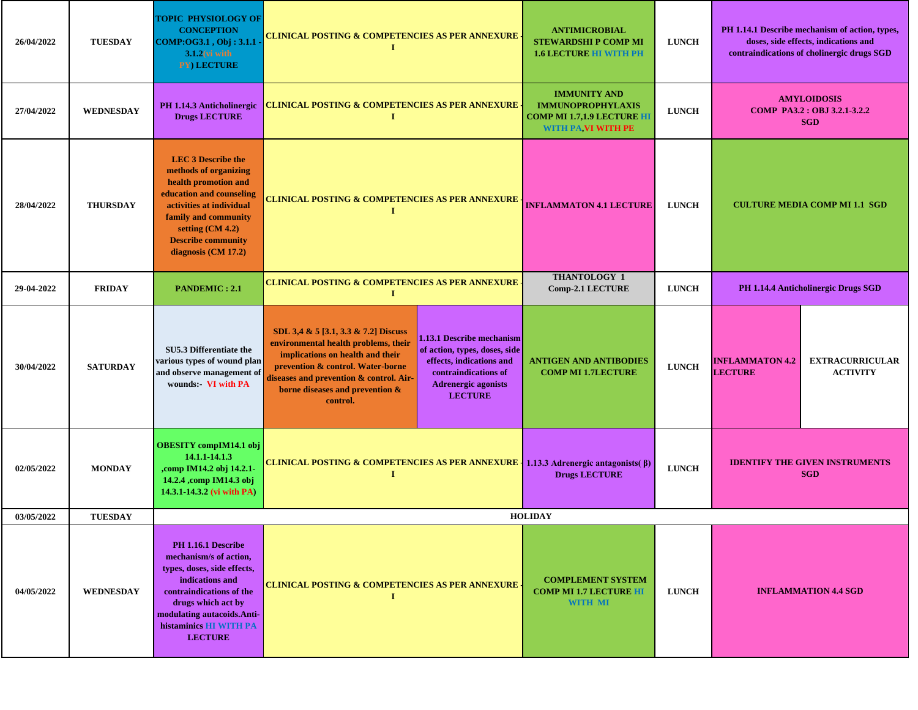| 26/04/2022 | <b>TUESDAY</b>   | <b>TOPIC PHYSIOLOGY OF</b><br><b>CONCEPTION</b><br>COMP:OG3.1, Obj: 3.1.1<br>$3.1.2$ (vi with<br>PY) LECTURE                                                                                                                         | CLINICAL POSTING & COMPETENCIES AS PER ANNEXURE <sub>:</sub><br>I                                                                                                                                                                                                                                                                                                                                                 |  | <b>ANTIMICROBIAL</b><br><b>STEWARDSHI P COMP MI</b><br><b>1.6 LECTURE HI WITH PH</b>                       | <b>LUNCH</b> |                                          | PH 1.14.1 Describe mechanism of action, types,<br>doses, side effects, indications and<br>contraindications of cholinergic drugs SGD |
|------------|------------------|--------------------------------------------------------------------------------------------------------------------------------------------------------------------------------------------------------------------------------------|-------------------------------------------------------------------------------------------------------------------------------------------------------------------------------------------------------------------------------------------------------------------------------------------------------------------------------------------------------------------------------------------------------------------|--|------------------------------------------------------------------------------------------------------------|--------------|------------------------------------------|--------------------------------------------------------------------------------------------------------------------------------------|
| 27/04/2022 | <b>WEDNESDAY</b> | PH 1.14.3 Anticholinergic<br><b>Drugs LECTURE</b>                                                                                                                                                                                    | <b>CLINICAL POSTING &amp; COMPETENCIES AS PER ANNEXURE</b><br>1                                                                                                                                                                                                                                                                                                                                                   |  | <b>IMMUNITY AND</b><br><b>IMMUNOPROPHYLAXIS</b><br><b>COMP MI 1.7,1.9 LECTURE HI</b><br>WITH PA VI WITH PE | <b>LUNCH</b> |                                          | <b>AMYLOIDOSIS</b><br>COMP PA3.2 : OBJ 3.2.1-3.2.2<br><b>SGD</b>                                                                     |
| 28/04/2022 | <b>THURSDAY</b>  | <b>LEC 3 Describe the</b><br>methods of organizing<br>health promotion and<br>education and counseling<br>activities at individual<br>family and community<br>setting $(CM 4.2)$<br><b>Describe community</b><br>diagnosis (CM 17.2) | <b>CLINICAL POSTING &amp; COMPETENCIES AS PER ANNEXURE</b>                                                                                                                                                                                                                                                                                                                                                        |  | <b>INFLAMMATON 4.1 LECTURE</b>                                                                             | <b>LUNCH</b> | <b>CULTURE MEDIA COMP MI 1.1 SGD</b>     |                                                                                                                                      |
| 29-04-2022 | <b>FRIDAY</b>    | <b>PANDEMIC: 2.1</b>                                                                                                                                                                                                                 | <b>CLINICAL POSTING &amp; COMPETENCIES AS PER ANNEXURE</b>                                                                                                                                                                                                                                                                                                                                                        |  | <b>THANTOLOGY 1</b><br><b>Comp-2.1 LECTURE</b>                                                             | <b>LUNCH</b> |                                          | PH 1.14.4 Anticholinergic Drugs SGD                                                                                                  |
| 30/04/2022 | <b>SATURDAY</b>  | SU5.3 Differentiate the<br>various types of wound plan<br>and observe management of<br>wounds: VI with PA                                                                                                                            | SDL 3,4 & 5 [3.1, 3.3 & 7.2] Discuss<br>1.13.1 Describe mechanism<br>environmental health problems, their<br>of action, types, doses, side<br>implications on health and their<br>effects, indications and<br>prevention & control. Water-borne<br>contraindications of<br>diseases and prevention & control. Air-<br><b>Adrenergic agonists</b><br>borne diseases and prevention &<br><b>LECTURE</b><br>control. |  | <b>ANTIGEN AND ANTIBODIES</b><br><b>COMP MI 1.7LECTURE</b>                                                 | <b>LUNCH</b> | <b>INFLAMMATON 4.2</b><br><b>LECTURE</b> | <b>EXTRACURRICULAR</b><br><b>ACTIVITY</b>                                                                                            |
| 02/05/2022 | <b>MONDAY</b>    | <b>OBESITY</b> compIM14.1 obj<br>14.1.1-14.1.3<br>,comp IM14.2 obj 14.2.1-<br>14.2.4 , comp IM14.3 obj<br>14.3.1-14.3.2 (vi with PA)                                                                                                 | CLINICAL POSTING & COMPETENCIES AS PER ANNEXURE   1.13.3 Adrenergic antagonists( $\beta$ )<br>$\mathbf I$                                                                                                                                                                                                                                                                                                         |  | <b>Drugs LECTURE</b>                                                                                       | <b>LUNCH</b> |                                          | <b>IDENTIFY THE GIVEN INSTRUMENTS</b><br><b>SGD</b>                                                                                  |
| 03/05/2022 | <b>TUESDAY</b>   |                                                                                                                                                                                                                                      |                                                                                                                                                                                                                                                                                                                                                                                                                   |  | <b>HOLIDAY</b>                                                                                             |              |                                          |                                                                                                                                      |
| 04/05/2022 | WEDNESDAY        | PH 1.16.1 Describe<br>mechanism/s of action,<br>types, doses, side effects,<br>indications and<br>contraindications of the<br>drugs which act by<br>modulating autacoids.Anti-<br>histaminics HI WITH PA<br><b>LECTURE</b>           | <b>CLINICAL POSTING &amp; COMPETENCIES AS PER ANNEXURE.</b><br>1                                                                                                                                                                                                                                                                                                                                                  |  | <b>COMPLEMENT SYSTEM</b><br><b>COMP MI 1.7 LECTURE HI</b><br><b>WITH MI</b>                                | <b>LUNCH</b> | <b>INFLAMMATION 4.4 SGD</b>              |                                                                                                                                      |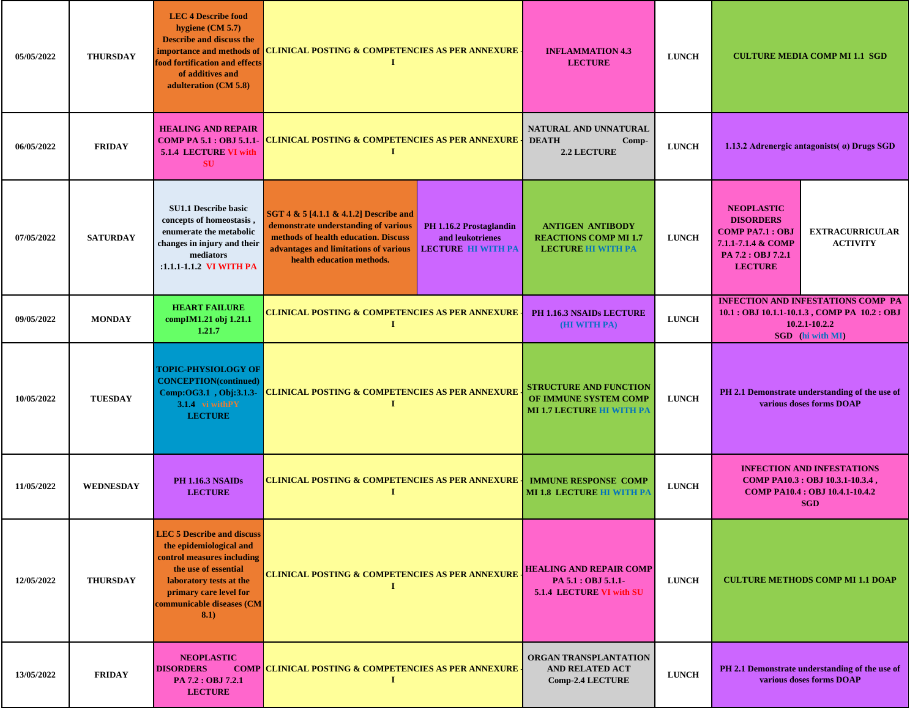| 05/05/2022 | <b>THURSDAY</b>  | <b>LEC 4 Describe food</b><br>hygiene $(CM 5.7)$<br><b>Describe and discuss the</b><br>food fortification and effects<br>of additives and<br>adulteration (CM 5.8)                                           | importance and methods of CLINICAL POSTING & COMPETENCIES AS PER ANNEXURE<br>$\bf{I}$                                                                                                                                                                                    | <b>INFLAMMATION 4.3</b><br><b>LECTURE</b>                                                  | <b>LUNCH</b> | <b>CULTURE MEDIA COMP MI 1.1 SGD</b>                                                                                                      |                                                                            |
|------------|------------------|--------------------------------------------------------------------------------------------------------------------------------------------------------------------------------------------------------------|--------------------------------------------------------------------------------------------------------------------------------------------------------------------------------------------------------------------------------------------------------------------------|--------------------------------------------------------------------------------------------|--------------|-------------------------------------------------------------------------------------------------------------------------------------------|----------------------------------------------------------------------------|
| 06/05/2022 | <b>FRIDAY</b>    | <b>HEALING AND REPAIR</b><br><b>COMP PA 5.1 : OBJ 5.1.1-</b><br><b>5.1.4 LECTURE VI with</b><br><b>SU</b>                                                                                                    | <b>CLINICAL POSTING &amp; COMPETENCIES AS PER ANNEXURE</b><br>-1                                                                                                                                                                                                         | NATURAL AND UNNATURAL<br><b>DEATH</b><br>$Comp-$<br><b>2.2 LECTURE</b>                     | <b>LUNCH</b> |                                                                                                                                           | 1.13.2 Adrenergic antagonists ( $\alpha$ ) Drugs SGD                       |
| 07/05/2022 | <b>SATURDAY</b>  | <b>SU1.1 Describe basic</b><br>concepts of homeostasis,<br>enumerate the metabolic<br>changes in injury and their<br>mediators<br>:1.1.1-1.1.2 VI WITH PA                                                    | SGT 4 & 5 [4.1.1 & 4.1.2] Describe and<br>demonstrate understanding of various<br>PH 1.16.2 Prostaglandin<br>methods of health education. Discuss<br>and leukotrienes<br>advantages and limitations of various<br><b>LECTURE HI WITH PA</b><br>health education methods. | <b>ANTIGEN ANTIBODY</b><br><b>REACTIONS COMP MI 1.7</b><br><b>LECTURE HI WITH PA</b>       | <b>LUNCH</b> | <b>NEOPLASTIC</b><br><b>DISORDERS</b><br><b>COMP PA7.1: OBJ</b><br>7.1.1-7.1.4 & COMP<br>PA 7.2 : OBJ 7.2.1<br><b>LECTURE</b>             | <b>EXTRACURRICULAR</b><br><b>ACTIVITY</b>                                  |
| 09/05/2022 | <b>MONDAY</b>    | <b>HEART FAILURE</b><br>compIM1.21 obj 1.21.1<br>1.21.7                                                                                                                                                      | <b>CLINICAL POSTING &amp; COMPETENCIES AS PER ANNEXURE</b><br>п                                                                                                                                                                                                          | PH 1.16.3 NSAIDs LECTURE<br><b>(HI WITH PA)</b>                                            | <b>LUNCH</b> | <b>INFECTION AND INFESTATIONS COMP PA</b><br>10.1 : OBJ 10.1.1-10.1.3, COMP PA 10.2 : OBJ<br>$10.2.1 - 10.2.2$<br><b>SGD</b> (hi with MI) |                                                                            |
| 10/05/2022 | <b>TUESDAY</b>   | <b>TOPIC-PHYSIOLOGY OF</b><br><b>CONCEPTION(continued)</b><br>Comp:OG3.1, Obj:3.1.3-<br>3.1.4 vi withPY<br><b>LECTURE</b>                                                                                    | <b>CLINICAL POSTING &amp; COMPETENCIES AS PER ANNEXURE</b>                                                                                                                                                                                                               | <b>STRUCTURE AND FUNCTION</b><br>OF IMMUNE SYSTEM COMP<br><b>MI 1.7 LECTURE HI WITH PA</b> | <b>LUNCH</b> | PH 2.1 Demonstrate understanding of the use of<br>various doses forms DOAP                                                                |                                                                            |
| 11/05/2022 | <b>WEDNESDAY</b> | <b>PH 1.16.3 NSAIDs</b><br><b>LECTURE</b>                                                                                                                                                                    | <b>CLINICAL POSTING &amp; COMPETENCIES AS PER ANNEXURE .</b><br>1                                                                                                                                                                                                        | <b>IMMUNE RESPONSE COMP</b><br><b>MI 1.8 LECTURE HI WITH PA</b>                            | <b>LUNCH</b> | <b>INFECTION AND INFESTATIONS</b><br>COMP PA10.3 : OBJ 10.3.1-10.3.4,<br><b>COMP PA10.4 : OBJ 10.4.1-10.4.2</b><br><b>SGD</b>             |                                                                            |
| 12/05/2022 | <b>THURSDAY</b>  | <b>LEC 5 Describe and discuss</b><br>the epidemiological and<br>control measures including<br>the use of essential<br>laboratory tests at the<br>primary care level for<br>communicable diseases (CM<br>8.1) | <b>CLINICAL POSTING &amp; COMPETENCIES AS PER ANNEXURE</b>                                                                                                                                                                                                               | <b>HEALING AND REPAIR COMP</b><br>PA 5.1 : OBJ 5.1.1-<br>5.1.4 LECTURE VI with SU          | <b>LUNCH</b> |                                                                                                                                           | <b>CULTURE METHODS COMP MI 1.1 DOAP</b>                                    |
| 13/05/2022 | <b>FRIDAY</b>    | <b>NEOPLASTIC</b><br><b>DISORDERS</b><br>PA 7.2 : OBJ 7.2.1<br><b>LECTURE</b>                                                                                                                                | <b>COMP CLINICAL POSTING &amp; COMPETENCIES AS PER ANNEXURE.</b><br>-1                                                                                                                                                                                                   | ORGAN TRANSPLANTATION<br><b>AND RELATED ACT</b><br><b>Comp-2.4 LECTURE</b>                 | <b>LUNCH</b> |                                                                                                                                           | PH 2.1 Demonstrate understanding of the use of<br>various doses forms DOAP |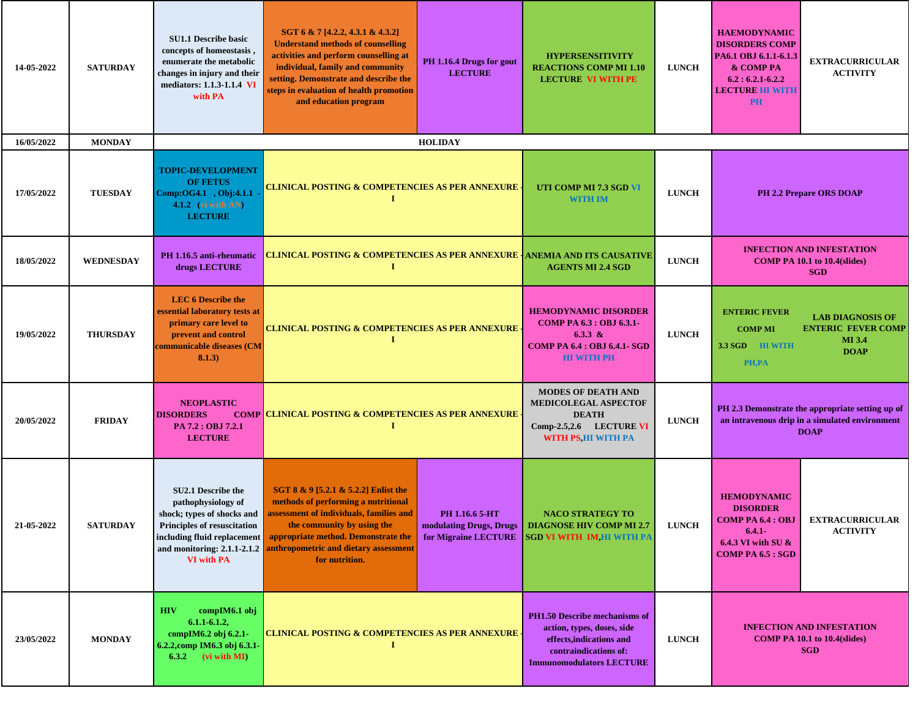| 14-05-2022 | <b>SATURDAY</b>  | <b>SU1.1 Describe basic</b><br>concepts of homeostasis,<br>enumerate the metabolic<br>changes in injury and their<br>mediators: 1.1.3-1.1.4 VI<br>with PA                                              | SGT 6 & 7 [4.2.2, 4.3.1 & 4.3.2]<br><b>Understand methods of counselling</b><br>activities and perform counselling at<br>individual, family and community<br>setting. Demonstrate and describe the<br>steps in evaluation of health promotion<br>and education program | PH 1.16.4 Drugs for gout<br><b>LECTURE</b>                                                                                       | <b>HYPERSENSITIVITY</b><br><b>REACTIONS COMP MI 1.10</b><br><b>LECTURE VI WITH PE</b>                                                               | <b>LUNCH</b> | <b>HAEMODYNAMIC</b><br><b>DISORDERS COMP</b><br>PA6.1 OBJ 6.1.1-6.1.3<br>& COMP PA<br>$6.2:6.2.1-6.2.2$<br><b>LECTURE HI WITH</b><br><b>PH</b> | <b>EXTRACURRICULAR</b><br><b>ACTIVITY</b>                                                                         |
|------------|------------------|--------------------------------------------------------------------------------------------------------------------------------------------------------------------------------------------------------|------------------------------------------------------------------------------------------------------------------------------------------------------------------------------------------------------------------------------------------------------------------------|----------------------------------------------------------------------------------------------------------------------------------|-----------------------------------------------------------------------------------------------------------------------------------------------------|--------------|------------------------------------------------------------------------------------------------------------------------------------------------|-------------------------------------------------------------------------------------------------------------------|
| 16/05/2022 | <b>MONDAY</b>    |                                                                                                                                                                                                        |                                                                                                                                                                                                                                                                        | <b>HOLIDAY</b>                                                                                                                   |                                                                                                                                                     |              |                                                                                                                                                |                                                                                                                   |
| 17/05/2022 | <b>TUESDAY</b>   | <b>TOPIC-DEVELOPMENT</b><br><b>OF FETUS</b><br>Comp:OG4.1, Obj:4.1.1<br>4.1.2 (vi with AN)<br><b>LECTURE</b>                                                                                           | -1                                                                                                                                                                                                                                                                     | CLINICAL POSTING & COMPETENCIES AS PER ANNEXURE<br>UTI COMP MI 7.3 SGD VI                                                        |                                                                                                                                                     | <b>LUNCH</b> | PH 2.2 Prepare ORS DOAP                                                                                                                        |                                                                                                                   |
| 18/05/2022 | <b>WEDNESDAY</b> | PH 1.16.5 anti-rheumatic<br>drugs LECTURE                                                                                                                                                              | 1                                                                                                                                                                                                                                                                      | <u>CLINICAL POSTING &amp; COMPETENCIES AS PER ANNEXURE   ANEMIA AND ITS CAUSATIVE</u>                                            |                                                                                                                                                     | <b>LUNCH</b> |                                                                                                                                                | <b>INFECTION AND INFESTATION</b><br>COMP PA $10.1$ to $10.4$ (slides)<br><b>SGD</b>                               |
| 19/05/2022 | <b>THURSDAY</b>  | <b>LEC 6 Describe the</b><br>essential laboratory tests at<br>primary care level to<br>prevent and control<br>communicable diseases (CM<br>8.1.3)                                                      | Т                                                                                                                                                                                                                                                                      | <b>HEMODYNAMIC DISORDER</b><br><b>CLINICAL POSTING &amp; COMPETENCIES AS PER ANNEXURE</b><br><b>COMP PA 6.4 : OBJ 6.4.1- SGD</b> |                                                                                                                                                     | <b>LUNCH</b> | <b>ENTERIC FEVER</b><br><b>COMP MI</b><br>3.3 SGD HI WITH<br>PH,PA                                                                             | <b>LAB DIAGNOSIS OF</b><br><b>ENTERIC FEVER COMP</b><br><b>MI</b> 3.4<br><b>DOAP</b>                              |
| 20/05/2022 | <b>FRIDAY</b>    | <b>NEOPLASTIC</b><br><b>DISORDERS</b><br>PA 7.2 : OBJ 7.2.1<br><b>LECTURE</b>                                                                                                                          | <b>COMP CLINICAL POSTING &amp; COMPETENCIES AS PER ANNEXURE</b><br>$\bf{I}$                                                                                                                                                                                            |                                                                                                                                  | <b>MODES OF DEATH AND</b><br>MEDICOLEGAL ASPECTOF<br><b>DEATH</b><br>Comp-2.5,2.6 LECTURE VI<br>WITH PS, HI WITH PA                                 | <b>LUNCH</b> |                                                                                                                                                | PH 2.3 Demonstrate the appropriate setting up of<br>an intravenous drip in a simulated environment<br><b>DOAP</b> |
| 21-05-2022 | <b>SATURDAY</b>  | <b>SU2.1 Describe the</b><br>pathophysiology of<br>shock; types of shocks and<br><b>Principles of resuscitation</b><br>including fluid replacement<br>and monitoring: 2.1.1-2.1.2<br><b>VI</b> with PA | SGT 8 & 9 [5.2.1 & 5.2.2] Enlist the<br>methods of performing a nutritional<br>assessment of individuals, families and<br>the community by using the<br>appropriate method. Demonstrate the<br>anthropometric and dietary assessment<br>for nutrition.                 | PH 1.16.6 5-HT<br>modulating Drugs, Drugs<br>for Migraine LECTURE                                                                | <b>NACO STRATEGY TO</b><br><b>DIAGNOSE HIV COMP MI 2.7</b><br><b>SGD VI WITH IM, HI WITH PA</b>                                                     | <b>LUNCH</b> | <b>HEMODYNAMIC</b><br><b>DISORDER</b><br>COMP PA $6.4:$ OBJ<br>$6.4.1 -$<br>6.4.3 VI with SU &<br><b>COMP PA 6.5 : SGD</b>                     | <b>EXTRACURRICULAR</b><br><b>ACTIVITY</b>                                                                         |
| 23/05/2022 | <b>MONDAY</b>    | compIM6.1 obj<br><b>HIV</b><br>$6.1.1 - 6.1.2$ ,<br>compIM6.2 obj 6.2.1-<br>6.2.2, comp IM6.3 obj 6.3.1-<br>$6.3.2$ (vi with MI)                                                                       | <b>CLINICAL POSTING &amp; COMPETENCIES AS PER ANNEXURE</b><br>Т                                                                                                                                                                                                        |                                                                                                                                  | PH1.50 Describe mechanisms of<br>action, types, doses, side<br>effects, indications and<br>contraindications of:<br><b>Immunomodulators LECTURE</b> | <b>LUNCH</b> |                                                                                                                                                | <b>INFECTION AND INFESTATION</b><br><b>COMP PA 10.1 to 10.4 (slides)</b><br><b>SGD</b>                            |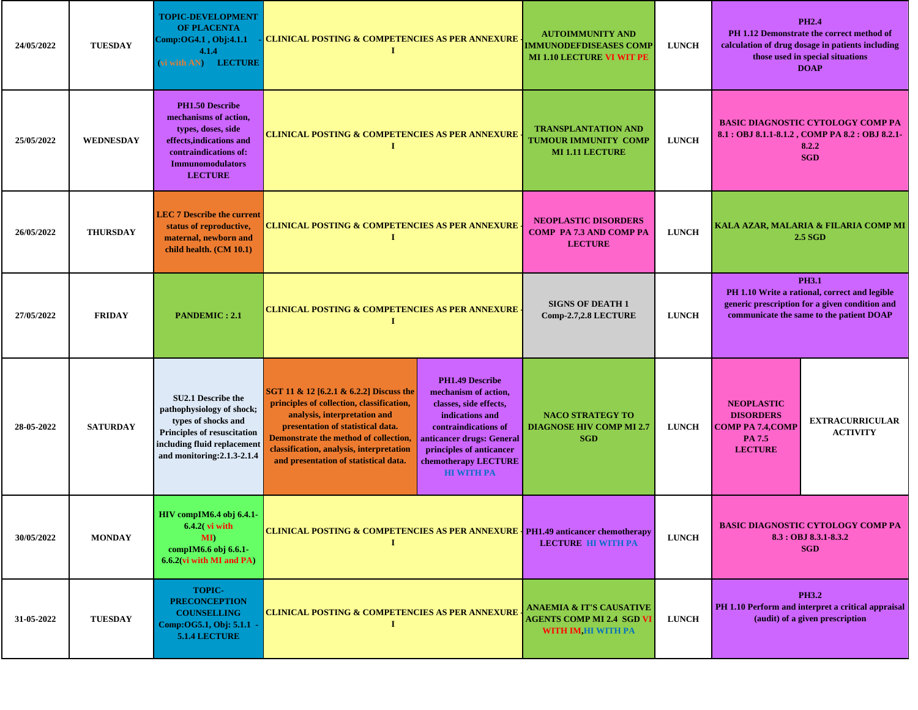| 24/05/2022 | <b>TUESDAY</b>   | <b>TOPIC-DEVELOPMENT</b><br><b>OF PLACENTA</b><br>Comp:OG4.1, Obj:4.1.1<br>4.1.4<br>(vi with AN) LECTURE                                                                   | <b>CLINICAL POSTING &amp; COMPETENCIES AS PER ANNEXURE</b><br>$\mathbf I$                                                                                                                                                                                                                                                                                                                                                                                                                                            | <b>AUTOIMMUNITY AND</b><br><b>IMMUNODEFDISEASES COMP</b><br><b>MI 1.10 LECTURE VI WIT PE</b>   | <b>LUNCH</b> |                                                                                                                                                             | <b>PH2.4</b><br>PH 1.12 Demonstrate the correct method of<br>calculation of drug dosage in patients including<br>those used in special situations<br><b>DOAP</b> |
|------------|------------------|----------------------------------------------------------------------------------------------------------------------------------------------------------------------------|----------------------------------------------------------------------------------------------------------------------------------------------------------------------------------------------------------------------------------------------------------------------------------------------------------------------------------------------------------------------------------------------------------------------------------------------------------------------------------------------------------------------|------------------------------------------------------------------------------------------------|--------------|-------------------------------------------------------------------------------------------------------------------------------------------------------------|------------------------------------------------------------------------------------------------------------------------------------------------------------------|
| 25/05/2022 | <b>WEDNESDAY</b> | <b>PH1.50 Describe</b><br>mechanisms of action,<br>types, doses, side<br>effects, indications and<br>contraindications of:<br><b>Immunomodulators</b><br><b>LECTURE</b>    | <b>CLINICAL POSTING &amp; COMPETENCIES AS PER ANNEXURE</b>                                                                                                                                                                                                                                                                                                                                                                                                                                                           | <b>TRANSPLANTATION AND</b><br><b>TUMOUR IMMUNITY COMP</b><br><b>MI 1.11 LECTURE</b>            | <b>LUNCH</b> | <b>BASIC DIAGNOSTIC CYTOLOGY COMP PA</b><br>8.1 : OBJ 8.1.1-8.1.2, COMP PA 8.2 : OBJ 8.2.1-<br>8.2.2<br><b>SGD</b>                                          |                                                                                                                                                                  |
| 26/05/2022 | <b>THURSDAY</b>  | <b>LEC 7 Describe the current</b><br>status of reproductive,<br>maternal, newborn and<br>child health. (CM 10.1)                                                           | <b>CLINICAL POSTING &amp; COMPETENCIES AS PER ANNEXURE</b><br>п                                                                                                                                                                                                                                                                                                                                                                                                                                                      | <b>NEOPLASTIC DISORDERS</b><br><b>COMP PA 7.3 AND COMP PA</b><br><b>LECTURE</b>                | <b>LUNCH</b> |                                                                                                                                                             | KALA AZAR, MALARIA & FILARIA COMP MI<br>2.5 SGD                                                                                                                  |
| 27/05/2022 | <b>FRIDAY</b>    | <b>PANDEMIC: 2.1</b>                                                                                                                                                       | <b>CLINICAL POSTING &amp; COMPETENCIES AS PER ANNEXURE</b><br>п                                                                                                                                                                                                                                                                                                                                                                                                                                                      | <b>SIGNS OF DEATH 1</b><br>Comp-2.7,2.8 LECTURE                                                | <b>LUNCH</b> | <b>PH3.1</b><br>PH 1.10 Write a rational, correct and legible<br>generic prescription for a given condition and<br>communicate the same to the patient DOAP |                                                                                                                                                                  |
| 28-05-2022 | <b>SATURDAY</b>  | <b>SU2.1 Describe the</b><br>pathophysiology of shock;<br>types of shocks and<br>Principles of resuscitation<br>including fluid replacement<br>and monitoring: 2.1.3-2.1.4 | <b>PH1.49 Describe</b><br>SGT 11 & 12 [6.2.1 & 6.2.2] Discuss the<br>mechanism of action,<br>principles of collection, classification,<br>classes, side effects,<br>analysis, interpretation and<br>indications and<br>presentation of statistical data.<br>contraindications of<br>Demonstrate the method of collection,<br>anticancer drugs: General<br>classification, analysis, interpretation<br>principles of anticancer<br>and presentation of statistical data.<br>chemotherapy LECTURE<br><b>HI WITH PA</b> | <b>NACO STRATEGY TO</b><br><b>DIAGNOSE HIV COMP MI 2.7</b><br><b>SGD</b>                       | <b>LUNCH</b> | <b>NEOPLASTIC</b><br><b>DISORDERS</b><br><b>COMP PA 7.4, COMP</b><br>PA 7.5<br><b>LECTURE</b>                                                               | <b>EXTRACURRICULAR</b><br><b>ACTIVITY</b>                                                                                                                        |
| 30/05/2022 | <b>MONDAY</b>    | <b>HIV</b> compIM6.4 obj 6.4.1-<br>$6.4.2$ (vi with<br>$\mathbf{M}$<br>compIM6.6 obj 6.6.1-<br>6.6.2(vi with MI and PA)                                                    | CLINICAL POSTING & COMPETENCIES AS PER ANNEXURE   PH1.49 anticancer chemotherapy                                                                                                                                                                                                                                                                                                                                                                                                                                     | <b>LECTURE HI WITH PA</b>                                                                      | <b>LUNCH</b> |                                                                                                                                                             | <b>BASIC DIAGNOSTIC CYTOLOGY COMP PA</b><br>8.3 : OBJ 8.3.1-8.3.2<br><b>SGD</b>                                                                                  |
| 31-05-2022 | <b>TUESDAY</b>   | <b>TOPIC-</b><br><b>PRECONCEPTION</b><br><b>COUNSELLING</b><br>Comp:OG5.1, Obj: 5.1.1 -<br>5.1.4 LECTURE                                                                   | <b>CLINICAL POSTING &amp; COMPETENCIES AS PER ANNEXURE</b><br>1                                                                                                                                                                                                                                                                                                                                                                                                                                                      | <b>ANAEMIA &amp; IT'S CAUSATIVE</b><br><b>AGENTS COMP MI 2.4 SGD VI</b><br>WITH IM, HI WITH PA | <b>LUNCH</b> | <b>PH3.2</b><br>PH 1.10 Perform and interpret a critical appraisal<br>(audit) of a given prescription                                                       |                                                                                                                                                                  |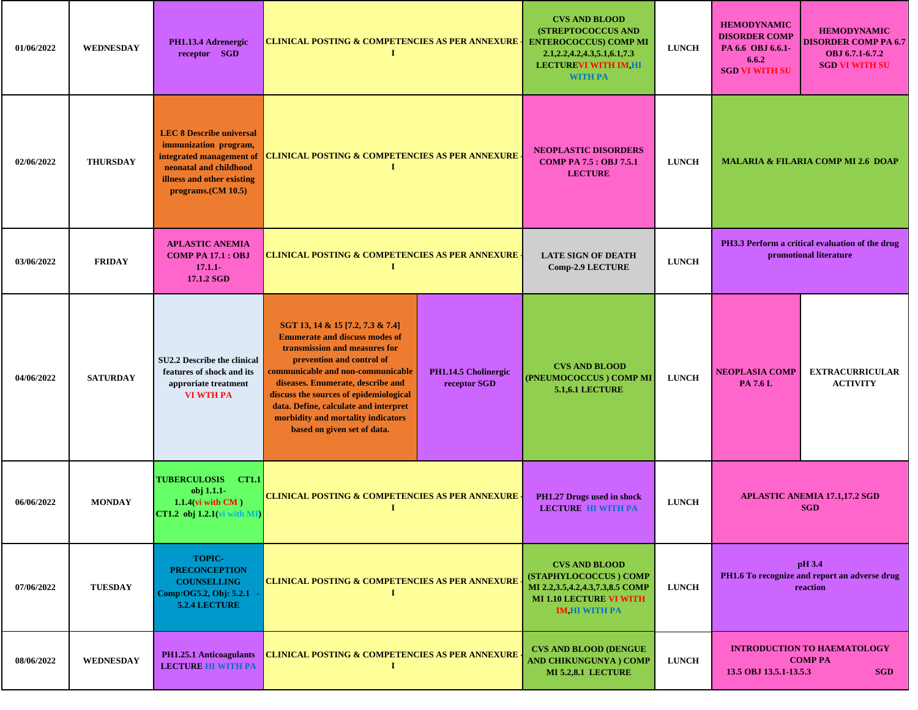| 01/06/2022 | <b>WEDNESDAY</b> | PH1.13.4 Adrenergic<br>receptor SGD                                                                                                                                | <b>CLINICAL POSTING &amp; COMPETENCIES AS PER ANNEXURE</b><br>$\mathbf I$                                                                                                                                                                                                                                                                                                 |                                                                | <b>CVS AND BLOOD</b><br><b>(STREPTOCOCCUS AND</b><br><b>ENTEROCOCCUS) COMP MI</b><br>2.1, 2.2, 4.2, 4.3, 5.1, 6.1, 7.3<br><b>LECTUREVI WITH IM, HI</b><br><b>WITH PA</b> | <b>LUNCH</b> | <b>HEMODYNAMIC</b><br><b>DISORDER COMP</b><br>PA 6.6 OBJ 6.6.1-<br>6.6.2<br><b>SGD VI WITH SU</b> | <b>HEMODYNAMIC</b><br><b>DISORDER COMP PA 6.7</b><br>OBJ 6.7.1-6.7.2<br><b>SGD VI WITH SU</b> |
|------------|------------------|--------------------------------------------------------------------------------------------------------------------------------------------------------------------|---------------------------------------------------------------------------------------------------------------------------------------------------------------------------------------------------------------------------------------------------------------------------------------------------------------------------------------------------------------------------|----------------------------------------------------------------|--------------------------------------------------------------------------------------------------------------------------------------------------------------------------|--------------|---------------------------------------------------------------------------------------------------|-----------------------------------------------------------------------------------------------|
| 02/06/2022 | <b>THURSDAY</b>  | <b>LEC 8 Describe universal</b><br>immunization program,<br>integrated management of<br>neonatal and childhood<br>illness and other existing<br>programs.(CM 10.5) | <b>CLINICAL POSTING &amp; COMPETENCIES AS PER ANNEXURE</b><br>-1                                                                                                                                                                                                                                                                                                          |                                                                | <b>NEOPLASTIC DISORDERS</b><br><b>COMP PA 7.5 : OBJ 7.5.1</b><br><b>LECTURE</b>                                                                                          | <b>LUNCH</b> |                                                                                                   | <b>MALARIA &amp; FILARIA COMP MI 2.6 DOAP</b>                                                 |
| 03/06/2022 | <b>FRIDAY</b>    | <b>APLASTIC ANEMIA</b><br><b>COMP PA 17.1 : OBJ</b><br>$17.1.1 -$<br>17.1.2 SGD                                                                                    | <b>CLINICAL POSTING &amp; COMPETENCIES AS PER ANNEXURE</b><br>1                                                                                                                                                                                                                                                                                                           |                                                                | <b>LATE SIGN OF DEATH</b><br><b>Comp-2.9 LECTURE</b>                                                                                                                     | <b>LUNCH</b> |                                                                                                   | PH3.3 Perform a critical evaluation of the drug<br>promotional literature                     |
| 04/06/2022 | <b>SATURDAY</b>  | <b>SU2.2 Describe the clinical</b><br>features of shock and its<br>approriate treatment<br><b>VI WTH PA</b>                                                        | SGT 13, 14 & 15 [7.2, 7.3 & 7.4]<br><b>Enumerate and discuss modes of</b><br>transmission and measures for<br>prevention and control of<br>communicable and non-communicable<br>diseases. Enumerate, describe and<br>discuss the sources of epidemiological<br>data. Define, calculate and interpret<br>morbidity and mortality indicators<br>based on given set of data. | PH1.14.5 Cholinergic<br>(PNEUMOCOCCUS) COMP MI<br>receptor SGD |                                                                                                                                                                          | <b>LUNCH</b> | <b>NEOPLASIA COMP</b><br><b>PA 7.6 L</b>                                                          | <b>EXTRACURRICULAR</b><br><b>ACTIVITY</b>                                                     |
| 06/06/2022 | <b>MONDAY</b>    | <b>TUBERCULOSIS</b><br><b>CT1.1</b><br>obj 1.1.1-<br>$1.1.4$ (vi with CM)<br>CT1.2 obj 1.2.1(vi<br>with MD                                                         | <b>CLINICAL POSTING &amp; COMPETENCIES AS PER ANNEXURE</b><br>-1                                                                                                                                                                                                                                                                                                          |                                                                | PH1.27 Drugs used in shock<br><b>LECTURE HI WITH PA</b>                                                                                                                  | <b>LUNCH</b> |                                                                                                   | <b>APLASTIC ANEMIA 17.1,17.2 SGD</b><br><b>SGD</b>                                            |
| 07/06/2022 | <b>TUESDAY</b>   | <b>TOPIC-</b><br><b>PRECONCEPTION</b><br><b>COUNSELLING</b><br>Comp:OG5.2, Obj: 5.2.1 -<br>5.2.4 LECTURE                                                           | <b>CLINICAL POSTING &amp; COMPETENCIES AS PER ANNEXURE</b><br>$\bf{I}$                                                                                                                                                                                                                                                                                                    |                                                                | <b>CVS AND BLOOD</b><br>(STAPHYLOCOCCUS) COMP<br>MI 2.2,3.5,4.2,4.3,7.3,8.5 COMP<br><b>MI 1.10 LECTURE VI WITH</b><br><b>IM HI WITH PA</b>                               | <b>LUNCH</b> |                                                                                                   | pH 3.4<br>PH1.6 To recognize and report an adverse drug<br>reaction                           |
| 08/06/2022 | <b>WEDNESDAY</b> | <b>PH1.25.1 Anticoagulants</b><br><b>LECTURE HI WITH PA</b>                                                                                                        | CLINICAL POSTING & COMPETENCIES AS PER ANNEXURE<br>$\bf{I}$                                                                                                                                                                                                                                                                                                               |                                                                | <b>CVS AND BLOOD (DENGUE)</b><br>AND CHIKUNGUNYA ) COMP<br><b>MI 5.2,8.1 LECTURE</b>                                                                                     | <b>LUNCH</b> | 13.5 OBJ 13.5.1-13.5.3                                                                            | <b>INTRODUCTION TO HAEMATOLOGY</b><br><b>COMP PA</b><br><b>SGD</b>                            |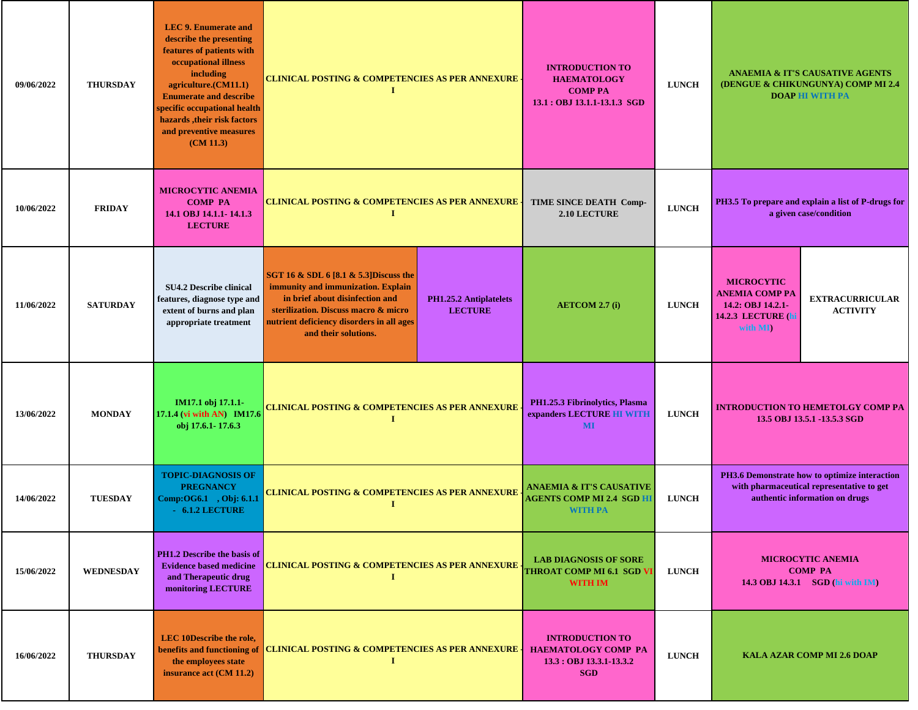| 09/06/2022 | <b>THURSDAY</b>  | <b>LEC 9. Enumerate and</b><br>describe the presenting<br>features of patients with<br>occupational illness<br>including<br>agriculture.(CM11.1)<br><b>Enumerate and describe</b><br>specific occupational health<br>hazards, their risk factors<br>and preventive measures<br>(CM 11.3) | <b>CLINICAL POSTING &amp; COMPETENCIES AS PER ANNEXURE</b><br>1                                                                                                                                                                                                                 |  | <b>INTRODUCTION TO</b><br><b>HAEMATOLOGY</b><br><b>COMP PA</b><br>13.1 : OBJ 13.1.1-13.1.3 SGD | <b>LUNCH</b> |                                                                                                                              | <b>ANAEMIA &amp; IT'S CAUSATIVE AGENTS</b><br>(DENGUE & CHIKUNGUNYA) COMP MI 2.4<br><b>DOAP HI WITH PA</b> |
|------------|------------------|------------------------------------------------------------------------------------------------------------------------------------------------------------------------------------------------------------------------------------------------------------------------------------------|---------------------------------------------------------------------------------------------------------------------------------------------------------------------------------------------------------------------------------------------------------------------------------|--|------------------------------------------------------------------------------------------------|--------------|------------------------------------------------------------------------------------------------------------------------------|------------------------------------------------------------------------------------------------------------|
| 10/06/2022 | <b>FRIDAY</b>    | <b>MICROCYTIC ANEMIA</b><br><b>COMP PA</b><br>14.1 OBJ 14.1.1-14.1.3<br><b>LECTURE</b>                                                                                                                                                                                                   | <b>CLINICAL POSTING &amp; COMPETENCIES AS PER ANNEXURE</b><br>$\bf{I}$                                                                                                                                                                                                          |  | TIME SINCE DEATH Comp-<br>2.10 LECTURE                                                         | <b>LUNCH</b> | PH3.5 To prepare and explain a list of P-drugs for<br>a given case/condition                                                 |                                                                                                            |
| 11/06/2022 | <b>SATURDAY</b>  | <b>SU4.2 Describe clinical</b><br>features, diagnose type and<br>extent of burns and plan<br>appropriate treatment                                                                                                                                                                       | SGT 16 & SDL 6 [8.1 & 5.3] Discuss the<br>immunity and immunization. Explain<br>in brief about disinfection and<br><b>PH1.25.2 Antiplatelets</b><br>sterilization. Discuss macro & micro<br><b>LECTURE</b><br>nutrient deficiency disorders in all ages<br>and their solutions. |  | <b>AETCOM 2.7 (i)</b>                                                                          | <b>LUNCH</b> | <b>MICROCYTIC</b><br><b>ANEMIA COMP PA</b><br>14.2: OBJ 14.2.1-<br><b>14.2.3 LECTURE (h)</b><br>with MI)                     | <b>EXTRACURRICULAR</b><br><b>ACTIVITY</b>                                                                  |
| 13/06/2022 | <b>MONDAY</b>    | IM17.1 obj 17.1.1-<br>17.1.4 (vi with AN) IM17.6<br>obj 17.6.1-17.6.3                                                                                                                                                                                                                    | <b>CLINICAL POSTING &amp; COMPETENCIES AS PER ANNEXURE</b><br>Т                                                                                                                                                                                                                 |  | PH1.25.3 Fibrinolytics, Plasma<br>expanders LECTURE HI WITH<br><b>MI</b>                       | <b>LUNCH</b> |                                                                                                                              | <b>INTRODUCTION TO HEMETOLGY COMP PA</b><br>13.5 OBJ 13.5.1 -13.5.3 SGD                                    |
| 14/06/2022 | <b>TUESDAY</b>   | <b>TOPIC-DIAGNOSIS OF</b><br><b>PREGNANCY</b><br>Comp:OG6.1, Obj: 6.1.1<br>$-6.1.2$ LECTURE                                                                                                                                                                                              | <b>CLINICAL POSTING &amp; COMPETENCIES AS PER ANNEXURE</b><br>-1                                                                                                                                                                                                                |  | ANAEMIA & IT'S CAUSATIVE<br><b>AGENTS COMP MI 2.4 SGD H</b><br><b>WITH PA</b>                  | <b>LUNCH</b> | PH3.6 Demonstrate how to optimize interaction<br>with pharmaceutical representative to get<br>authentic information on drugs |                                                                                                            |
| 15/06/2022 | <b>WEDNESDAY</b> | PH1.2 Describe the basis of<br><b>Evidence based medicine</b><br>and Therapeutic drug<br>monitoring LECTURE                                                                                                                                                                              | <b>CLINICAL POSTING &amp; COMPETENCIES AS PER ANNEXURE</b><br>-1                                                                                                                                                                                                                |  | <b>LAB DIAGNOSIS OF SORE</b><br><b>THROAT COMP MI 6.1 SGD V</b><br><b>WITH IM</b>              | <b>LUNCH</b> | <b>MICROCYTIC ANEMIA</b><br><b>COMP PA</b><br>14.3 OBJ 14.3.1 SGD (hi with IM)                                               |                                                                                                            |
| 16/06/2022 | <b>THURSDAY</b>  | LEC 10Describe the role,<br>benefits and functioning of<br>the employees state<br>insurance act (CM 11.2)                                                                                                                                                                                | <b>CLINICAL POSTING &amp; COMPETENCIES AS PER ANNEXURE</b><br>Т                                                                                                                                                                                                                 |  | <b>INTRODUCTION TO</b><br><b>HAEMATOLOGY COMP PA</b><br>13.3 : OBJ 13.3.1-13.3.2<br><b>SGD</b> | <b>LUNCH</b> |                                                                                                                              | <b>KALA AZAR COMP MI 2.6 DOAP</b>                                                                          |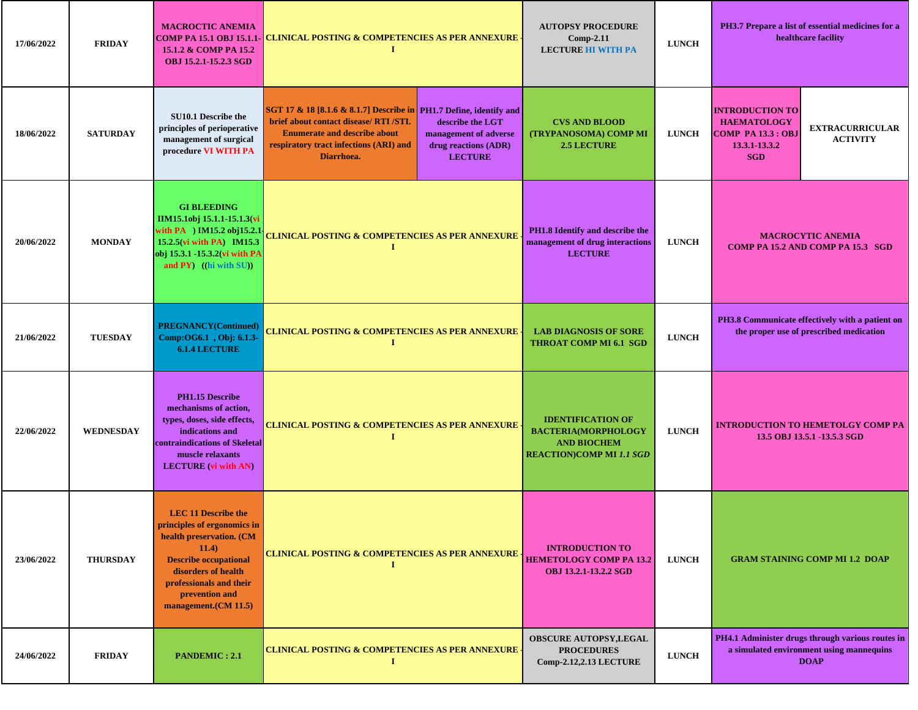| 17/06/2022 | <b>FRIDAY</b>    | <b>MACROCTIC ANEMIA</b><br>15.1.2 & COMP PA 15.2<br><b>OBJ 15.2.1-15.2.3 SGD</b>                                                                                                                                           | COMP PA 15.1 OBJ 15.1.1- <mark>CLINICAL POSTING &amp; COMPETENCIES AS PER ANNEXURE</mark> .<br>п.                                                                                                                                                                                                  | <b>AUTOPSY PROCEDURE</b><br>$Comp-2.11$<br><b>LECTURE HI WITH PA</b>                                            | <b>LUNCH</b> | PH3.7 Prepare a list of essential medicines for a<br>healthcare facility                                                                              |  |
|------------|------------------|----------------------------------------------------------------------------------------------------------------------------------------------------------------------------------------------------------------------------|----------------------------------------------------------------------------------------------------------------------------------------------------------------------------------------------------------------------------------------------------------------------------------------------------|-----------------------------------------------------------------------------------------------------------------|--------------|-------------------------------------------------------------------------------------------------------------------------------------------------------|--|
| 18/06/2022 | <b>SATURDAY</b>  | <b>SU10.1 Describe the</b><br>principles of perioperative<br>management of surgical<br>procedure VI WITH PA                                                                                                                | SGT 17 & 18 [8.1.6 & 8.1.7] Describe in PH1.7 Define, identify and<br>brief about contact disease/ RTI /STI.<br>describe the LGT<br><b>Enumerate and describe about</b><br>management of adverse<br>respiratory tract infections (ARI) and<br>drug reactions (ADR)<br>Diarrhoea.<br><b>LECTURE</b> | <b>CVS AND BLOOD</b><br>(TRYPANOSOMA) COMP MI<br><b>2.5 LECTURE</b>                                             | <b>LUNCH</b> | <b>INTRODUCTION TO</b><br><b>HAEMATOLOGY</b><br><b>EXTRACURRICULAR</b><br><b>COMP PA 13.3 : OBJ</b><br><b>ACTIVITY</b><br>13.3.1-13.3.2<br><b>SGD</b> |  |
| 20/06/2022 | <b>MONDAY</b>    | <b>GI BLEEDING</b><br>IIM15.1obj 15.1.1-15.1.3(vi<br>with $PA$ ) IM15.2 obj15.2.1<br>15.2.5(vi with PA) IM15.3<br>obj 15.3.1 -15.3.2(vi with PA<br>and $PY$ ) ((hi with $SU$ ))                                            | <u>CLINICAL POSTING &amp; COMPETENCIES AS PER ANNEXURE</u><br>1                                                                                                                                                                                                                                    | PH1.8 Identify and describe the<br>management of drug interactions<br><b>LECTURE</b>                            | <b>LUNCH</b> | <b>MACROCYTIC ANEMIA</b><br>COMP PA 15.2 AND COMP PA 15.3 SGD                                                                                         |  |
| 21/06/2022 | <b>TUESDAY</b>   | <b>PREGNANCY(Continued)</b><br>Comp:OG6.1, Obj: 6.1.3-<br><b>6.1.4 LECTURE</b>                                                                                                                                             | <b>CLINICAL POSTING &amp; COMPETENCIES AS PER ANNEXURE -</b><br><b>I</b>                                                                                                                                                                                                                           | <b>LAB DIAGNOSIS OF SORE</b><br><b>THROAT COMP MI 6.1 SGD</b>                                                   | <b>LUNCH</b> | PH3.8 Communicate effectively with a patient on<br>the proper use of prescribed medication                                                            |  |
| 22/06/2022 | <b>WEDNESDAY</b> | PH1.15 Describe<br>mechanisms of action,<br>types, doses, side effects,<br>indications and<br>contraindications of Skeletal<br>muscle relaxants<br><b>LECTURE</b> (vi with AN)                                             | <b>CLINICAL POSTING &amp; COMPETENCIES AS PER ANNEXURE</b><br>1                                                                                                                                                                                                                                    | <b>IDENTIFICATION OF</b><br><b>BACTERIA(MORPHOLOGY</b><br><b>AND BIOCHEM</b><br><b>REACTION)COMP MI 1.1 SGD</b> | <b>LUNCH</b> | <b>INTRODUCTION TO HEMETOLGY COMP PA</b><br>13.5 OBJ 13.5.1 -13.5.3 SGD                                                                               |  |
| 23/06/2022 | <b>THURSDAY</b>  | <b>LEC 11 Describe the</b><br>principles of ergonomics in<br>health preservation. (CM<br>11.4)<br><b>Describe occupational</b><br>disorders of health<br>professionals and their<br>prevention and<br>management.(CM 11.5) | <b>CLINICAL POSTING &amp; COMPETENCIES AS PER ANNEXURE</b>                                                                                                                                                                                                                                         | <b>INTRODUCTION TO</b><br><b>HEMETOLOGY COMP PA 13.2</b><br><b>OBJ 13.2.1-13.2.2 SGD</b>                        | <b>LUNCH</b> | <b>GRAM STAINING COMP MI 1.2 DOAP</b>                                                                                                                 |  |
| 24/06/2022 | <b>FRIDAY</b>    | <b>PANDEMIC: 2.1</b>                                                                                                                                                                                                       | <b>CLINICAL POSTING &amp; COMPETENCIES AS PER ANNEXURE</b><br>п                                                                                                                                                                                                                                    | <b>OBSCURE AUTOPSY, LEGAL</b><br><b>PROCEDURES</b><br><b>Comp-2.12,2.13 LECTURE</b>                             | <b>LUNCH</b> | PH4.1 Administer drugs through various routes in<br>a simulated environment using mannequins<br><b>DOAP</b>                                           |  |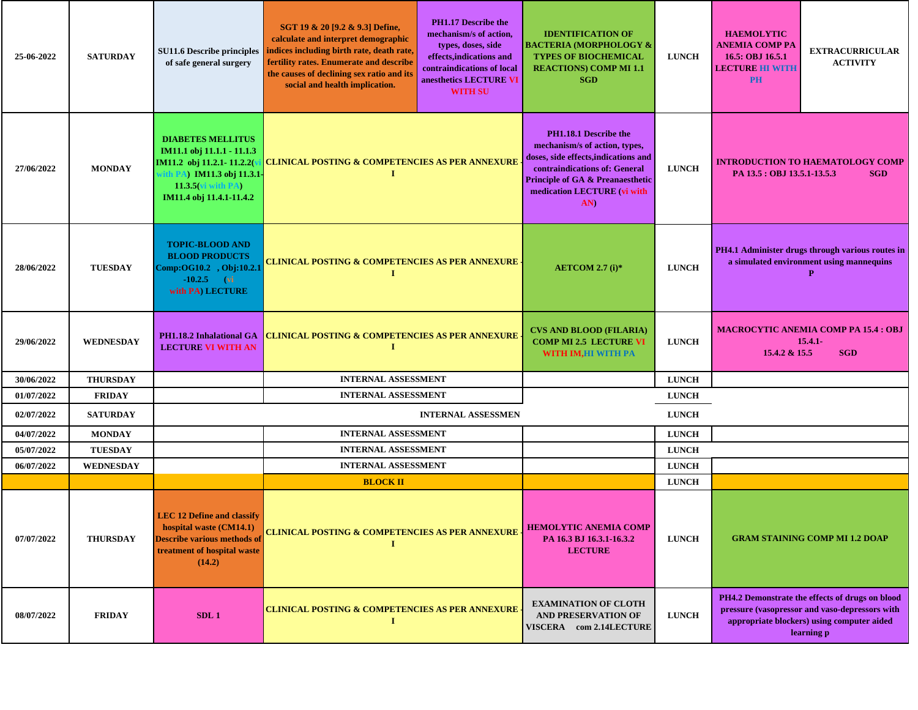| 25-06-2022 | <b>SATURDAY</b>  | <b>SU11.6 Describe principles</b><br>of safe general surgery                                                                                                      | SGT 19 & 20 [9.2 & 9.3] Define,<br>calculate and interpret demographic<br>indices including birth rate, death rate,<br>fertility rates. Enumerate and describe<br>the causes of declining sex ratio and its<br>social and health implication. | <b>PH1.17 Describe the</b><br>mechanism/s of action,<br>types, doses, side<br>effects, indications and<br>contraindications of local<br>anesthetics LECTURE VI<br><b>WITH SU</b>                                                                   | <b>IDENTIFICATION OF</b><br><b>BACTERIA (MORPHOLOGY &amp;</b><br><b>TYPES OF BIOCHEMICAL</b><br><b>REACTIONS) COMP MI 1.1</b><br><b>SGD</b> | <b>LUNCH</b> | <b>HAEMOLYTIC</b><br><b>ANEMIA COMP PA</b><br>16.5: OBJ 16.5.1<br><b>LECTURE HI WITH</b><br><b>PH</b> | <b>EXTRACURRICULAR</b><br><b>ACTIVITY</b>                                                                                                                     |
|------------|------------------|-------------------------------------------------------------------------------------------------------------------------------------------------------------------|-----------------------------------------------------------------------------------------------------------------------------------------------------------------------------------------------------------------------------------------------|----------------------------------------------------------------------------------------------------------------------------------------------------------------------------------------------------------------------------------------------------|---------------------------------------------------------------------------------------------------------------------------------------------|--------------|-------------------------------------------------------------------------------------------------------|---------------------------------------------------------------------------------------------------------------------------------------------------------------|
| 27/06/2022 | <b>MONDAY</b>    | <b>DIABETES MELLITUS</b><br>IM11.1 obj 11.1.1 - 11.1.3<br>IM11.2 obj 11.2.1-11.2.2(<br>A) IM11.3 obj 11.3.1-<br>$11.3.5$ (vi with PA)<br>IM11.4 obj 11.4.1-11.4.2 | T                                                                                                                                                                                                                                             | mechanism/s of action, types,<br>doses, side effects, indications and<br><b>CLINICAL POSTING &amp; COMPETENCIES AS PER ANNEXURE</b><br>contraindications of: General<br><b>Principle of GA &amp; Preanaesthetic</b><br>medication LECTURE (vi with |                                                                                                                                             | <b>LUNCH</b> | <b>INTRODUCTION TO HAEMATOLOGY COMP</b><br>PA 13.5 : OBJ 13.5.1-13.5.3<br><b>SGD</b>                  |                                                                                                                                                               |
| 28/06/2022 | <b>TUESDAY</b>   | <b>TOPIC-BLOOD AND</b><br><b>BLOOD PRODUCTS</b><br>Comp:OG10.2, Obj:10.2.1<br>$-10.2.5$ (vi<br>with PA) LECTURE                                                   | CLINICAL POSTING & COMPETENCIES AS PER ANNEXURE ·<br>Т                                                                                                                                                                                        |                                                                                                                                                                                                                                                    | AETCOM 2.7 $(i)*$                                                                                                                           | <b>LUNCH</b> | PH4.1 Administer drugs through various routes in<br>a simulated environment using mannequins<br>P     |                                                                                                                                                               |
| 29/06/2022 | <b>WEDNESDAY</b> | PH1.18.2 Inhalational GA<br><b>LECTURE VI WITH AN</b>                                                                                                             | I                                                                                                                                                                                                                                             | <b>CLINICAL POSTING &amp; COMPETENCIES AS PER ANNEXURE</b>                                                                                                                                                                                         |                                                                                                                                             | <b>LUNCH</b> | 15.4.2 & 15.5                                                                                         | <b>MACROCYTIC ANEMIA COMP PA 15.4 : OBJ</b><br>$15.4.1 -$<br><b>SGD</b>                                                                                       |
| 30/06/2022 | <b>THURSDAY</b>  |                                                                                                                                                                   | <b>INTERNAL ASSESSMENT</b>                                                                                                                                                                                                                    |                                                                                                                                                                                                                                                    |                                                                                                                                             | <b>LUNCH</b> |                                                                                                       |                                                                                                                                                               |
| 01/07/2022 | <b>FRIDAY</b>    |                                                                                                                                                                   | <b>INTERNAL ASSESSMENT</b>                                                                                                                                                                                                                    |                                                                                                                                                                                                                                                    |                                                                                                                                             | <b>LUNCH</b> |                                                                                                       |                                                                                                                                                               |
| 02/07/2022 | <b>SATURDAY</b>  |                                                                                                                                                                   |                                                                                                                                                                                                                                               | <b>INTERNAL ASSESSMEN</b>                                                                                                                                                                                                                          |                                                                                                                                             | <b>LUNCH</b> |                                                                                                       |                                                                                                                                                               |
| 04/07/2022 | <b>MONDAY</b>    |                                                                                                                                                                   | <b>INTERNAL ASSESSMENT</b>                                                                                                                                                                                                                    |                                                                                                                                                                                                                                                    |                                                                                                                                             | <b>LUNCH</b> |                                                                                                       |                                                                                                                                                               |
| 05/07/2022 | <b>TUESDAY</b>   |                                                                                                                                                                   | <b>INTERNAL ASSESSMENT</b>                                                                                                                                                                                                                    |                                                                                                                                                                                                                                                    |                                                                                                                                             | <b>LUNCH</b> |                                                                                                       |                                                                                                                                                               |
| 06/07/2022 | <b>WEDNESDAY</b> |                                                                                                                                                                   | <b>INTERNAL ASSESSMENT</b>                                                                                                                                                                                                                    |                                                                                                                                                                                                                                                    |                                                                                                                                             | <b>LUNCH</b> |                                                                                                       |                                                                                                                                                               |
|            |                  |                                                                                                                                                                   | <b>BLOCK II</b>                                                                                                                                                                                                                               |                                                                                                                                                                                                                                                    |                                                                                                                                             | <b>LUNCH</b> |                                                                                                       |                                                                                                                                                               |
| 07/07/2022 | <b>THURSDAY</b>  | <b>LEC 12 Define and classify</b><br>hospital waste (CM14.1)<br><b>Describe various methods of</b><br>treatment of hospital waste<br>(14.2)                       |                                                                                                                                                                                                                                               | <b>HEMOLYTIC ANEMIA COMP</b><br><b>CLINICAL POSTING &amp; COMPETENCIES AS PER ANNEXURE</b>                                                                                                                                                         |                                                                                                                                             | <b>LUNCH</b> |                                                                                                       | <b>GRAM STAINING COMP MI 1.2 DOAP</b>                                                                                                                         |
| 08/07/2022 | <b>FRIDAY</b>    | SDL1                                                                                                                                                              | <b>CLINICAL POSTING &amp; COMPETENCIES AS PER ANNEXURE</b>                                                                                                                                                                                    |                                                                                                                                                                                                                                                    | <b>EXAMINATION OF CLOTH</b><br>AND PRESERVATION OF<br>VISCERA com 2.14LECTURE                                                               | <b>LUNCH</b> |                                                                                                       | PH4.2 Demonstrate the effects of drugs on blood<br>pressure (vasopressor and vaso-depressors with<br>appropriate blockers) using computer aided<br>learning p |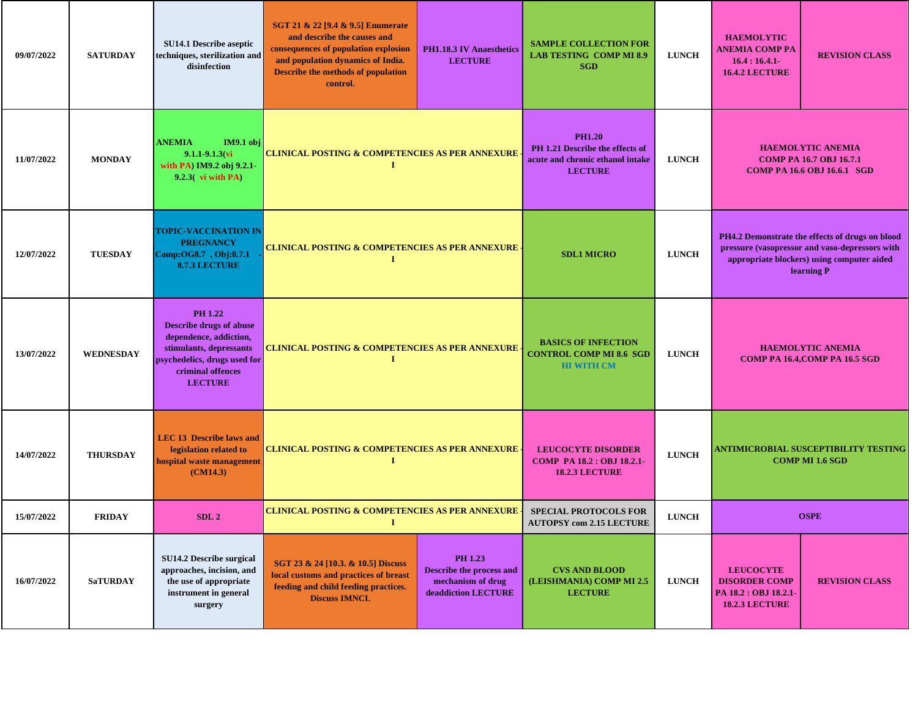| 09/07/2022 | <b>SATURDAY</b>  | SU14.1 Describe aseptic<br>techniques, sterilization and<br>disinfection                                                                                                     | SGT 21 & 22 [9.4 & 9.5] Enumerate<br>and describe the causes and<br>consequences of population explosion<br>and population dynamics of India.<br>Describe the methods of population<br>control. | <b>PH1.18.3 IV Anaesthetics</b><br><b>LECTURE</b>                                            | <b>SAMPLE COLLECTION FOR</b><br><b>LAB TESTING COMP MI 8.9</b><br><b>SGD</b>                           | <b>LUNCH</b> | <b>HAEMOLYTIC</b><br>ANEMIA COMP PA<br>$16.4:16.4.1-$<br><b>16.4.2 LECTURE</b>                   | <b>REVISION CLASS</b>                                                                                                                                         |
|------------|------------------|------------------------------------------------------------------------------------------------------------------------------------------------------------------------------|-------------------------------------------------------------------------------------------------------------------------------------------------------------------------------------------------|----------------------------------------------------------------------------------------------|--------------------------------------------------------------------------------------------------------|--------------|--------------------------------------------------------------------------------------------------|---------------------------------------------------------------------------------------------------------------------------------------------------------------|
| 11/07/2022 | <b>MONDAY</b>    | <b>ANEMIA</b><br>IM9.1 obj<br>$9.1.1 - 9.1.3$ (vi<br>with PA) IM9.2 obj 9.2.1-<br>$9.2.3$ vi with PA                                                                         | <b>CLINICAL POSTING &amp; COMPETENCIES AS PER ANNEXURE</b>                                                                                                                                      |                                                                                              | <b>PH1.20</b><br>PH 1.21 Describe the effects of<br>acute and chronic ethanol intake<br><b>LECTURE</b> | <b>LUNCH</b> | <b>HAEMOLYTIC ANEMIA</b><br><b>COMP PA 16.7 OBJ 16.7.1</b><br><b>COMP PA 16.6 OBJ 16.6.1 SGD</b> |                                                                                                                                                               |
| 12/07/2022 | <b>TUESDAY</b>   | <b>TOPIC-VACCINATION IN</b><br><b>PREGNANCY</b><br>Comp:OG8.7, Obj:8.7.1<br><b>8.7.3 LECTURE</b>                                                                             | <b>CLINICAL POSTING &amp; COMPETENCIES AS PER ANNEXURE -</b><br>1                                                                                                                               |                                                                                              | <b>SDL1 MICRO</b>                                                                                      | <b>LUNCH</b> |                                                                                                  | PH4.2 Demonstrate the effects of drugs on blood<br>pressure (vasopressor and vaso-depressors with<br>appropriate blockers) using computer aided<br>learning P |
| 13/07/2022 | <b>WEDNESDAY</b> | <b>PH 1.22</b><br><b>Describe drugs of abuse</b><br>dependence, addiction,<br>stimulants, depressants<br>psychedelics, drugs used for<br>criminal offences<br><b>LECTURE</b> |                                                                                                                                                                                                 | <b>CLINICAL POSTING &amp; COMPETENCIES AS PER ANNEXURE</b><br><b>CONTROL COMP MI 8.6 SGD</b> |                                                                                                        | <b>LUNCH</b> |                                                                                                  | <b>HAEMOLYTIC ANEMIA</b><br>COMP PA 16.4, COMP PA 16.5 SGD                                                                                                    |
| 14/07/2022 | <b>THURSDAY</b>  | <b>LEC 13 Describe laws and</b><br>legislation related to<br>hospital waste management<br>(CM14.3)                                                                           | <b>CLINICAL POSTING &amp; COMPETENCIES AS PER ANNEXURE</b><br>-1                                                                                                                                |                                                                                              | <b>LEUCOCYTE DISORDER</b><br>COMP PA 18.2 : OBJ 18.2.1-<br><b>18.2.3 LECTURE</b>                       | <b>LUNCH</b> |                                                                                                  | ANTIMICROBIAL SUSCEPTIBILITY TESTING<br><b>COMP MI 1.6 SGD</b>                                                                                                |
| 15/07/2022 | <b>FRIDAY</b>    | SDL <sub>2</sub>                                                                                                                                                             | <b>CLINICAL POSTING &amp; COMPETENCIES AS PER ANNEXURE</b><br>and the state of the state of the state of the state of the state of the state of the state of the state of the                   |                                                                                              | <b>SPECIAL PROTOCOLS FOR</b><br><b>AUTOPSY com 2.15 LECTURE</b>                                        | <b>LUNCH</b> |                                                                                                  | <b>OSPE</b>                                                                                                                                                   |
| 16/07/2022 | <b>SaTURDAY</b>  | SU14.2 Describe surgical<br>approaches, incision, and<br>the use of appropriate<br>instrument in general<br>surgery                                                          | SGT 23 & 24 [10.3. & 10.5] Discuss<br>local customs and practices of breast<br>feeding and child feeding practices.<br><b>Discuss IMNCI.</b>                                                    | PH 1.23<br>Describe the process and<br>mechanism of drug<br>deaddiction LECTURE              | <b>CVS AND BLOOD</b><br>(LEISHMANIA) COMP MI 2.5<br><b>LECTURE</b>                                     | <b>LUNCH</b> | <b>LEUCOCYTE</b><br><b>DISORDER COMP</b><br>PA 18.2 : OBJ 18.2.1-<br><b>18.2.3 LECTURE</b>       | <b>REVISION CLASS</b>                                                                                                                                         |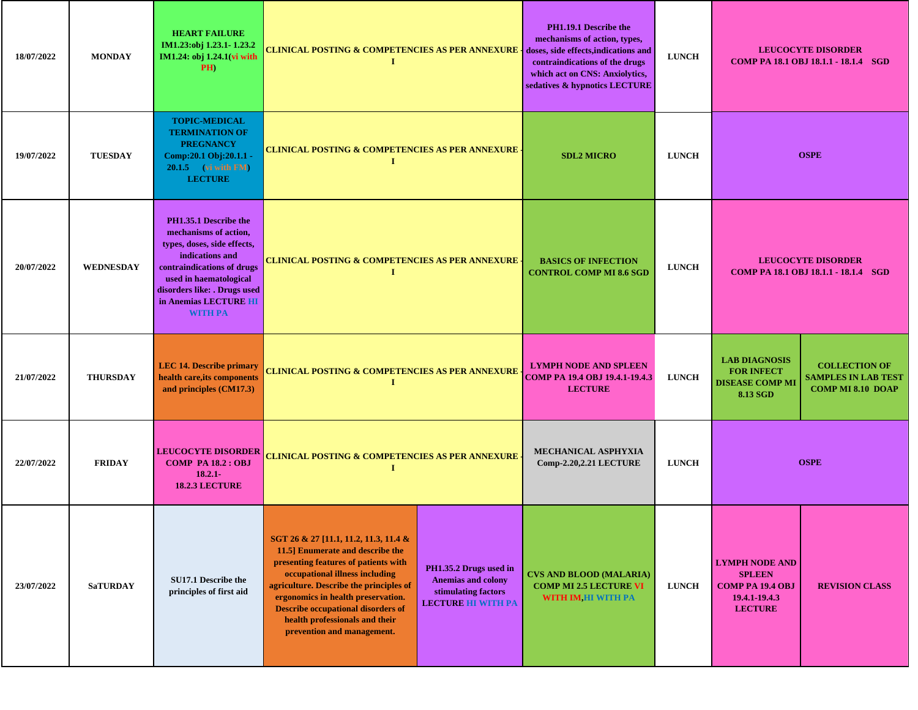| 18/07/2022 | <b>MONDAY</b>    | <b>HEART FAILURE</b><br>IM1.23:obj 1.23.1-1.23.2<br>IM1.24: obj 1.24.1(vi with<br>PH)                                                                                                                                               | <b>CLINICAL POSTING &amp; COMPETENCIES AS PER ANNEXURE - doses, side effects,indications and</b><br>1                                                                                                                                                                                                                                             |                                                                                                         | PH1.19.1 Describe the<br>mechanisms of action, types,<br>contraindications of the drugs<br>which act on CNS: Anxiolytics,<br>sedatives & hypnotics LECTURE | <b>LUNCH</b> |                                                                                                      | <b>LEUCOCYTE DISORDER</b><br>COMP PA 18.1 OBJ 18.1.1 - 18.1.4 SGD              |
|------------|------------------|-------------------------------------------------------------------------------------------------------------------------------------------------------------------------------------------------------------------------------------|---------------------------------------------------------------------------------------------------------------------------------------------------------------------------------------------------------------------------------------------------------------------------------------------------------------------------------------------------|---------------------------------------------------------------------------------------------------------|------------------------------------------------------------------------------------------------------------------------------------------------------------|--------------|------------------------------------------------------------------------------------------------------|--------------------------------------------------------------------------------|
| 19/07/2022 | <b>TUESDAY</b>   | <b>TOPIC-MEDICAL</b><br><b>TERMINATION OF</b><br><b>PREGNANCY</b><br>Comp:20.1 Obj:20.1.1 -<br>$20.1.5$ (vi with FM)<br><b>LECTURE</b>                                                                                              | <b>CLINICAL POSTING &amp; COMPETENCIES AS PER ANNEXURE -</b><br>Т                                                                                                                                                                                                                                                                                 |                                                                                                         | <b>SDL2 MICRO</b>                                                                                                                                          | <b>LUNCH</b> | <b>OSPE</b>                                                                                          |                                                                                |
| 20/07/2022 | <b>WEDNESDAY</b> | PH1.35.1 Describe the<br>mechanisms of action,<br>types, doses, side effects,<br>indications and<br>contraindications of drugs<br>used in haematological<br>disorders like: . Drugs used<br>in Anemias LECTURE HI<br><b>WITH PA</b> | <b>CLINICAL POSTING &amp; COMPETENCIES AS PER ANNEXURE -</b><br>I                                                                                                                                                                                                                                                                                 |                                                                                                         | <b>BASICS OF INFECTION</b><br><b>CONTROL COMP MI 8.6 SGD</b>                                                                                               | <b>LUNCH</b> | <b>LEUCOCYTE DISORDER</b><br>COMP PA 18.1 OBJ 18.1.1 - 18.1.4 SGD                                    |                                                                                |
| 21/07/2022 | <b>THURSDAY</b>  | <b>LEC 14. Describe primary</b><br>health care, its components<br>and principles (CM17.3)                                                                                                                                           | T                                                                                                                                                                                                                                                                                                                                                 | <b>CLINICAL POSTING &amp; COMPETENCIES AS PER ANNEXURE</b><br><b>COMP PA 19.4 OBJ 19.4.1-19.4.3</b>     |                                                                                                                                                            | <b>LUNCH</b> | <b>LAB DIAGNOSIS</b><br><b>FOR INFECT</b><br><b>DISEASE COMP MI</b><br>8.13 SGD                      | <b>COLLECTION OF</b><br><b>SAMPLES IN LAB TEST</b><br><b>COMP MI 8.10 DOAP</b> |
| 22/07/2022 | <b>FRIDAY</b>    | <b>LEUCOCYTE DISORDER</b><br><b>COMP PA 18.2 : OBJ</b><br>$18.2.1 -$<br><b>18.2.3 LECTURE</b>                                                                                                                                       | <b>CLINICAL POSTING &amp; COMPETENCIES AS PER ANNEXURE</b>                                                                                                                                                                                                                                                                                        |                                                                                                         | MECHANICAL ASPHYXIA<br>Comp-2.20,2.21 LECTURE                                                                                                              | <b>LUNCH</b> | <b>OSPE</b>                                                                                          |                                                                                |
| 23/07/2022 | <b>SaTURDAY</b>  | SU17.1 Describe the<br>principles of first aid                                                                                                                                                                                      | SGT 26 & 27 [11.1, 11.2, 11.3, 11.4 &<br>11.5] Enumerate and describe the<br>presenting features of patients with<br>occupational illness including<br>agriculture. Describe the principles of<br>ergonomics in health preservation.<br><b>Describe occupational disorders of</b><br>health professionals and their<br>prevention and management. | PH1.35.2 Drugs used in<br><b>Anemias and colony</b><br>stimulating factors<br><b>LECTURE HI WITH PA</b> | <b>CVS AND BLOOD (MALARIA)</b><br><b>COMP MI 2.5 LECTURE VI</b><br>WITH IM, HI WITH PA                                                                     | <b>LUNCH</b> | <b>LYMPH NODE AND</b><br><b>SPLEEN</b><br><b>COMP PA 19.4 OBJ</b><br>19.4.1-19.4.3<br><b>LECTURE</b> | <b>REVISION CLASS</b>                                                          |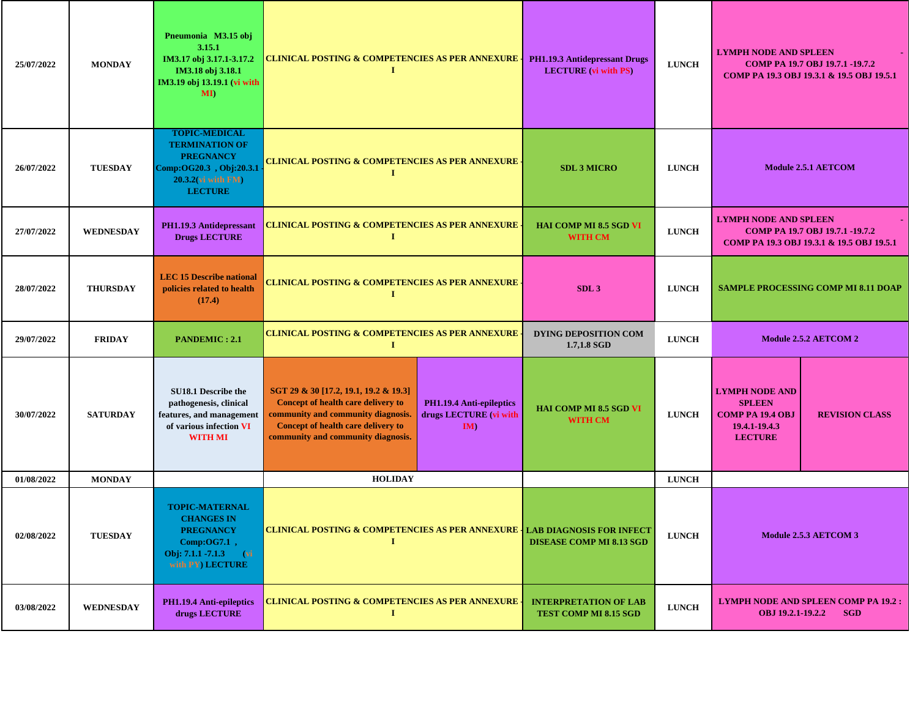| 25/07/2022 | <b>MONDAY</b>    | Pneumonia M3.15 obj<br>3.15.1<br>IM3.17 obj 3.17.1-3.17.2<br>IM3.18 obj 3.18.1<br>IM3.19 obj 13.19.1 (vi with<br>$\mathbf{M}$        | <b>CLINICAL POSTING &amp; COMPETENCIES AS PER ANNEXURE</b><br>1                                                                                                                               | PH1.19.3 Antidepressant Drugs<br><b>LECTURE</b> (vi with PS)    | <b>LUNCH</b>                               | <b>LYMPH NODE AND SPLEEN</b><br>COMP PA 19.7 OBJ 19.7.1 -19.7.2<br>COMP PA 19.3 OBJ 19.3.1 & 19.5 OBJ 19.5.1 |                                                                                                      |                       |
|------------|------------------|--------------------------------------------------------------------------------------------------------------------------------------|-----------------------------------------------------------------------------------------------------------------------------------------------------------------------------------------------|-----------------------------------------------------------------|--------------------------------------------|--------------------------------------------------------------------------------------------------------------|------------------------------------------------------------------------------------------------------|-----------------------|
| 26/07/2022 | <b>TUESDAY</b>   | <b>TOPIC-MEDICAL</b><br><b>TERMINATION OF</b><br><b>PREGNANCY</b><br>Comp:OG20.3, Obj:20.3.1<br>20.3.2(vi with FM)<br><b>LECTURE</b> | CLINICAL POSTING & COMPETENCIES AS PER ANNEXURE <sub>:</sub><br>1                                                                                                                             | <b>SDL 3 MICRO</b>                                              | <b>LUNCH</b>                               |                                                                                                              | <b>Module 2.5.1 AETCOM</b>                                                                           |                       |
| 27/07/2022 | <b>WEDNESDAY</b> | PH1.19.3 Antidepressant<br><b>Drugs LECTURE</b>                                                                                      | <b>CLINICAL POSTING &amp; COMPETENCIES AS PER ANNEXURE</b><br>1                                                                                                                               | <b>HAI COMP MI 8.5 SGD VI</b><br>WITH CM                        | <b>LUNCH</b>                               | <b>LYMPH NODE AND SPLEEN</b>                                                                                 | COMP PA 19.7 OBJ 19.7.1 -19.7.2<br>COMP PA 19.3 OBJ 19.3.1 & 19.5 OBJ 19.5.1                         |                       |
| 28/07/2022 | <b>THURSDAY</b>  | <b>LEC 15 Describe national</b><br>policies related to health<br>(17.4)                                                              | <b>CLINICAL POSTING &amp; COMPETENCIES AS PER ANNEXURE</b><br>$\bf{I}$                                                                                                                        |                                                                 | SDL <sub>3</sub>                           | <b>LUNCH</b>                                                                                                 | <b>SAMPLE PROCESSING COMP MI 8.11 DOAP</b>                                                           |                       |
| 29/07/2022 | <b>FRIDAY</b>    | <b>PANDEMIC: 2.1</b>                                                                                                                 | <b>CLINICAL POSTING &amp; COMPETENCIES AS PER ANNEXURE</b><br>1                                                                                                                               |                                                                 | <b>DYING DEPOSITION COM</b><br>1.7,1.8 SGD | <b>LUNCH</b>                                                                                                 |                                                                                                      | Module 2.5.2 AETCOM 2 |
| 30/07/2022 | <b>SATURDAY</b>  | SU18.1 Describe the<br>pathogenesis, clinical<br>features, and management<br>of various infection VI<br><b>WITH MI</b>               | SGT 29 & 30 [17.2, 19.1, 19.2 & 19.3]<br>Concept of health care delivery to<br>community and community diagnosis.<br>Concept of health care delivery to<br>community and community diagnosis. | <b>PH1.19.4 Anti-epileptics</b><br>drugs LECTURE (vi with<br>IM | HAI COMP MI 8.5 SGD VI<br><b>WITH CM</b>   | <b>LUNCH</b>                                                                                                 | <b>LYMPH NODE AND</b><br><b>SPLEEN</b><br><b>COMP PA 19.4 OBJ</b><br>19.4.1-19.4.3<br><b>LECTURE</b> | <b>REVISION CLASS</b> |
| 01/08/2022 | <b>MONDAY</b>    |                                                                                                                                      | <b>HOLIDAY</b>                                                                                                                                                                                |                                                                 |                                            | <b>LUNCH</b>                                                                                                 |                                                                                                      |                       |
| 02/08/2022 | <b>TUESDAY</b>   | <b>TOPIC-MATERNAL</b><br><b>CHANGES IN</b><br><b>PREGNANCY</b><br>$Comp:OG7.1$ ,<br>Obj: 7.1.1 -7.1.3 (vi<br>with PY) LECTURE        | <b>CLINICAL POSTING &amp; COMPETENCIES AS PER ANNEXURE   LAB DIAGNOSIS FOR INFECT</b><br>$\mathbf I$                                                                                          |                                                                 | <b>DISEASE COMP MI 8.13 SGD</b>            | <b>LUNCH</b>                                                                                                 |                                                                                                      | Module 2.5.3 AETCOM 3 |
| 03/08/2022 | WEDNESDAY        | PH1.19.4 Anti-epileptics<br>drugs LECTURE                                                                                            | <b>CLINICAL POSTING &amp; COMPETENCIES AS PER ANNEXURE</b><br>$\bf{I}$                                                                                                                        | <b>INTERPRETATION OF LAB</b><br>TEST COMP MI 8.15 SGD           | <b>LUNCH</b>                               | <b>LYMPH NODE AND SPLEEN COMP PA 19.2 :</b><br>OBJ 19.2.1-19.2.2<br><b>SGD</b>                               |                                                                                                      |                       |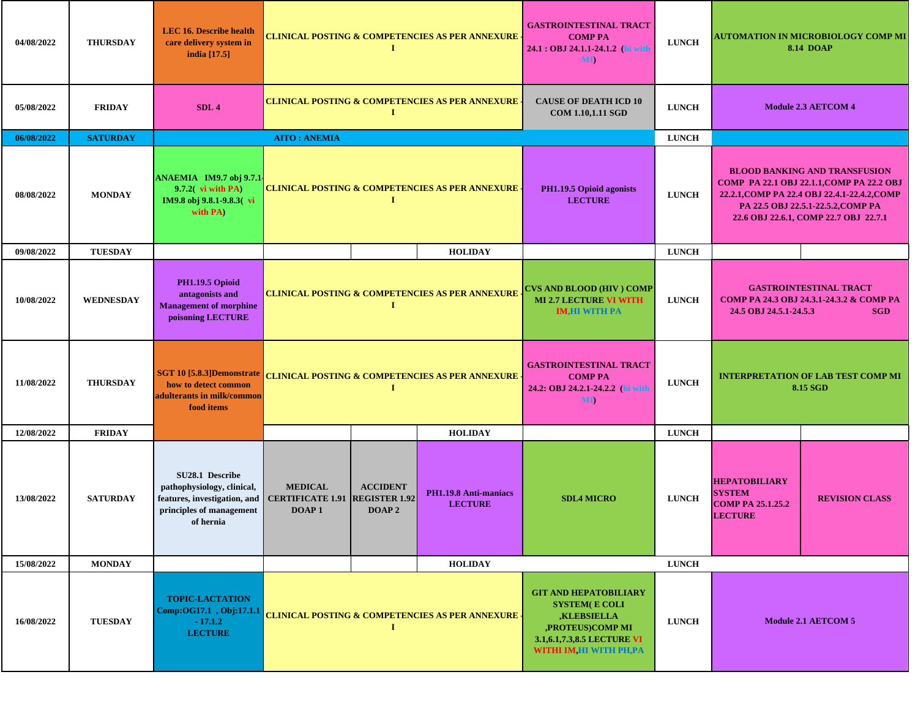| 04/08/2022 | <b>THURSDAY</b>  | <b>LEC 16. Describe health</b><br>care delivery system in<br>india [17.5]                                              | <b>CLINICAL POSTING &amp; COMPETENCIES AS PER ANNEXURE (</b><br>-1                                                                                                                                   |          |                                                                                          | <b>GASTROINTESTINAL TRACT</b><br><b>COMP PA</b><br>24.1 : OBJ 24.1.1-24.1.2 (hi with<br>MI)                                                                | <b>LUNCH</b>                                                                                                      |                                                                                                                                                                                                                  | AUTOMATION IN MICROBIOLOGY COMP MI<br><b>8.14 DOAP</b> |
|------------|------------------|------------------------------------------------------------------------------------------------------------------------|------------------------------------------------------------------------------------------------------------------------------------------------------------------------------------------------------|----------|------------------------------------------------------------------------------------------|------------------------------------------------------------------------------------------------------------------------------------------------------------|-------------------------------------------------------------------------------------------------------------------|------------------------------------------------------------------------------------------------------------------------------------------------------------------------------------------------------------------|--------------------------------------------------------|
| 05/08/2022 | <b>FRIDAY</b>    | SDL <sub>4</sub>                                                                                                       |                                                                                                                                                                                                      | -1       | <b>CLINICAL POSTING &amp; COMPETENCIES AS PER ANNEXURE</b>                               | <b>CAUSE OF DEATH ICD 10</b><br><b>COM 1.10,1.11 SGD</b>                                                                                                   | <b>LUNCH</b>                                                                                                      |                                                                                                                                                                                                                  | <b>Module 2.3 AETCOM 4</b>                             |
| 06/08/2022 | <b>SATURDAY</b>  |                                                                                                                        | <b>AITO: ANEMIA</b>                                                                                                                                                                                  |          |                                                                                          |                                                                                                                                                            | <b>LUNCH</b>                                                                                                      |                                                                                                                                                                                                                  |                                                        |
| 08/08/2022 | <b>MONDAY</b>    | ANAEMIA IM9.7 obj 9.7.1<br>$9.7.2$ vi with PA)<br>IM9.8 obj 9.8.1-9.8.3(vi<br>with PA)                                 | <b>CLINICAL POSTING &amp; COMPETENCIES AS PER ANNEXURE</b>                                                                                                                                           | 1        | PH1.19.5 Opioid agonists<br><b>LECTURE</b>                                               | <b>LUNCH</b>                                                                                                                                               |                                                                                                                   | <b>BLOOD BANKING AND TRANSFUSION</b><br>COMP PA 22.1 OBJ 22.1.1, COMP PA 22.2 OBJ<br>22.2.1, COMP PA 22.4 OBJ 22.4.1-22.4.2, COMP<br>PA 22.5 OBJ 22.5.1-22.5.2, COMP PA<br>22.6 OBJ 22.6.1, COMP 22.7 OBJ 22.7.1 |                                                        |
| 09/08/2022 | <b>TUESDAY</b>   |                                                                                                                        | <b>HOLIDAY</b>                                                                                                                                                                                       |          |                                                                                          |                                                                                                                                                            | <b>LUNCH</b>                                                                                                      |                                                                                                                                                                                                                  |                                                        |
| 10/08/2022 | <b>WEDNESDAY</b> | <b>PH1.19.5 Opioid</b><br>antagonists and<br><b>Management of morphine</b><br>poisoning LECTURE                        | <b>CLINICAL POSTING &amp; COMPETENCIES AS PER ANNEXURE</b>                                                                                                                                           | $\bf{I}$ | <b>CVS AND BLOOD (HIV) COMP</b><br><b>MI 2.7 LECTURE VI WITH</b><br><b>IM,HI WITH PA</b> | <b>LUNCH</b>                                                                                                                                               | <b>GASTROINTESTINAL TRACT</b><br>СОМР РА 24.3 ОВЈ 24.3.1-24.3.2 & СОМР РА<br>24.5 OBJ 24.5.1-24.5.3<br><b>SGD</b> |                                                                                                                                                                                                                  |                                                        |
| 11/08/2022 | <b>THURSDAY</b>  | SGT 10 [5.8.3]Demonstrate<br>how to detect common<br>adulterants in milk/common<br>food items                          |                                                                                                                                                                                                      | -1       | <b>CLINICAL POSTING &amp; COMPETENCIES AS PER ANNEXURE</b>                               | <b>GASTROINTESTINAL TRACT</b><br><b>COMP PA</b><br>24.2: OBJ 24.2.1-24.2.2 (hi with<br><b>MD</b>                                                           | <b>LUNCH</b>                                                                                                      |                                                                                                                                                                                                                  | <b>INTERPRETATION OF LAB TEST COMP MI</b><br>8.15 SGD  |
| 12/08/2022 | <b>FRIDAY</b>    |                                                                                                                        |                                                                                                                                                                                                      |          | <b>HOLIDAY</b>                                                                           |                                                                                                                                                            | <b>LUNCH</b>                                                                                                      |                                                                                                                                                                                                                  |                                                        |
| 13/08/2022 | <b>SATURDAY</b>  | SU28.1 Describe<br>pathophysiology, clinical,<br>features, investigation, and<br>principles of management<br>of hernia | <b>MEDICAL</b><br><b>ACCIDENT</b><br>PH1.19.8 Anti-maniacs<br><b>LUNCH</b><br><b>CERTIFICATE 1.91 REGISTER 1.92</b><br><b>SDL4 MICRO</b><br><b>LECTURE</b><br>DOAP <sub>1</sub><br>DOAP <sub>2</sub> |          | <b>HEPATOBILIARY</b><br><b>SYSTEM</b><br><b>COMP PA 25.1.25.2</b><br><b>LECTURE</b>      | <b>REVISION CLASS</b>                                                                                                                                      |                                                                                                                   |                                                                                                                                                                                                                  |                                                        |
| 15/08/2022 | <b>MONDAY</b>    |                                                                                                                        |                                                                                                                                                                                                      |          | <b>HOLIDAY</b>                                                                           |                                                                                                                                                            | <b>LUNCH</b>                                                                                                      |                                                                                                                                                                                                                  |                                                        |
| 16/08/2022 | <b>TUESDAY</b>   | <b>TOPIC-LACTATION</b><br>Comp:OG17.1, Obj:17.1.1<br>$-17.1.2$<br><b>LECTURE</b>                                       | <b>CLINICAL POSTING &amp; COMPETENCIES AS PER ANNEXURE (</b><br>1                                                                                                                                    |          |                                                                                          | <b>GIT AND HEPATOBILIARY</b><br><b>SYSTEM(E COLI</b><br><b>KLEBSIELLA</b><br>,PROTEUS)COMP MI<br>3.1, 6.1, 7.3, 8.5 LECTURE VI<br>WITHI IM, HI WITH PH, PA | <b>LUNCH</b>                                                                                                      |                                                                                                                                                                                                                  | <b>Module 2.1 AETCOM 5</b>                             |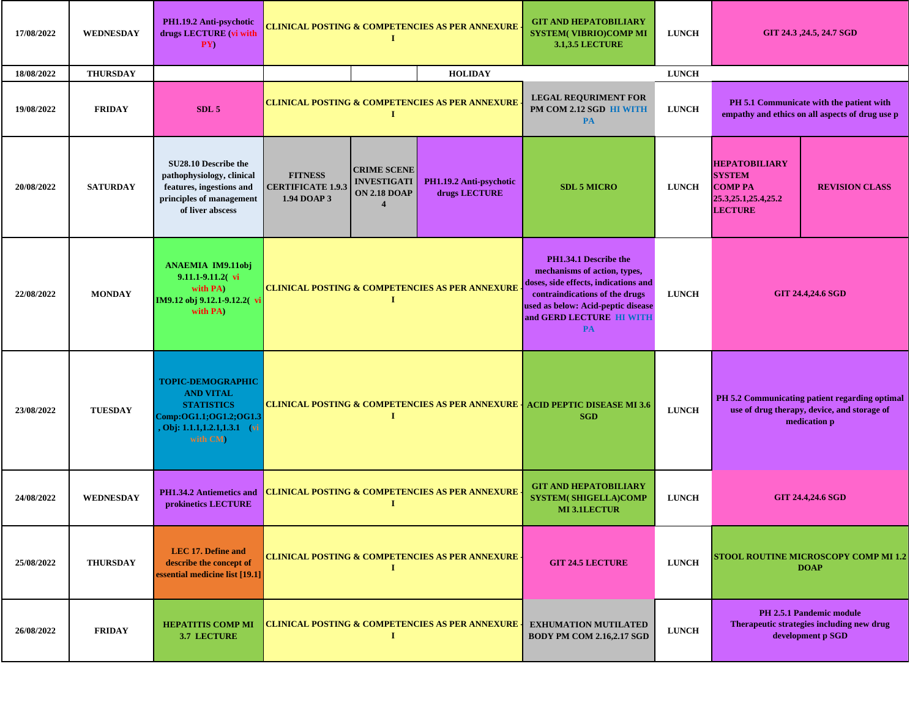| 17/08/2022 | <b>WEDNESDAY</b> | PH1.19.2 Anti-psychotic<br>drugs LECTURE (vi with<br>PY)                                                                                | <b>CLINICAL POSTING &amp; COMPETENCIES AS PER ANNEXURE</b><br>T |                                                                                                             |                                                            | <b>GIT AND HEPATOBILIARY</b><br><b>SYSTEM(VIBRIO)COMP MI</b><br><b>3.1,3.5 LECTURE</b>                                                                                                                         | <b>LUNCH</b> |                                                                                                     | GIT 24.3, 24.5, 24.7 SGD                                                                                      |  |
|------------|------------------|-----------------------------------------------------------------------------------------------------------------------------------------|-----------------------------------------------------------------|-------------------------------------------------------------------------------------------------------------|------------------------------------------------------------|----------------------------------------------------------------------------------------------------------------------------------------------------------------------------------------------------------------|--------------|-----------------------------------------------------------------------------------------------------|---------------------------------------------------------------------------------------------------------------|--|
| 18/08/2022 | <b>THURSDAY</b>  |                                                                                                                                         |                                                                 |                                                                                                             | <b>HOLIDAY</b>                                             |                                                                                                                                                                                                                | <b>LUNCH</b> |                                                                                                     |                                                                                                               |  |
| 19/08/2022 | <b>FRIDAY</b>    | SDL <sub>5</sub>                                                                                                                        |                                                                 |                                                                                                             | <b>CLINICAL POSTING &amp; COMPETENCIES AS PER ANNEXURE</b> | <b>LEGAL REQURIMENT FOR</b><br>PM COM 2.12 SGD HI WITH<br><b>PA</b>                                                                                                                                            | <b>LUNCH</b> |                                                                                                     | PH 5.1 Communicate with the patient with<br>empathy and ethics on all aspects of drug use p                   |  |
| 20/08/2022 | <b>SATURDAY</b>  | SU28.10 Describe the<br>pathophysiology, clinical<br>features, ingestions and<br>principles of management<br>of liver abscess           | <b>FITNESS</b><br><b>CERTIFICATE 1.9.3</b><br>1.94 DOAP 3       | <b>CRIME SCENE</b><br><b>INVESTIGATI</b><br>PH1.19.2 Anti-psychotic<br>drugs LECTURE<br><b>ON 2.18 DOAP</b> |                                                            | <b>SDL 5 MICRO</b>                                                                                                                                                                                             | <b>LUNCH</b> | <b>HEPATOBILIARY</b><br><b>SYSTEM</b><br><b>COMP PA</b><br>25.3, 25.1, 25.4, 25.2<br><b>LECTURE</b> | <b>REVISION CLASS</b>                                                                                         |  |
| 22/08/2022 | <b>MONDAY</b>    | <b>ANAEMIA IM9.11obj</b><br>$9.11.1 - 9.11.2$ vi<br>with PA)<br>IM9.12 obj 9.12.1-9.12.2(vi<br>with PA)                                 | <b>CLINICAL POSTING &amp; COMPETENCIES AS PER ANNEXURE</b><br>1 |                                                                                                             |                                                            | PH1.34.1 Describe the<br>mechanisms of action, types,<br>doses, side effects, indications and<br>contraindications of the drugs<br>used as below: Acid-peptic disease<br>and GERD LECTURE HI WITH<br><b>PA</b> | <b>LUNCH</b> |                                                                                                     | <b>GIT 24.4,24.6 SGD</b>                                                                                      |  |
| 23/08/2022 | <b>TUESDAY</b>   | <b>TOPIC-DEMOGRAPHIC</b><br><b>AND VITAL</b><br><b>STATISTICS</b><br>Comp:OG1.1;OG1.2;OG1.3<br>, Obj: 1.1.1,1.2.1,1.3.1 (vi<br>with CM) |                                                                 | I                                                                                                           |                                                            | <b>CLINICAL POSTING &amp; COMPETENCIES AS PER ANNEXURE   ACID PEPTIC DISEASE MI 3.6</b><br><b>SGD</b>                                                                                                          | <b>LUNCH</b> |                                                                                                     | PH 5.2 Communicating patient regarding optimal<br>use of drug therapy, device, and storage of<br>medication p |  |
| 24/08/2022 | <b>WEDNESDAY</b> | PH1.34.2 Antiemetics and<br>prokinetics LECTURE                                                                                         |                                                                 | 1                                                                                                           | <b>CLINICAL POSTING &amp; COMPETENCIES AS PER ANNEXURE</b> | <b>GIT AND HEPATOBILIARY</b><br><b>SYSTEM( SHIGELLA)COMP</b><br><b>MI3.1LECTUR</b>                                                                                                                             | <b>LUNCH</b> |                                                                                                     | <b>GIT 24.4,24.6 SGD</b>                                                                                      |  |
| 25/08/2022 | <b>THURSDAY</b>  | <b>LEC 17. Define and</b><br>describe the concept of<br>essential medicine list [19.1]                                                  | <b>CLINICAL POSTING &amp; COMPETENCIES AS PER ANNEXURE .</b>    |                                                                                                             |                                                            | <b>GIT 24.5 LECTURE</b>                                                                                                                                                                                        | <b>LUNCH</b> |                                                                                                     | STOOL ROUTINE MICROSCOPY COMP MI 1.2<br><b>DOAP</b>                                                           |  |
| 26/08/2022 | <b>FRIDAY</b>    | <b>HEPATITIS COMP MI</b><br><b>3.7 LECTURE</b>                                                                                          | <b>CLINICAL POSTING &amp; COMPETENCIES AS PER ANNEXURE</b>      |                                                                                                             |                                                            | <b>EXHUMATION MUTILATED</b><br><b>BODY PM COM 2.16,2.17 SGD</b>                                                                                                                                                | <b>LUNCH</b> |                                                                                                     | <b>PH 2.5.1 Pandemic module</b><br>Therapeutic strategies including new drug<br>development p SGD             |  |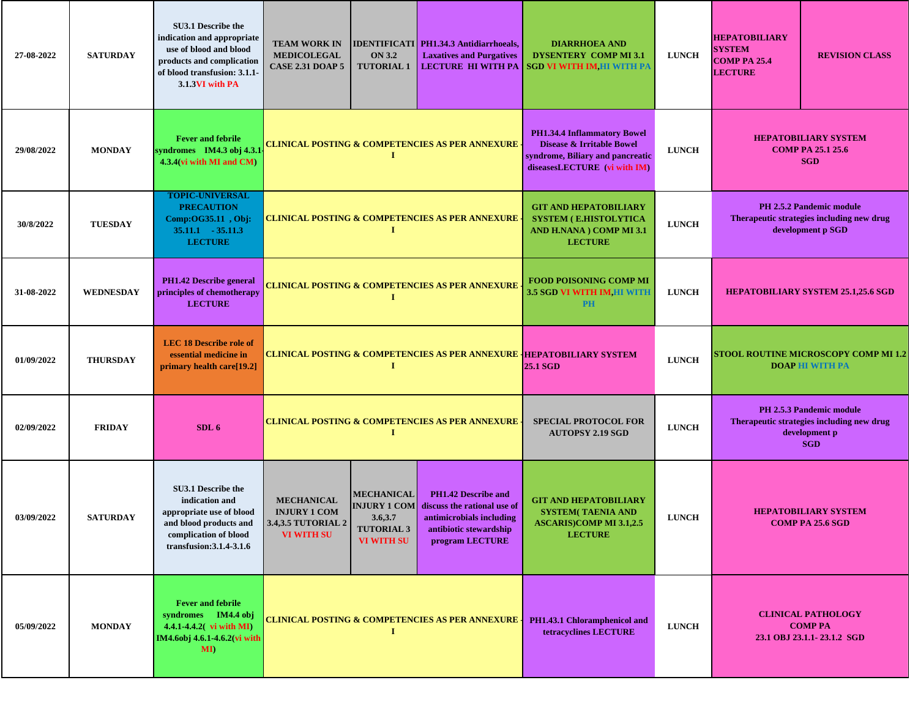| 27-08-2022 | <b>SATURDAY</b>  | SU3.1 Describe the<br>indication and appropriate<br>use of blood and blood<br>products and complication<br>of blood transfusion: 3.1.1-<br>3.1.3VI with PA | <b>TEAM WORK IN</b><br><b>MEDICOLEGAL</b><br><b>CASE 2.31 DOAP 5</b>                                                                                                                                                                                                                                                                                                                                                                                | <b>ON 3.2</b><br><b>TUTORIAL 1</b> | <b>IDENTIFICATI PH1.34.3 Antidiarrhoeals,</b><br><b>Laxatives and Purgatives</b>                                             | <b>DIARRHOEA AND</b><br><b>DYSENTERY COMP MI 3.1</b><br>LECTURE HI WITH PA SGD VI WITH IM, HI WITH PA      | <b>LUNCH</b> | <b>HEPATOBILIARY</b><br><b>SYSTEM</b><br><b>COMP PA 25.4</b><br><b>LECTURE</b> | <b>REVISION CLASS</b>                                                                                       |  |
|------------|------------------|------------------------------------------------------------------------------------------------------------------------------------------------------------|-----------------------------------------------------------------------------------------------------------------------------------------------------------------------------------------------------------------------------------------------------------------------------------------------------------------------------------------------------------------------------------------------------------------------------------------------------|------------------------------------|------------------------------------------------------------------------------------------------------------------------------|------------------------------------------------------------------------------------------------------------|--------------|--------------------------------------------------------------------------------|-------------------------------------------------------------------------------------------------------------|--|
| 29/08/2022 | <b>MONDAY</b>    | <b>Fever and febrile</b><br>syndromes IM4.3 obj 4.3.1<br>4.3.4(vi with MI and CM)                                                                          | <b>CLINICAL POSTING &amp; COMPETENCIES AS PER ANNEXURE -</b>                                                                                                                                                                                                                                                                                                                                                                                        |                                    | PH1.34.4 Inflammatory Bowel<br>Disease & Irritable Bowel<br>syndrome, Biliary and pancreatic<br>diseasesLECTURE (vi with IM) | <b>LUNCH</b>                                                                                               |              | <b>HEPATOBILIARY SYSTEM</b><br><b>COMP PA 25.1 25.6</b><br><b>SGD</b>          |                                                                                                             |  |
| 30/8/2022  | <b>TUESDAY</b>   | <b>TOPIC-UNIVERSAL</b><br><b>PRECAUTION</b><br>Comp:OG35.11, Obj:<br>$35.11.1 - 35.11.3$<br><b>LECTURE</b>                                                 | <b>CLINICAL POSTING &amp; COMPETENCIES AS PER ANNEXURE</b><br>1                                                                                                                                                                                                                                                                                                                                                                                     |                                    |                                                                                                                              | <b>GIT AND HEPATOBILIARY</b><br><b>SYSTEM (E.HISTOLYTICA</b><br>AND H.NANA ) COMP MI 3.1<br><b>LECTURE</b> | <b>LUNCH</b> |                                                                                | <b>PH 2.5.2 Pandemic module</b><br>Therapeutic strategies including new drug<br>development p SGD           |  |
| 31-08-2022 | <b>WEDNESDAY</b> | <b>PH1.42 Describe general</b><br>principles of chemotherapy<br><b>LECTURE</b>                                                                             | <b>CLINICAL POSTING &amp; COMPETENCIES AS PER ANNEXURE</b><br>1                                                                                                                                                                                                                                                                                                                                                                                     |                                    |                                                                                                                              | <b>FOOD POISONING COMP MI</b><br>3.5 SGD VI WITH IM, HI WITH<br><b>PH</b>                                  | <b>LUNCH</b> |                                                                                | <b>HEPATOBILIARY SYSTEM 25.1,25.6 SGD</b>                                                                   |  |
| 01/09/2022 | <b>THURSDAY</b>  | <b>LEC 18 Describe role of</b><br>essential medicine in<br>primary health care[19.2]                                                                       |                                                                                                                                                                                                                                                                                                                                                                                                                                                     | п                                  |                                                                                                                              | <b>CLINICAL POSTING &amp; COMPETENCIES AS PER ANNEXURE   HEPATOBILIARY SYSTEM</b><br><b>25.1 SGD</b>       | <b>LUNCH</b> |                                                                                | STOOL ROUTINE MICROSCOPY COMP MI 1.2 <br><b>DOAP HI WITH PA</b>                                             |  |
| 02/09/2022 | <b>FRIDAY</b>    | SDL 6                                                                                                                                                      |                                                                                                                                                                                                                                                                                                                                                                                                                                                     | п                                  | <b>CLINICAL POSTING &amp; COMPETENCIES AS PER ANNEXURE</b>                                                                   | <b>SPECIAL PROTOCOL FOR</b><br><b>AUTOPSY 2.19 SGD</b>                                                     | <b>LUNCH</b> |                                                                                | <b>PH 2.5.3 Pandemic module</b><br>Therapeutic strategies including new drug<br>development p<br><b>SGD</b> |  |
| 03/09/2022 | <b>SATURDAY</b>  | <b>SU3.1 Describe the</b><br>indication and<br>appropriate use of blood<br>and blood products and<br>complication of blood<br>transfusion: 3.1.4-3.1.6     | <b>MECHANICAL</b><br><b>PH1.42 Describe and</b><br><b>MECHANICAL</b><br><b>GIT AND HEPATOBILIARY</b><br><b>INJURY 1 COM</b><br>discuss the rational use of<br><b>INJURY 1 COM</b><br><b>SYSTEM(TAENIA AND</b><br><b>LUNCH</b><br>3.6,3.7<br>antimicrobials including<br>3.4,3.5 TUTORIAL 2<br><b>ASCARIS)COMP MI 3.1,2.5</b><br><b>TUTORIAL 3</b><br>antibiotic stewardship<br>VI WITH SU<br><b>LECTURE</b><br><b>VI WITH SU</b><br>program LECTURE |                                    |                                                                                                                              | <b>HEPATOBILIARY SYSTEM</b><br><b>COMP PA 25.6 SGD</b>                                                     |              |                                                                                |                                                                                                             |  |
| 05/09/2022 | <b>MONDAY</b>    | <b>Fever and febrile</b><br>syndromes IM4.4 obj<br>4.4.1-4.4.2( vi with MI)<br>IM4.6obj 4.6.1-4.6.2(vi with<br>$\mathbf{M}$                                | <b>CLINICAL POSTING &amp; COMPETENCIES AS PER ANNEXURE</b><br>п                                                                                                                                                                                                                                                                                                                                                                                     |                                    | PH1.43.1 Chloramphenicol and<br>tetracyclines LECTURE                                                                        | <b>LUNCH</b>                                                                                               |              | <b>CLINICAL PATHOLOGY</b><br><b>COMP PA</b><br>23.1 OBJ 23.1.1-23.1.2 SGD      |                                                                                                             |  |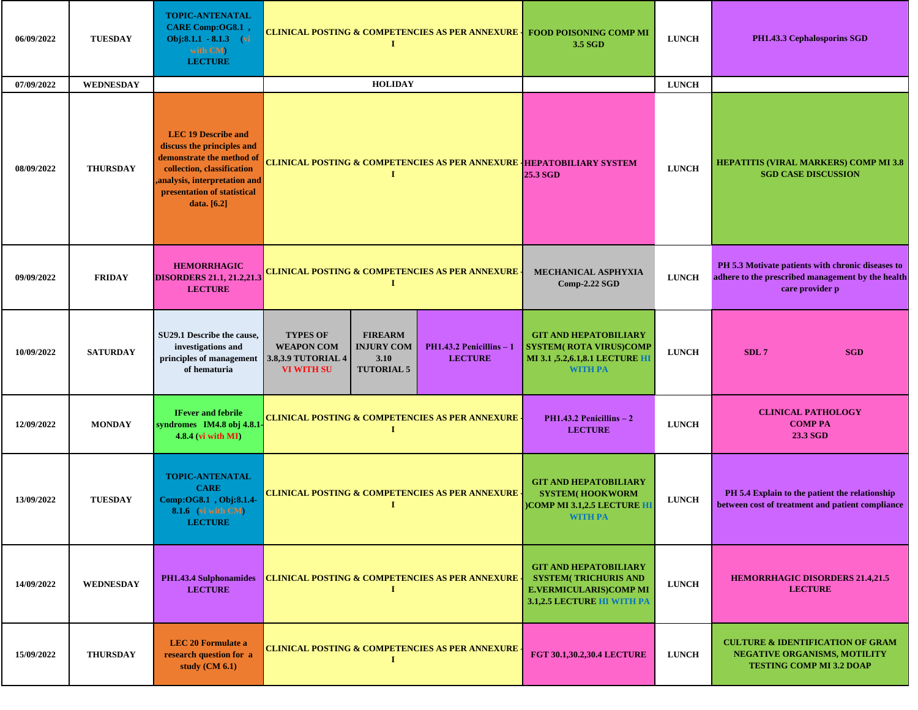| 06/09/2022 | <b>TUESDAY</b>   | <b>TOPIC-ANTENATAL</b><br>CARE Comp:OG8.1,<br>Obj:8.1.1 - 8.1.3 (vi<br>with CM)<br><b>LECTURE</b>                                                                                                 | <b>CLINICAL POSTING &amp; COMPETENCIES AS PER ANNEXURE</b><br>1                                                                                                                                      | <b>FOOD POISONING COMP MI</b><br>3.5 SGD                                                                                    | <b>LUNCH</b> | PH1.43.3 Cephalosporins SGD                                                                                               |
|------------|------------------|---------------------------------------------------------------------------------------------------------------------------------------------------------------------------------------------------|------------------------------------------------------------------------------------------------------------------------------------------------------------------------------------------------------|-----------------------------------------------------------------------------------------------------------------------------|--------------|---------------------------------------------------------------------------------------------------------------------------|
| 07/09/2022 | <b>WEDNESDAY</b> |                                                                                                                                                                                                   | <b>HOLIDAY</b>                                                                                                                                                                                       |                                                                                                                             | <b>LUNCH</b> |                                                                                                                           |
| 08/09/2022 | <b>THURSDAY</b>  | <b>LEC 19 Describe and</b><br>discuss the principles and<br>demonstrate the method of<br>collection, classification<br>analysis, interpretation and<br>presentation of statistical<br>data. [6.2] | <b>CLINICAL POSTING &amp; COMPETENCIES AS PER ANNEXURE HEPATOBILIARY SYSTEM</b><br>I                                                                                                                 | 25.3 SGD                                                                                                                    | <b>LUNCH</b> | <b>HEPATITIS (VIRAL MARKERS) COMP MI 3.8</b><br><b>SGD CASE DISCUSSION</b>                                                |
| 09/09/2022 | <b>FRIDAY</b>    | <b>HEMORRHAGIC</b><br><b>DISORDERS 21.1, 21.2,21.3</b><br><b>LECTURE</b>                                                                                                                          | CLINICAL POSTING & COMPETENCIES AS PER ANNEXURE<br>1                                                                                                                                                 | MECHANICAL ASPHYXIA<br>$Comp-2.22$ SGD                                                                                      | <b>LUNCH</b> | PH 5.3 Motivate patients with chronic diseases to<br>adhere to the prescribed management by the health<br>care provider p |
| 10/09/2022 | <b>SATURDAY</b>  | SU29.1 Describe the cause,<br>investigations and<br>principles of management<br>of hematuria                                                                                                      | <b>TYPES OF</b><br><b>FIREARM</b><br><b>WEAPON COM</b><br><b>INJURY COM</b><br>$PH1.43.2$ Penicillins $-1$<br><b>LECTURE</b><br>3.8,3.9 TUTORIAL 4<br>3.10<br><b>TUTORIAL 5</b><br><b>VI WITH SU</b> | <b>GIT AND HEPATOBILIARY</b><br><b>SYSTEM( ROTA VIRUS)COMP</b><br>MI 3.1 , 5.2, 6.1, 8.1 LECTURE HI<br><b>WITH PA</b>       | <b>LUNCH</b> | SDL7<br><b>SGD</b>                                                                                                        |
| 12/09/2022 | <b>MONDAY</b>    | <b>IFever and febrile</b><br>syndromes IM4.8 obj 4.8.1<br>$4.8.4$ (vi with MI)                                                                                                                    | <b>CLINICAL POSTING &amp; COMPETENCIES AS PER ANNEXURE .</b><br>П                                                                                                                                    | $PH1.43.2$ Penicillins $-2$<br><b>LECTURE</b>                                                                               | <b>LUNCH</b> | <b>CLINICAL PATHOLOGY</b><br><b>COMP PA</b><br>23.3 SGD                                                                   |
| 13/09/2022 | <b>TUESDAY</b>   | <b>TOPIC-ANTENATAL</b><br><b>CARE</b><br>Comp:OG8.1, Obj:8.1.4-<br><b>8.1.6</b> (vi with CM)<br><b>LECTURE</b>                                                                                    | <b>CLINICAL POSTING &amp; COMPETENCIES AS PER ANNEXURE</b><br>I                                                                                                                                      | <b>GIT AND HEPATOBILIARY</b><br><b>SYSTEM(HOOKWORM</b><br>)COMP MI 3.1,2.5 LECTURE HI<br><b>WITH PA</b>                     | <b>LUNCH</b> | PH 5.4 Explain to the patient the relationship<br>between cost of treatment and patient compliance                        |
| 14/09/2022 | <b>WEDNESDAY</b> | PH1.43.4 Sulphonamides<br><b>LECTURE</b>                                                                                                                                                          | <b>CLINICAL POSTING &amp; COMPETENCIES AS PER ANNEXURE</b><br>п                                                                                                                                      | <b>GIT AND HEPATOBILIARY</b><br><b>SYSTEM( TRICHURIS AND</b><br><b>E.VERMICULARIS)COMP MI</b><br>3.1,2.5 LECTURE HI WITH PA | <b>LUNCH</b> | <b>HEMORRHAGIC DISORDERS 21.4,21.5</b><br><b>LECTURE</b>                                                                  |
| 15/09/2022 | <b>THURSDAY</b>  | <b>LEC 20 Formulate a</b><br>research question for a<br>study (CM 6.1)                                                                                                                            | <b>CLINICAL POSTING &amp; COMPETENCIES AS PER ANNEXURE</b><br>I                                                                                                                                      | <b>FGT 30.1,30.2,30.4 LECTURE</b>                                                                                           | <b>LUNCH</b> | <b>CULTURE &amp; IDENTIFICATION OF GRAM</b><br><b>NEGATIVE ORGANISMS, MOTILITY</b><br><b>TESTING COMP MI 3.2 DOAP</b>     |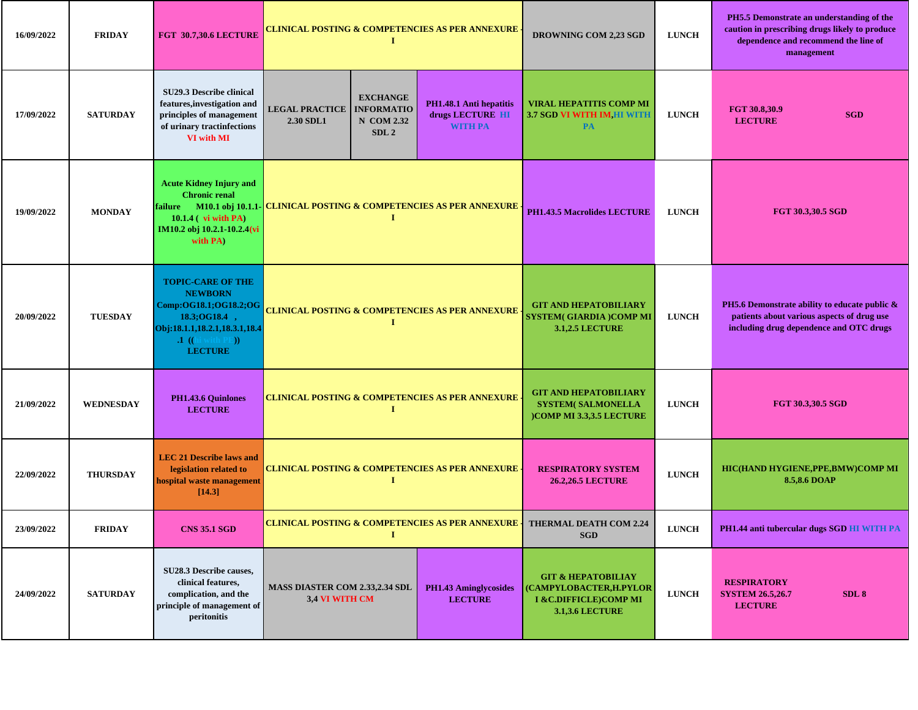| 16/09/2022 | <b>FRIDAY</b>    | <b>FGT 30.7,30.6 LECTURE</b>                                                                                                                                        | CLINICAL POSTING & COMPETENCIES AS PER ANNEXURE <sub>:</sub><br>T                                                                                                                    |                                                                                                           |                                                                            | DROWNING COM 2,23 SGD                                                                                       | <b>LUNCH</b>                                  | PH5.5 Demonstrate an understanding of the<br>caution in prescribing drugs likely to produce<br>dependence and recommend the line of<br>management |
|------------|------------------|---------------------------------------------------------------------------------------------------------------------------------------------------------------------|--------------------------------------------------------------------------------------------------------------------------------------------------------------------------------------|-----------------------------------------------------------------------------------------------------------|----------------------------------------------------------------------------|-------------------------------------------------------------------------------------------------------------|-----------------------------------------------|---------------------------------------------------------------------------------------------------------------------------------------------------|
| 17/09/2022 | <b>SATURDAY</b>  | SU29.3 Describe clinical<br>features, investigation and<br>principles of management<br>of urinary tractinfections<br>VI with MI                                     | <b>EXCHANGE</b><br>PH1.48.1 Anti hepatitis<br><b>LEGAL PRACTICE</b><br><b>INFORMATIO</b><br>drugs LECTURE HI<br><b>N</b> COM 2.32<br>2.30 SDL1<br><b>WITH PA</b><br>SDL <sub>2</sub> |                                                                                                           | <b>VIRAL HEPATITIS COMP MI</b><br><b>3.7 SGD VI WITH IM, HI WITH</b><br>PA | <b>LUNCH</b>                                                                                                | FGT 30.8,30.9<br><b>SGD</b><br><b>LECTURE</b> |                                                                                                                                                   |
| 19/09/2022 | <b>MONDAY</b>    | <b>Acute Kidney Injury and</b><br><b>Chronic renal</b><br>10.1.4 (vi with PA)<br>IM10.2 obj 10.2.1-10.2.4(vi<br>with PA)                                            | failure M10.1 obj 10.1.1-CLINICAL POSTING & COMPETENCIES AS PER ANNEXURE                                                                                                             |                                                                                                           |                                                                            | <b>PH1.43.5 Macrolides LECTURE</b>                                                                          | <b>LUNCH</b>                                  | FGT 30.3,30.5 SGD                                                                                                                                 |
| 20/09/2022 | <b>TUESDAY</b>   | <b>TOPIC-CARE OF THE</b><br><b>NEWBORN</b><br>Comp:OG18.1;OG18.2;OG<br>18.3; OG18.4,<br>Obj:18.1.1,18.2.1,18.3.1,18.4<br>$\cdot$ 1 ((hi with PE))<br><b>LECTURE</b> | <b>CLINICAL POSTING &amp; COMPETENCIES AS PER ANNEXURE</b><br>Т                                                                                                                      |                                                                                                           |                                                                            | <b>GIT AND HEPATOBILIARY</b><br><b>SYSTEM(GIARDIA)COMP MI</b><br><b>3.1,2.5 LECTURE</b>                     | <b>LUNCH</b>                                  | PH5.6 Demonstrate ability to educate public &<br>patients about various aspects of drug use<br>including drug dependence and OTC drugs            |
| 21/09/2022 | <b>WEDNESDAY</b> | PH1.43.6 Quinlones<br><b>LECTURE</b>                                                                                                                                |                                                                                                                                                                                      | <b>I</b>                                                                                                  | <b>CLINICAL POSTING &amp; COMPETENCIES AS PER ANNEXURE</b>                 | <b>GIT AND HEPATOBILIARY</b><br><b>SYSTEM( SALMONELLA</b><br><b>COMP MI 3.3,3.5 LECTURE</b>                 | <b>LUNCH</b>                                  | <b>FGT 30.3,30.5 SGD</b>                                                                                                                          |
| 22/09/2022 | <b>THURSDAY</b>  | <b>LEC 21 Describe laws and</b><br>legislation related to<br>hospital waste management<br>[14.3]                                                                    |                                                                                                                                                                                      | <b>I</b>                                                                                                  | <b>CLINICAL POSTING &amp; COMPETENCIES AS PER ANNEXURE .</b>               | <b>RESPIRATORY SYSTEM</b><br><b>26.2,26.5 LECTURE</b>                                                       | <b>LUNCH</b>                                  | HIC(HAND HYGIENE,PPE,BMW)COMP MI<br>8.5,8.6 DOAP                                                                                                  |
| 23/09/2022 | <b>FRIDAY</b>    | <b>CNS 35.1 SGD</b>                                                                                                                                                 |                                                                                                                                                                                      | 1                                                                                                         |                                                                            | <b>CLINICAL POSTING &amp; COMPETENCIES AS PER ANNEXURE THERMAL DEATH COM 2.24</b><br><b>SGD</b>             | <b>LUNCH</b>                                  | PH1.44 anti tubercular dugs SGD HI WITH PA                                                                                                        |
| 24/09/2022 | <b>SATURDAY</b>  | SU28.3 Describe causes,<br>clinical features,<br>complication, and the<br>principle of management of<br>peritonitis                                                 |                                                                                                                                                                                      | <b>MASS DIASTER COM 2.33,2.34 SDL</b><br><b>PH1.43 Aminglycosides</b><br>3,4 VI WITH CM<br><b>LECTURE</b> |                                                                            | <b>GIT &amp; HEPATOBILIAY</b><br>(CAMPYLOBACTER,H.PYLOR<br>I & C.DIFFICLE)COMP MI<br><b>3.1,3.6 LECTURE</b> | <b>LUNCH</b>                                  | <b>RESPIRATORY</b><br><b>SYSTEM 26.5,26.7</b><br>SDL <sub>8</sub><br><b>LECTURE</b>                                                               |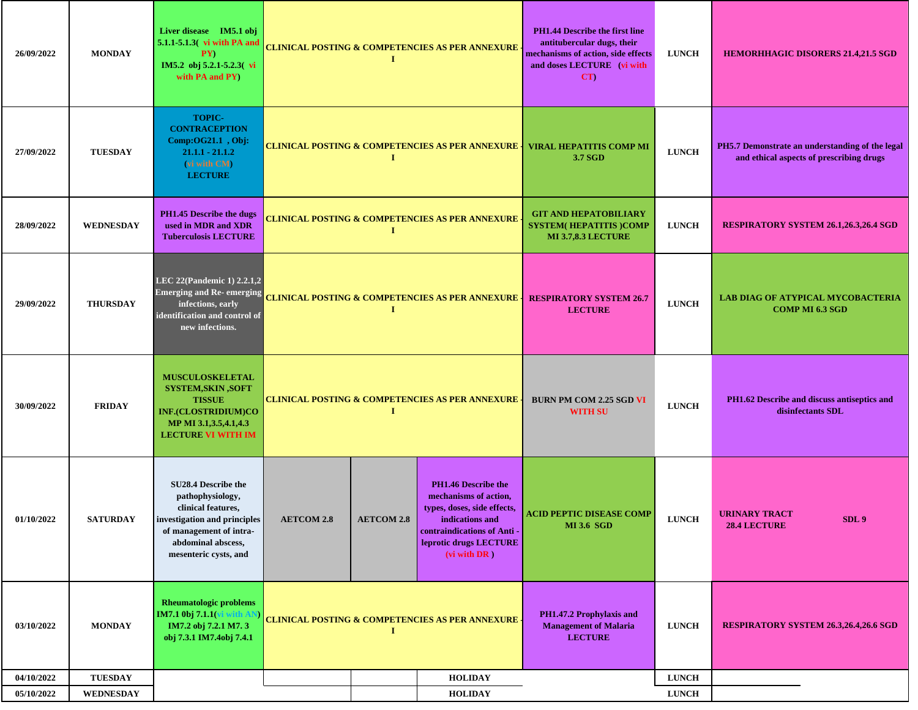| 26/09/2022 | <b>MONDAY</b>    | Liver disease IM5.1 obj<br>5.1.1-5.1.3 (vi with PA and<br>PY)<br>IM5.2 obj 5.2.1-5.2.3(vi<br>with PA and PY)                                                            | <b>CLINICAL POSTING &amp; COMPETENCIES AS PER ANNEXURE</b><br>$\bf{I}$ |                   |                                                                                                                                                                         | <b>PH1.44 Describe the first line</b><br>antitubercular dugs, their<br>mechanisms of action, side effects<br>and doses LECTURE (vi with<br>CT | <b>LUNCH</b> | <b>HEMORHHAGIC DISORERS 21.4,21.5 SGD</b>                                                   |
|------------|------------------|-------------------------------------------------------------------------------------------------------------------------------------------------------------------------|------------------------------------------------------------------------|-------------------|-------------------------------------------------------------------------------------------------------------------------------------------------------------------------|-----------------------------------------------------------------------------------------------------------------------------------------------|--------------|---------------------------------------------------------------------------------------------|
| 27/09/2022 | <b>TUESDAY</b>   | <b>TOPIC-</b><br><b>CONTRACEPTION</b><br>Comp:OG21.1, Obj:<br>$21.1.1 - 21.1.2$<br>(vi with CM)<br><b>LECTURE</b>                                                       | <b>CLINICAL POSTING &amp; COMPETENCIES AS PER ANNEXURE</b><br>п.       |                   |                                                                                                                                                                         | <b>VIRAL HEPATITIS COMP MI</b><br>3.7 SGD                                                                                                     | <b>LUNCH</b> | PH5.7 Demonstrate an understanding of the legal<br>and ethical aspects of prescribing drugs |
| 28/09/2022 | <b>WEDNESDAY</b> | <b>PH1.45 Describe the dugs</b><br>used in MDR and XDR<br><b>Tuberculosis LECTURE</b>                                                                                   | CLINICAL POSTING & COMPETENCIES AS PER ANNEXURE<br>1                   |                   |                                                                                                                                                                         | <b>GIT AND HEPATOBILIARY</b><br><b>SYSTEM(HEPATITIS)COMP</b><br><b>MI 3.7,8.3 LECTURE</b>                                                     | <b>LUNCH</b> | <b>RESPIRATORY SYSTEM 26.1,26.3,26.4 SGD</b>                                                |
| 29/09/2022 | <b>THURSDAY</b>  | LEC 22(Pandemic 1) 2.2.1,2<br><b>Emerging and Re- emerging</b><br>infections, early<br>identification and control of<br>new infections.                                 | <b>CLINICAL POSTING &amp; COMPETENCIES AS PER ANNEXURE</b><br>$\bf{I}$ |                   |                                                                                                                                                                         | <b>RESPIRATORY SYSTEM 26.7</b><br><b>LECTURE</b>                                                                                              | <b>LUNCH</b> | <b>LAB DIAG OF ATYPICAL MYCOBACTERIA</b><br><b>COMP MI 6.3 SGD</b>                          |
| 30/09/2022 | <b>FRIDAY</b>    | <b>MUSCULOSKELETAL</b><br><b>SYSTEM, SKIN, SOFT</b><br><b>TISSUE</b><br>INF.(CLOSTRIDIUM)CO<br>MP MI 3.1,3.5,4.1,4.3<br><b>LECTURE VI WITH IM</b>                       |                                                                        | $\bf{I}$          | <b>CLINICAL POSTING &amp; COMPETENCIES AS PER ANNEXURE</b>                                                                                                              | <b>BURN PM COM 2.25 SGD VI</b><br><b>WITH SU</b>                                                                                              | <b>LUNCH</b> | PH1.62 Describe and discuss antiseptics and<br>disinfectants SDL                            |
| 01/10/2022 | <b>SATURDAY</b>  | SU28.4 Describe the<br>pathophysiology,<br>clinical features,<br>investigation and principles<br>of management of intra-<br>abdominal abscess,<br>mesenteric cysts, and | <b>AETCOM 2.8</b>                                                      | <b>AETCOM 2.8</b> | PH1.46 Describe the<br>mechanisms of action,<br>types, doses, side effects,<br>indications and<br>contraindications of Anti -<br>leprotic drugs LECTURE<br>(vi with DR) | ACID PEPTIC DISEASE COMP<br><b>MI 3.6 SGD</b>                                                                                                 | <b>LUNCH</b> | <b>URINARY TRACT</b><br>SDL <sub>9</sub><br>28.4 LECTURE                                    |
| 03/10/2022 | <b>MONDAY</b>    | <b>Rheumatologic problems</b><br>IM7.1 0bj 7.1.1( <mark>v</mark><br>IM7.2 obj 7.2.1 M7.3<br>obj 7.3.1 IM7.4obj 7.4.1                                                    | <b>CLINICAL POSTING &amp; COMPETENCIES AS PER ANNEXURE.</b><br>л.      |                   |                                                                                                                                                                         | PH1.47.2 Prophylaxis and<br><b>Management of Malaria</b><br><b>LECTURE</b>                                                                    | <b>LUNCH</b> | RESPIRATORY SYSTEM 26.3,26.4,26.6 SGD                                                       |
| 04/10/2022 | <b>TUESDAY</b>   |                                                                                                                                                                         |                                                                        |                   | <b>HOLIDAY</b>                                                                                                                                                          |                                                                                                                                               | <b>LUNCH</b> |                                                                                             |
| 05/10/2022 | WEDNESDAY        |                                                                                                                                                                         |                                                                        |                   | <b>HOLIDAY</b>                                                                                                                                                          |                                                                                                                                               | <b>LUNCH</b> |                                                                                             |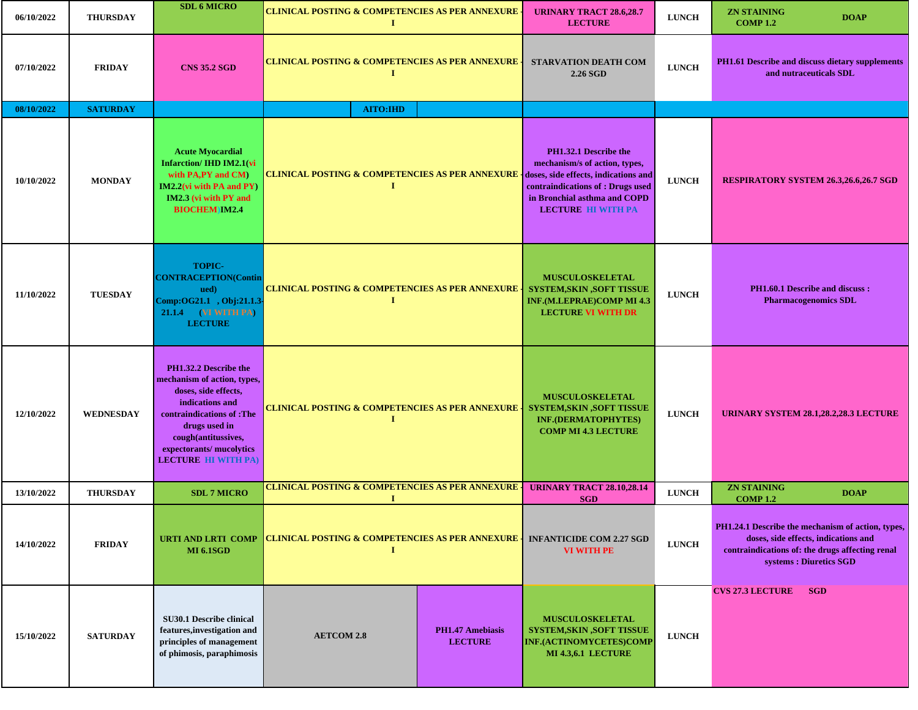| 06/10/2022 | <b>THURSDAY</b>  | <b>SDL 6 MICRO</b>                                                                                                                                                                                                             | <b>CLINICAL POSTING &amp; COMPETENCIES AS PER ANNEXURE</b><br>Т. |                                                                                                                                                                                                  | <b>URINARY TRACT 28.6,28.7</b><br><b>LECTURE</b>                                                                          | <b>LUNCH</b>                                                         | <b>ZN STAINING</b><br><b>COMP 1.2</b>                                                                                                                                   | <b>DOAP</b> |
|------------|------------------|--------------------------------------------------------------------------------------------------------------------------------------------------------------------------------------------------------------------------------|------------------------------------------------------------------|--------------------------------------------------------------------------------------------------------------------------------------------------------------------------------------------------|---------------------------------------------------------------------------------------------------------------------------|----------------------------------------------------------------------|-------------------------------------------------------------------------------------------------------------------------------------------------------------------------|-------------|
| 07/10/2022 | <b>FRIDAY</b>    | <b>CNS 35.2 SGD</b>                                                                                                                                                                                                            | <b>CLINICAL POSTING &amp; COMPETENCIES AS PER ANNEXURE</b><br>1  |                                                                                                                                                                                                  | <b>STARVATION DEATH COM</b><br>2.26 SGD                                                                                   | <b>LUNCH</b>                                                         | PH1.61 Describe and discuss dietary supplements<br>and nutraceuticals SDL                                                                                               |             |
| 08/10/2022 | <b>SATURDAY</b>  |                                                                                                                                                                                                                                | <b>AITO:IHD</b>                                                  |                                                                                                                                                                                                  |                                                                                                                           |                                                                      |                                                                                                                                                                         |             |
| 10/10/2022 | <b>MONDAY</b>    | <b>Acute Myocardial</b><br><b>Infarction/IHD IM2.1(vi</b><br>with PA,PY and CM)<br>$IM2.2$ (vi with PA and PY)<br>IM2.3 (vi with PY and<br><b>BIOCHEM IM2.4</b>                                                                | <b>CLINICAL POSTING &amp; COMPETENCIES AS PER ANNEXURE</b><br>I  | PH1.32.1 Describe the<br>mechanism/s of action, types,<br>doses, side effects, indications and<br>contraindications of : Drugs used<br>in Bronchial asthma and COPD<br><b>LECTURE HI WITH PA</b> | <b>LUNCH</b>                                                                                                              | <b>RESPIRATORY SYSTEM 26.3,26.6,26.7 SGD</b>                         |                                                                                                                                                                         |             |
| 11/10/2022 | <b>TUESDAY</b>   | <b>TOPIC-</b><br><b>CONTRACEPTION(Contin</b><br>ued)<br>Comp:OG21.1, Obj:21.1.3<br><b>21.1.4</b> (VI WITH PA)<br><b>LECTURE</b>                                                                                                | <b>CLINICAL POSTING &amp; COMPETENCIES AS PER ANNEXURE</b>       | <b>MUSCULOSKELETAL</b><br><b>SYSTEM, SKIN , SOFT TISSUE</b><br><b>INF.(M.LEPRAE)COMP MI 4.3</b><br><b>LECTURE VI WITH DR</b>                                                                     | <b>LUNCH</b>                                                                                                              | <b>PH1.60.1 Describe and discuss:</b><br><b>Pharmacogenomics SDL</b> |                                                                                                                                                                         |             |
| 12/10/2022 | <b>WEDNESDAY</b> | PH1.32.2 Describe the<br>mechanism of action, types,<br>doses, side effects,<br>indications and<br>contraindications of :The<br>drugs used in<br>cough(antitussives,<br>expectorants/ mucolytics<br><b>LECTURE HI WITH PA)</b> | <b>CLINICAL POSTING &amp; COMPETENCIES AS PER ANNEXURE</b><br>1  |                                                                                                                                                                                                  | <b>MUSCULOSKELETAL</b><br><b>SYSTEM, SKIN, SOFT TISSUE</b><br><b>INF.(DERMATOPHYTES)</b><br><b>COMP MI 4.3 LECTURE</b>    | <b>LUNCH</b>                                                         | URINARY SYSTEM 28.1,28.2,28.3 LECTURE                                                                                                                                   |             |
| 13/10/2022 | <b>THURSDAY</b>  | <b>SDL 7 MICRO</b>                                                                                                                                                                                                             | <b>CLINICAL POSTING &amp; COMPETENCIES AS PER ANNEXURE</b>       |                                                                                                                                                                                                  | <b>URINARY TRACT 28.10,28.14</b><br><b>SGD</b>                                                                            | <b>LUNCH</b>                                                         | <b>ZN STAINING</b><br><b>COMP 1.2</b>                                                                                                                                   | <b>DOAP</b> |
| 14/10/2022 | <b>FRIDAY</b>    | <b>URTI AND LRTI COMP</b><br><b>MI 6.1SGD</b>                                                                                                                                                                                  | <b>CLINICAL POSTING &amp; COMPETENCIES AS PER ANNEXURE</b><br>1  |                                                                                                                                                                                                  | <b>INFANTICIDE COM 2.27 SGD</b><br><b>VI WITH PE</b>                                                                      | <b>LUNCH</b>                                                         | PH1.24.1 Describe the mechanism of action, types,<br>doses, side effects, indications and<br>contraindications of: the drugs affecting renal<br>systems : Diuretics SGD |             |
| 15/10/2022 | <b>SATURDAY</b>  | <b>SU30.1 Describe clinical</b><br>features, investigation and<br>principles of management<br>of phimosis, paraphimosis                                                                                                        | <b>AETCOM 2.8</b>                                                | <b>PH1.47 Amebiasis</b><br><b>LECTURE</b>                                                                                                                                                        | <b>MUSCULOSKELETAL</b><br><b>SYSTEM, SKIN, SOFT TISSUE</b><br><b>INF.(ACTINOMYCETES)COMP</b><br><b>MI 4.3,6.1 LECTURE</b> | <b>LUNCH</b>                                                         | <b>CVS 27.3 LECTURE</b><br><b>SGD</b>                                                                                                                                   |             |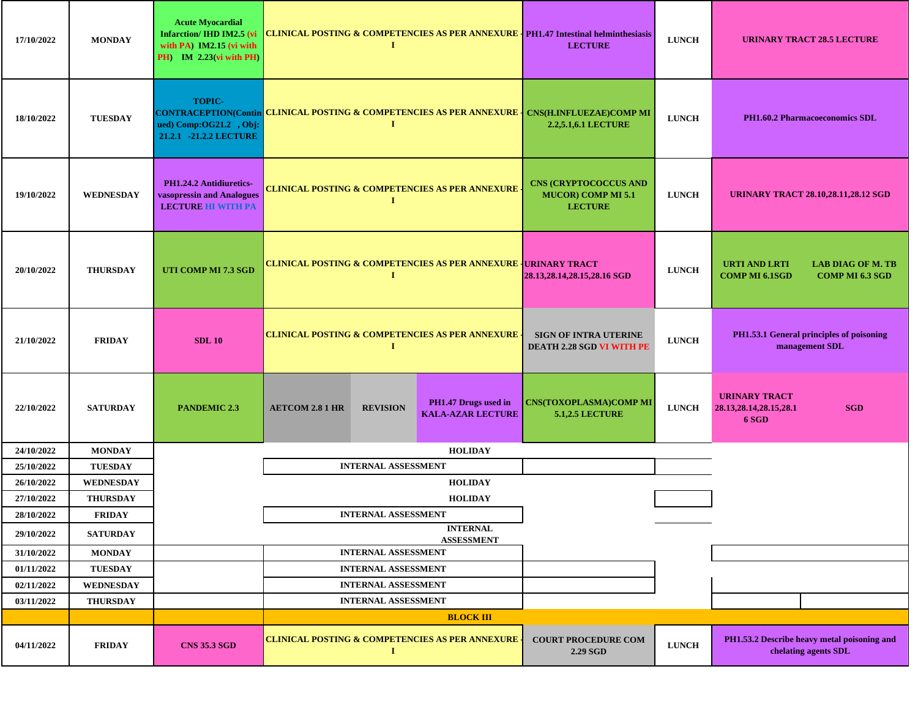| 17/10/2022 | <b>MONDAY</b>    | <b>Acute Myocardial</b><br><b>Infarction/ IHD IM2.5 (vi</b><br>with $PA$ ) $IM2.15$ (vi with<br>PH) IM 2.23(vi with PH) | <b>CLINICAL POSTING &amp; COMPETENCIES AS PER ANNEXURE   PH1.47 Intestinal helminthesiasis</b><br>1  |                            |                                                                            | <b>LECTURE</b>                                                              | <b>LUNCH</b> | <b>URINARY TRACT 28.5 LECTURE</b>                                                     |  |
|------------|------------------|-------------------------------------------------------------------------------------------------------------------------|------------------------------------------------------------------------------------------------------|----------------------------|----------------------------------------------------------------------------|-----------------------------------------------------------------------------|--------------|---------------------------------------------------------------------------------------|--|
| 18/10/2022 | <b>TUESDAY</b>   | <b>TOPIC-</b><br>ued) Comp:OG21.2, Obj:<br>21.2.1 -21.2.2 LECTURE                                                       | CONTRACEPTION(Contin CLINICAL POSTING & COMPETENCIES AS PER ANNEXURE   CNS(H.INFLUEZAE)COMP MI<br>л. |                            |                                                                            | 2.2,5.1,6.1 LECTURE                                                         | <b>LUNCH</b> | <b>PH1.60.2 Pharmacoeconomics SDL</b>                                                 |  |
| 19/10/2022 | <b>WEDNESDAY</b> | PH1.24.2 Antidiuretics-<br>vasopressin and Analogues<br><b>LECTURE HI WITH PA</b>                                       | <b>CLINICAL POSTING &amp; COMPETENCIES AS PER ANNEXURE</b><br>1                                      |                            |                                                                            | <b>CNS (CRYPTOCOCCUS AND</b><br><b>MUCOR) COMP MI 5.1</b><br><b>LECTURE</b> | <b>LUNCH</b> | <b>URINARY TRACT 28.10,28.11,28.12 SGD</b>                                            |  |
| 20/10/2022 | <b>THURSDAY</b>  | UTI COMP MI 7.3 SGD                                                                                                     |                                                                                                      | <b>I</b>                   | <b>CLINICAL POSTING &amp; COMPETENCIES AS PER ANNEXURE   URINARY TRACT</b> | 28.13,28.14,28.15,28.16 SGD                                                 | <b>LUNCH</b> | URTI AND LRTI<br><b>LAB DIAG OF M. TB</b><br><b>COMP MI 6.1SGD</b><br>COMP MI 6.3 SGD |  |
| 21/10/2022 | <b>FRIDAY</b>    | <b>SDL 10</b>                                                                                                           |                                                                                                      | 1                          | <b>CLINICAL POSTING &amp; COMPETENCIES AS PER ANNEXURE -</b>               | <b>SIGN OF INTRA UTERINE</b><br>DEATH 2.28 SGD VI WITH PE                   | <b>LUNCH</b> | PH1.53.1 General principles of poisoning<br>management SDL                            |  |
| 22/10/2022 | <b>SATURDAY</b>  | <b>PANDEMIC 2.3</b>                                                                                                     | <b>AETCOM 2.8 1 HR</b>                                                                               | <b>REVISION</b>            | PH1.47 Drugs used in<br><b>KALA-AZAR LECTURE</b>                           | <b>CNS(TOXOPLASMA)COMP MI</b><br><b>5.1,2.5 LECTURE</b>                     | <b>LUNCH</b> | <b>URINARY TRACT</b><br>28.13, 28.14, 28.15, 28.1<br><b>SGD</b><br>6 SGD              |  |
| 24/10/2022 | <b>MONDAY</b>    |                                                                                                                         |                                                                                                      |                            | <b>HOLIDAY</b>                                                             |                                                                             |              |                                                                                       |  |
| 25/10/2022 | <b>TUESDAY</b>   |                                                                                                                         |                                                                                                      | <b>INTERNAL ASSESSMENT</b> |                                                                            |                                                                             |              |                                                                                       |  |
| 26/10/2022 | <b>WEDNESDAY</b> |                                                                                                                         |                                                                                                      |                            | <b>HOLIDAY</b>                                                             |                                                                             |              |                                                                                       |  |
| 27/10/2022 | <b>THURSDAY</b>  |                                                                                                                         |                                                                                                      |                            | <b>HOLIDAY</b>                                                             |                                                                             |              |                                                                                       |  |
| 28/10/2022 | <b>FRIDAY</b>    |                                                                                                                         |                                                                                                      | <b>INTERNAL ASSESSMENT</b> |                                                                            |                                                                             |              |                                                                                       |  |
| 29/10/2022 | <b>SATURDAY</b>  |                                                                                                                         |                                                                                                      |                            | <b>INTERNAL</b><br><b>ASSESSMENT</b>                                       |                                                                             |              |                                                                                       |  |
| 31/10/2022 | <b>MONDAY</b>    |                                                                                                                         |                                                                                                      | <b>INTERNAL ASSESSMENT</b> |                                                                            |                                                                             |              |                                                                                       |  |
| 01/11/2022 | <b>TUESDAY</b>   |                                                                                                                         |                                                                                                      | <b>INTERNAL ASSESSMENT</b> |                                                                            |                                                                             |              |                                                                                       |  |
| 02/11/2022 | <b>WEDNESDAY</b> |                                                                                                                         |                                                                                                      | <b>INTERNAL ASSESSMENT</b> |                                                                            |                                                                             |              |                                                                                       |  |
| 03/11/2022 | <b>THURSDAY</b>  |                                                                                                                         |                                                                                                      | <b>INTERNAL ASSESSMENT</b> |                                                                            |                                                                             |              |                                                                                       |  |
|            |                  |                                                                                                                         |                                                                                                      |                            | <b>BLOCK III</b>                                                           |                                                                             |              |                                                                                       |  |
| 04/11/2022 | <b>FRIDAY</b>    | <b>CNS 35.3 SGD</b>                                                                                                     |                                                                                                      | $\bf{I}$                   | <b>CLINICAL POSTING &amp; COMPETENCIES AS PER ANNEXURE</b>                 | <b>COURT PROCEDURE COM</b><br>2.29 SGD                                      | <b>LUNCH</b> | PH1.53.2 Describe heavy metal poisoning and<br>chelating agents SDL                   |  |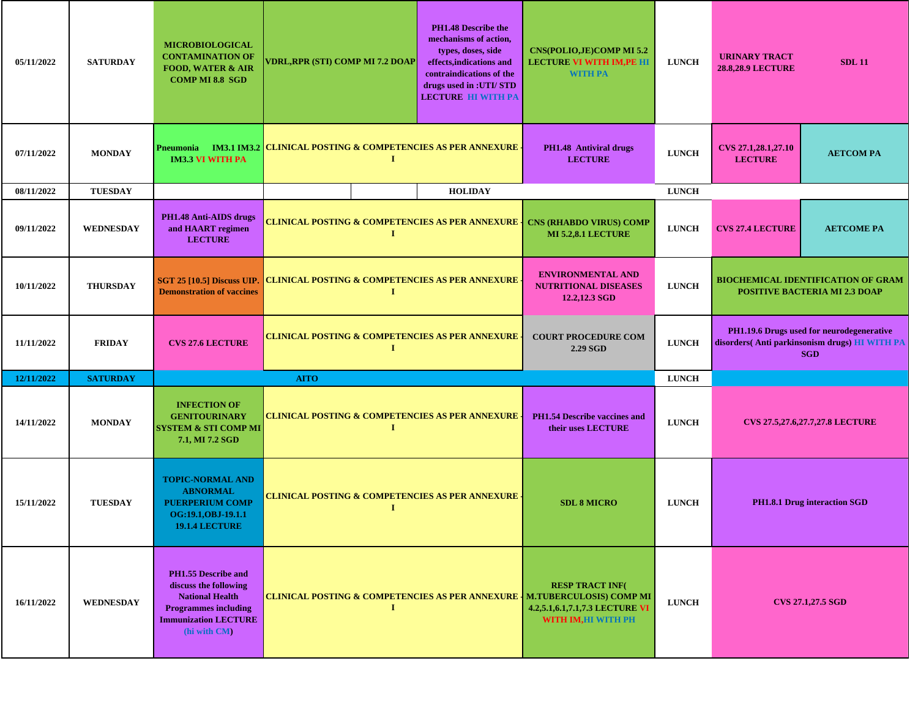| 05/11/2022 | <b>SATURDAY</b>  | <b>MICROBIOLOGICAL</b><br><b>CONTAMINATION OF</b><br><b>FOOD, WATER &amp; AIR</b><br><b>COMP MI 8.8 SGD</b>                                                 | VDRL,RPR (STI) COMP MI 7.2 DOAP                                                 | <b>PH1.48 Describe the</b><br>mechanisms of action.<br>types, doses, side<br>effects, indications and<br>contraindications of the<br>drugs used in :UTI/ STD<br><b>LECTURE HI WITH PA</b> | <b>CNS(POLIO,JE)COMP MI 5.2</b><br><b>LECTURE VI WITH IM, PE HI</b><br><b>WITH PA</b> | <b>LUNCH</b>                                                                      | <b>URINARY TRACT</b><br><b>28.8,28.9 LECTURE</b>                                                         | <b>SDL 11</b>                          |
|------------|------------------|-------------------------------------------------------------------------------------------------------------------------------------------------------------|---------------------------------------------------------------------------------|-------------------------------------------------------------------------------------------------------------------------------------------------------------------------------------------|---------------------------------------------------------------------------------------|-----------------------------------------------------------------------------------|----------------------------------------------------------------------------------------------------------|----------------------------------------|
| 07/11/2022 | <b>MONDAY</b>    | <b>IM3.3 VI WITH PA</b>                                                                                                                                     | Pneumonia IM3.1 IM3.2 CLINICAL POSTING & COMPETENCIES AS PER ANNEXURE<br>1      |                                                                                                                                                                                           | <b>PH1.48 Antiviral drugs</b><br><b>LECTURE</b>                                       | <b>LUNCH</b>                                                                      | CVS 27.1,28.1,27.10<br><b>LECTURE</b>                                                                    | <b>AETCOMPA</b>                        |
| 08/11/2022 | <b>TUESDAY</b>   |                                                                                                                                                             |                                                                                 | <b>HOLIDAY</b>                                                                                                                                                                            |                                                                                       | <b>LUNCH</b>                                                                      |                                                                                                          |                                        |
| 09/11/2022 | <b>WEDNESDAY</b> | PH1.48 Anti-AIDS drugs<br>and HAART regimen<br><b>LECTURE</b>                                                                                               | <b>CLINICAL POSTING &amp; COMPETENCIES AS PER ANNEXURE</b><br>-1                |                                                                                                                                                                                           | <b>CNS (RHABDO VIRUS) COMP</b><br><b>MI 5.2,8.1 LECTURE</b>                           | <b>LUNCH</b>                                                                      | <b>CVS 27.4 LECTURE</b>                                                                                  | <b>AETCOME PA</b>                      |
| 10/11/2022 | <b>THURSDAY</b>  | <b>Demonstration of vaccines</b>                                                                                                                            | SGT 25 [10.5] Discuss UIP. CLINICAL POSTING & COMPETENCIES AS PER ANNEXURE<br>1 | <b>ENVIRONMENTAL AND</b><br><b>NUTRITIONAL DISEASES</b><br>12.2,12.3 SGD                                                                                                                  | <b>LUNCH</b>                                                                          | <b>BIOCHEMICAL IDENTIFICATION OF GRAM</b><br><b>POSITIVE BACTERIA MI 2.3 DOAP</b> |                                                                                                          |                                        |
| 11/11/2022 | <b>FRIDAY</b>    | <b>CVS 27.6 LECTURE</b>                                                                                                                                     | <b>CLINICAL POSTING &amp; COMPETENCIES AS PER ANNEXURE</b><br>$\bf{I}$          | <b>COURT PROCEDURE COM</b><br>2.29 SGD                                                                                                                                                    | <b>LUNCH</b>                                                                          |                                                                                   | PH1.19.6 Drugs used for neurodegenerative<br>disorders(Anti parkinsonism drugs) HI WITH PA<br><b>SGD</b> |                                        |
| 12/11/2022 | <b>SATURDAY</b>  |                                                                                                                                                             | <b>AITO</b>                                                                     |                                                                                                                                                                                           |                                                                                       | <b>LUNCH</b>                                                                      |                                                                                                          |                                        |
| 14/11/2022 | <b>MONDAY</b>    | <b>INFECTION OF</b><br><b>GENITOURINARY</b><br><b>SYSTEM &amp; STI COMP MI</b><br>7.1, MI 7.2 SGD                                                           | <b>CLINICAL POSTING &amp; COMPETENCIES AS PER ANNEXURE</b><br>-1                |                                                                                                                                                                                           | <b>PH1.54 Describe vaccines and</b><br>their uses LECTURE                             | <b>LUNCH</b>                                                                      |                                                                                                          | <b>CVS 27.5,27.6,27.7,27.8 LECTURE</b> |
| 15/11/2022 | <b>TUESDAY</b>   | <b>TOPIC-NORMAL AND</b><br><b>ABNORMAL</b><br><b>PUERPERIUM COMP</b><br>OG:19.1, OBJ-19.1.1<br><b>19.1.4 LECTURE</b>                                        | <b>CLINICAL POSTING &amp; COMPETENCIES AS PER ANNEXURE</b> .<br>1               |                                                                                                                                                                                           | <b>SDL 8 MICRO</b>                                                                    | <b>LUNCH</b>                                                                      | <b>PH1.8.1 Drug interaction SGD</b>                                                                      |                                        |
| 16/11/2022 | WEDNESDAY        | <b>PH1.55 Describe and</b><br>discuss the following<br><b>National Health</b><br><b>Programmes including</b><br><b>Immunization LECTURE</b><br>(hi with CM) | CLINICAL POSTING & COMPETENCIES AS PER ANNEXURE   M.TUBERCULOSIS) COMP MI<br>1  |                                                                                                                                                                                           | <b>RESP TRACT INF(</b><br>4.2,5.1,6.1,7.1,7.3 LECTURE VI<br>WITH IM,HI WITH PH        | <b>LUNCH</b>                                                                      | <b>CVS 27.1,27.5 SGD</b>                                                                                 |                                        |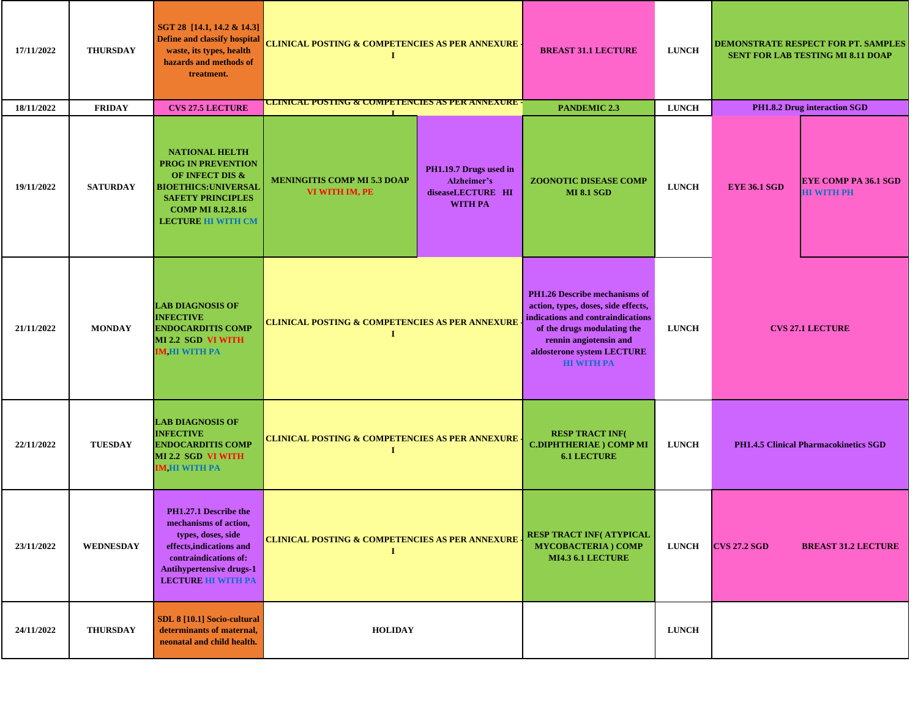| 17/11/2022 | <b>THURSDAY</b>  | SGT 28 [14.1, 14.2 & 14.3]<br><b>Define and classify hospital</b><br>waste, its types, health<br>hazards and methods of<br>treatment.                                                     | <b>CLINICAL POSTING &amp; COMPETENCIES AS PER ANNEXURE -</b><br>$\bf{I}$                                                             |  | <b>BREAST 31.1 LECTURE</b>                                                                                                                                                                                            | <b>LUNCH</b> | <b>DEMONSTRATE RESPECT FOR PT. SAMPLES</b><br><b>SENT FOR LAB TESTING MI 8.11 DOAP</b> |                                                  |
|------------|------------------|-------------------------------------------------------------------------------------------------------------------------------------------------------------------------------------------|--------------------------------------------------------------------------------------------------------------------------------------|--|-----------------------------------------------------------------------------------------------------------------------------------------------------------------------------------------------------------------------|--------------|----------------------------------------------------------------------------------------|--------------------------------------------------|
| 18/11/2022 | <b>FRIDAY</b>    | <b>CVS 27.5 LECTURE</b>                                                                                                                                                                   | <u>CLINICAL POSTING &amp; COMPETENCIES AS PER ANNEXURE -</u>                                                                         |  | <b>PANDEMIC 2.3</b>                                                                                                                                                                                                   | <b>LUNCH</b> |                                                                                        | <b>PH1.8.2 Drug interaction SGD</b>              |
| 19/11/2022 | <b>SATURDAY</b>  | <b>NATIONAL HELTH</b><br><b>PROG IN PREVENTION</b><br>OF INFECT DIS &<br><b>BIOETHICS: UNIVERSAL</b><br><b>SAFETY PRINCIPLES</b><br><b>COMP MI 8.12,8.16</b><br><b>LECTURE HI WITH CM</b> | PH1.19.7 Drugs used in<br><b>MENINGITIS COMP MI 5.3 DOAP</b><br>Alzheimer's<br>VI WITH IM, PE<br>diseaseLECTURE HI<br><b>WITH PA</b> |  | <b>ZOONOTIC DISEASE COMP</b><br><b>MI 8.1 SGD</b>                                                                                                                                                                     | <b>LUNCH</b> | <b>EYE 36.1 SGD</b>                                                                    | <b>EYE COMP PA 36.1 SGD</b><br><b>HI WITH PH</b> |
| 21/11/2022 | <b>MONDAY</b>    | <b>LAB DIAGNOSIS OF</b><br><b>INFECTIVE</b><br><b>ENDOCARDITIS COMP</b><br>MI 2.2 SGD VI WITH<br><b>IM, HI WITH PA</b>                                                                    | <b>CLINICAL POSTING &amp; COMPETENCIES AS PER ANNEXURE</b><br>$\bf{I}$                                                               |  | PH1.26 Describe mechanisms of<br>action, types, doses, side effects,<br>indications and contraindications<br>of the drugs modulating the<br>rennin angiotensin and<br>aldosterone system LECTURE<br><b>HI WITH PA</b> | <b>LUNCH</b> | <b>CVS 27.1 LECTURE</b>                                                                |                                                  |
| 22/11/2022 | <b>TUESDAY</b>   | <b>LAB DIAGNOSIS OF</b><br><b>INFECTIVE</b><br><b>ENDOCARDITIS COMP</b><br>MI 2.2 SGD VI WITH<br><b>IM HI WITH PA</b>                                                                     | <b>CLINICAL POSTING &amp; COMPETENCIES AS PER ANNEXURE</b><br>1                                                                      |  | <b>RESP TRACT INF(</b><br><b>C.DIPHTHERIAE</b> ) COMP MI<br><b>6.1 LECTURE</b>                                                                                                                                        | <b>LUNCH</b> | PH1.4.5 Clinical Pharmacokinetics SGD                                                  |                                                  |
| 23/11/2022 | <b>WEDNESDAY</b> | PH1.27.1 Describe the<br>mechanisms of action,<br>types, doses, side<br>effects, indications and<br>contraindications of:<br><b>Antihypertensive drugs-1</b><br><b>LECTURE HI WITH PA</b> | <b>CLINICAL POSTING &amp; COMPETENCIES AS PER ANNEXURE</b>                                                                           |  | <b>RESP TRACT INF( ATYPICAL</b><br><b>MYCOBACTERIA) COMP</b><br><b>MI4.3 6.1 LECTURE</b>                                                                                                                              | <b>LUNCH</b> | <b>CVS 27.2 SGD</b>                                                                    | <b>BREAST 31.2 LECTURE</b>                       |
| 24/11/2022 | <b>THURSDAY</b>  | SDL 8 [10.1] Socio-cultural<br>determinants of maternal,<br>neonatal and child health.                                                                                                    | <b>HOLIDAY</b>                                                                                                                       |  |                                                                                                                                                                                                                       | <b>LUNCH</b> |                                                                                        |                                                  |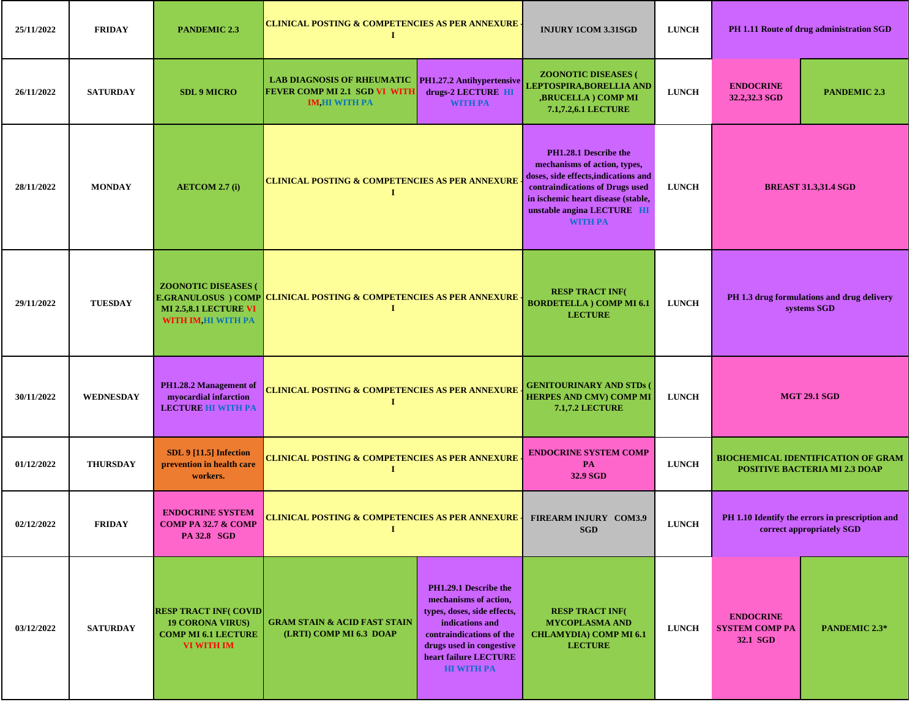| 25/11/2022 | <b>FRIDAY</b>    | <b>PANDEMIC 2.3</b>                                                                                        | <b>CLINICAL POSTING &amp; COMPETENCIES AS PER ANNEXURE</b><br>-1                                              |                                                                                                                                                                                                                        | <b>INJURY 1COM 3.31SGD</b>                                                                           | <b>LUNCH</b>                                              |                                                       | PH 1.11 Route of drug administration SGD                                          |
|------------|------------------|------------------------------------------------------------------------------------------------------------|---------------------------------------------------------------------------------------------------------------|------------------------------------------------------------------------------------------------------------------------------------------------------------------------------------------------------------------------|------------------------------------------------------------------------------------------------------|-----------------------------------------------------------|-------------------------------------------------------|-----------------------------------------------------------------------------------|
| 26/11/2022 | <b>SATURDAY</b>  | <b>SDL 9 MICRO</b>                                                                                         | LAB DIAGNOSIS OF RHEUMATIC PH1.27.2 Antihypertensive<br>FEVER COMP MI 2.1 SGD VI WITH<br><b>IM,HI WITH PA</b> | drugs-2 LECTURE HI<br><b>WITH PA</b>                                                                                                                                                                                   | <b>ZOONOTIC DISEASES (</b><br>LEPTOSPIRA, BORELLIA AND<br>,BRUCELLA ) COMP MI<br>7.1,7.2,6.1 LECTURE | <b>LUNCH</b>                                              | <b>ENDOCRINE</b><br>32.2,32.3 SGD                     | <b>PANDEMIC 2.3</b>                                                               |
| 28/11/2022 | <b>MONDAY</b>    | <b>AETCOM 2.7 (i)</b>                                                                                      | <b>CLINICAL POSTING &amp; COMPETENCIES AS PER ANNEXURE</b><br>1                                               | PH1.28.1 Describe the<br>mechanisms of action, types,<br>doses, side effects, indications and<br>contraindications of Drugs used<br>in ischemic heart disease (stable,<br>unstable angina LECTURE HI<br><b>WITH PA</b> | <b>LUNCH</b>                                                                                         | <b>BREAST 31.3,31.4 SGD</b>                               |                                                       |                                                                                   |
| 29/11/2022 | <b>TUESDAY</b>   | <b>ZOONOTIC DISEASES (</b><br><b>MI 2.5,8.1 LECTURE VI</b><br>WITH IM, HI WITH PA                          | <b>E.GRANULOSUS ) COMP CLINICAL POSTING &amp; COMPETENCIES AS PER ANNEXURE</b><br>1                           | <b>RESP TRACT INF(</b><br><b>BORDETELLA ) COMP MI 6.1</b><br><b>LECTURE</b>                                                                                                                                            | <b>LUNCH</b>                                                                                         | PH 1.3 drug formulations and drug delivery<br>systems SGD |                                                       |                                                                                   |
| 30/11/2022 | <b>WEDNESDAY</b> | PH1.28.2 Management of<br>myocardial infarction<br><b>LECTURE HI WITH PA</b>                               | <b>CLINICAL POSTING &amp; COMPETENCIES AS PER ANNEXURE</b><br>-1                                              |                                                                                                                                                                                                                        | <b>GENITOURINARY AND STDs (</b><br><b>HERPES AND CMV) COMP MI</b><br><b>7.1,7.2 LECTURE</b>          | <b>LUNCH</b>                                              | <b>MGT 29.1 SGD</b>                                   |                                                                                   |
| 01/12/2022 | <b>THURSDAY</b>  | <b>SDL 9 [11.5] Infection</b><br>prevention in health care<br>workers.                                     | <u>CLINICAL POSTING &amp; COMPETENCIES AS PER ANNEXURE</u><br>I                                               |                                                                                                                                                                                                                        | <b>ENDOCRINE SYSTEM COMP</b><br><b>PA</b><br>32.9 SGD                                                | <b>LUNCH</b>                                              |                                                       | <b>BIOCHEMICAL IDENTIFICATION OF GRAM</b><br><b>POSITIVE BACTERIA MI 2.3 DOAP</b> |
| 02/12/2022 | <b>FRIDAY</b>    | <b>ENDOCRINE SYSTEM</b><br><b>COMP PA 32.7 &amp; COMP</b><br>PA 32.8 SGD                                   | CLINICAL POSTING & COMPETENCIES AS PER ANNEXURE                                                               |                                                                                                                                                                                                                        | <b>FIREARM INJURY COM3.9</b><br><b>SGD</b>                                                           | <b>LUNCH</b>                                              |                                                       | PH 1.10 Identify the errors in prescription and<br>correct appropriately SGD      |
| 03/12/2022 | <b>SATURDAY</b>  | <b>RESP TRACT INF(COVID)</b><br><b>19 CORONA VIRUS)</b><br><b>COMP MI 6.1 LECTURE</b><br><b>VI WITH IM</b> | <b>GRAM STAIN &amp; ACID FAST STAIN</b><br>(LRTI) COMP MI 6.3 DOAP                                            | PH1.29.1 Describe the<br>mechanisms of action,<br>types, doses, side effects,<br>indications and<br>contraindications of the<br>drugs used in congestive<br>heart failure LECTURE<br><b>HI WITH PA</b>                 | <b>RESP TRACT INF(</b><br><b>MYCOPLASMA AND</b><br><b>CHLAMYDIA) COMP MI 6.1</b><br><b>LECTURE</b>   | <b>LUNCH</b>                                              | <b>ENDOCRINE</b><br><b>SYSTEM COMP PA</b><br>32.1 SGD | PANDEMIC 2.3*                                                                     |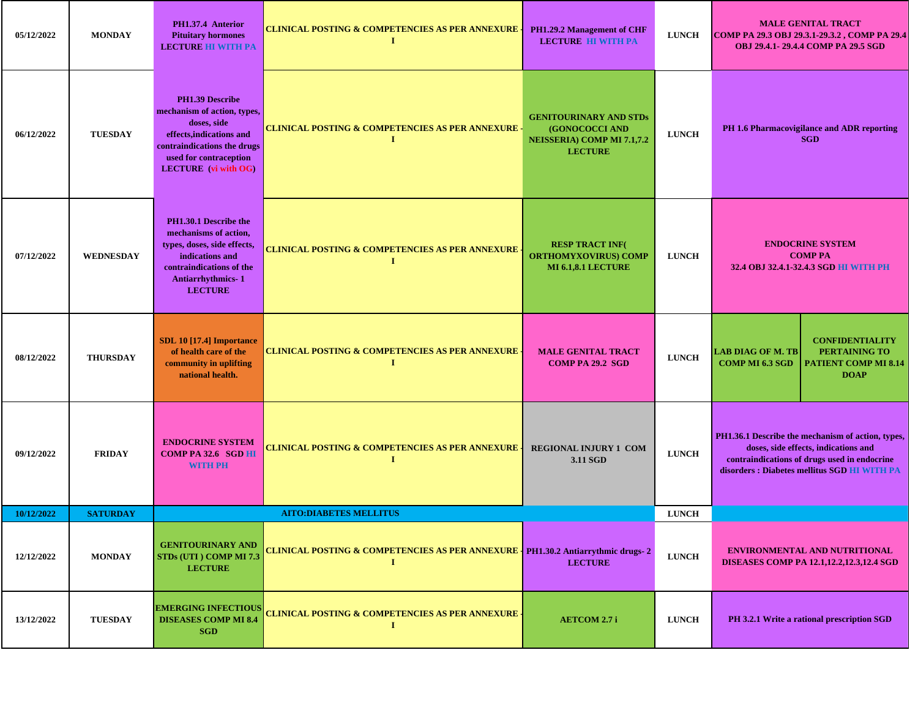| 05/12/2022 | <b>MONDAY</b>   | PH1.37.4 Anterior<br><b>Pituitary hormones</b><br><b>LECTURE HI WITH PA</b>                                                                                                       | <b>CLINICAL POSTING &amp; COMPETENCIES AS PER ANNEXURE</b><br>$\bf{I}$                                                             | PH1.29.2 Management of CHF<br><b>LECTURE HI WITH PA</b>                                                                       | <b>LUNCH</b>                                                                                                                                                                              | <b>MALE GENITAL TRACT</b><br>COMP PA 29.3 OBJ 29.3.1-29.3.2, COMP PA 29.4<br>OBJ 29.4.1-29.4.4 COMP PA 29.5 SGD                                    |  |
|------------|-----------------|-----------------------------------------------------------------------------------------------------------------------------------------------------------------------------------|------------------------------------------------------------------------------------------------------------------------------------|-------------------------------------------------------------------------------------------------------------------------------|-------------------------------------------------------------------------------------------------------------------------------------------------------------------------------------------|----------------------------------------------------------------------------------------------------------------------------------------------------|--|
| 06/12/2022 | <b>TUESDAY</b>  | PH1.39 Describe<br>mechanism of action, types,<br>doses, side<br>effects, indications and<br>contraindications the drugs<br>used for contraception<br><b>LECTURE</b> (vi with OG) | <b>CLINICAL POSTING &amp; COMPETENCIES AS PER ANNEXURE -</b><br>1                                                                  | <b>GENITOURINARY AND STDs</b><br><b>(GONOCOCCI AND</b><br><b>LUNCH</b><br><b>NEISSERIA) COMP MI 7.1,7.2</b><br><b>LECTURE</b> |                                                                                                                                                                                           | PH 1.6 Pharmacovigilance and ADR reporting<br><b>SGD</b>                                                                                           |  |
| 07/12/2022 | WEDNESDAY       | PH1.30.1 Describe the<br>mechanisms of action,<br>types, doses, side effects,<br>indications and<br>contraindications of the<br><b>Antiarrhythmics-1</b><br><b>LECTURE</b>        | <b>CLINICAL POSTING &amp; COMPETENCIES AS PER ANNEXURE</b><br>1                                                                    | <b>RESP TRACT INF(</b><br><b>ORTHOMYXOVIRUS) COMP</b><br><b>MI 6.1,8.1 LECTURE</b>                                            | <b>LUNCH</b>                                                                                                                                                                              | <b>ENDOCRINE SYSTEM</b><br><b>COMP PA</b><br>32.4 OBJ 32.4.1-32.4.3 SGD HI WITH PH                                                                 |  |
| 08/12/2022 | <b>THURSDAY</b> | SDL 10 [17.4] Importance<br>of health care of the<br>community in uplifting<br>national health.                                                                                   | <b>CLINICAL POSTING &amp; COMPETENCIES AS PER ANNEXURE</b><br>Т.                                                                   | <b>MALE GENITAL TRACT</b><br><b>COMP PA 29.2 SGD</b>                                                                          | <b>LUNCH</b>                                                                                                                                                                              | <b>CONFIDENTIALITY</b><br><b>PERTAINING TO</b><br><b>LAB DIAG OF M. TB</b><br><b>PATIENT COMP MI 8.14</b><br><b>COMP MI 6.3 SGD</b><br><b>DOAP</b> |  |
| 09/12/2022 | <b>FRIDAY</b>   | <b>ENDOCRINE SYSTEM</b><br><b>COMP PA 32.6 SGD HI</b><br><b>WITH PH</b>                                                                                                           | <b>CLINICAL POSTING &amp; COMPETENCIES AS PER ANNEXURE</b><br><b>REGIONAL INJURY 1 COM</b><br><b>LUNCH</b><br>$\bf{I}$<br>3.11 SGD |                                                                                                                               | PH1.36.1 Describe the mechanism of action, types,<br>doses, side effects, indications and<br>contraindications of drugs used in endocrine<br>disorders : Diabetes mellitus SGD HI WITH PA |                                                                                                                                                    |  |
| 10/12/2022 | <b>SATURDAY</b> |                                                                                                                                                                                   | <b>AITO:DIABETES MELLITUS</b>                                                                                                      |                                                                                                                               | <b>LUNCH</b>                                                                                                                                                                              |                                                                                                                                                    |  |
| 12/12/2022 | <b>MONDAY</b>   | <b>GENITOURINARY AND</b><br>STDs (UTI) COMP MI 7.3<br><b>LECTURE</b>                                                                                                              | CLINICAL POSTING & COMPETENCIES AS PER ANNEXURE   PH1.30.2 Antiarrythmic drugs- 2<br>1                                             | <b>LECTURE</b>                                                                                                                | <b>LUNCH</b>                                                                                                                                                                              | <b>ENVIRONMENTAL AND NUTRITIONAL</b><br><b>DISEASES COMP PA 12.1,12.2,12.3,12.4 SGD</b>                                                            |  |
| 13/12/2022 | <b>TUESDAY</b>  | <b>EMERGING INFECTIOUS</b><br><b>DISEASES COMP MI 8.4</b><br><b>SGD</b>                                                                                                           | CLINICAL POSTING & COMPETENCIES AS PER ANNEXURE ·<br>Т.                                                                            | <b>AETCOM 2.7 i</b>                                                                                                           | <b>LUNCH</b>                                                                                                                                                                              | PH 3.2.1 Write a rational prescription SGD                                                                                                         |  |

Τ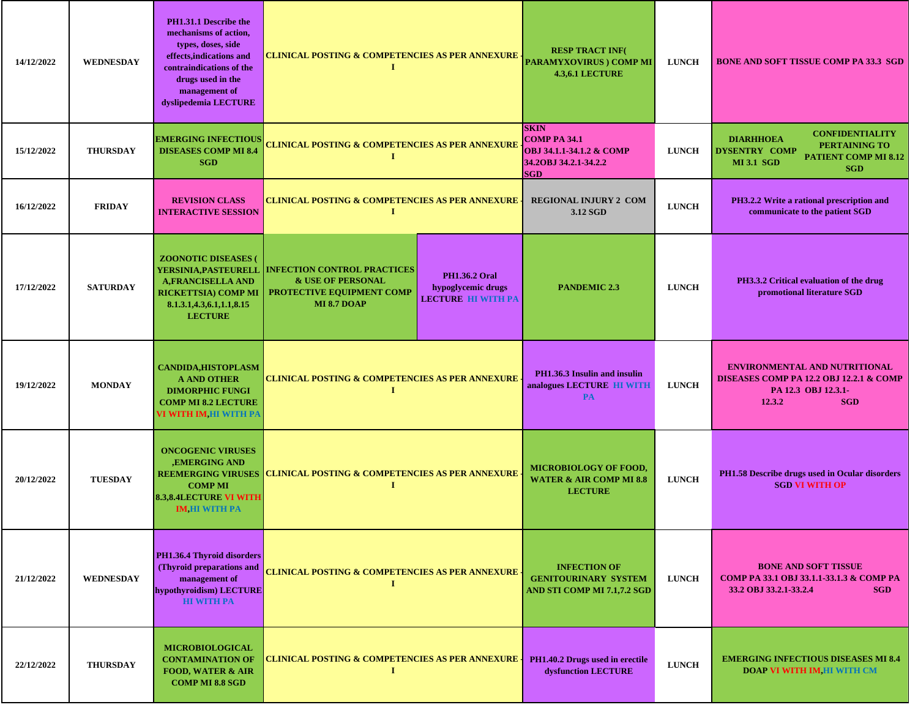| 14/12/2022 | <b>WEDNESDAY</b> | PH1.31.1 Describe the<br>mechanisms of action,<br>types, doses, side<br>effects, indications and<br>contraindications of the<br>drugs used in the<br>management of<br>dyslipedemia LECTURE | <b>CLINICAL POSTING &amp; COMPETENCIES AS PER ANNEXURE</b><br>- 1                                                                                                                                | <b>RESP TRACT INF(</b><br><b>PARAMYXOVIRUS ) COMP MI</b><br><b>4.3,6.1 LECTURE</b>                    | <b>LUNCH</b> | <b>BONE AND SOFT TISSUE COMP PA 33.3 SGD</b>                                                                                                          |
|------------|------------------|--------------------------------------------------------------------------------------------------------------------------------------------------------------------------------------------|--------------------------------------------------------------------------------------------------------------------------------------------------------------------------------------------------|-------------------------------------------------------------------------------------------------------|--------------|-------------------------------------------------------------------------------------------------------------------------------------------------------|
| 15/12/2022 | <b>THURSDAY</b>  | <b>EMERGING INFECTIOUS</b><br><b>DISEASES COMP MI 8.4</b><br><b>SGD</b>                                                                                                                    | <b>CLINICAL POSTING &amp; COMPETENCIES AS PER ANNEXURE</b><br>1                                                                                                                                  | <b>SKIN</b><br><b>COMP PA 34.1</b><br>OBJ 34.1.1-34.1.2 & COMP<br>34.20BJ 34.2.1-34.2.2<br><b>SGD</b> | <b>LUNCH</b> | <b>CONFIDENTIALITY</b><br><b>DIARHHOEA</b><br>PERTAINING TO<br><b>DYSENTRY COMP</b><br><b>PATIENT COMP MI 8.12</b><br><b>MI 3.1 SGD</b><br><b>SGD</b> |
| 16/12/2022 | <b>FRIDAY</b>    | <b>REVISION CLASS</b><br><b>INTERACTIVE SESSION</b>                                                                                                                                        | CLINICAL POSTING & COMPETENCIES AS PER ANNEXURE<br>1                                                                                                                                             | <b>REGIONAL INJURY 2 COM</b><br>3.12 SGD                                                              | <b>LUNCH</b> | PH3.2.2 Write a rational prescription and<br>communicate to the patient SGD                                                                           |
| 17/12/2022 | <b>SATURDAY</b>  | <b>ZOONOTIC DISEASES</b><br><b>YERSINIA,PASTEURELL</b><br><b>A,FRANCISELLA AND</b><br><b>RICKETTSIA) COMP MI</b><br>8.1.3.1,4.3,6.1,1.1,8.15<br><b>LECTURE</b>                             | <b>INFECTION CONTROL PRACTICES</b><br><b>PH1.36.2 Oral</b><br><b>&amp; USE OF PERSONAL</b><br>hypoglycemic drugs<br>PROTECTIVE EQUIPMENT COMP<br><b>LECTURE HI WITH PA</b><br><b>MI 8.7 DOAP</b> | <b>PANDEMIC 2.3</b>                                                                                   | <b>LUNCH</b> | PH3.3.2 Critical evaluation of the drug<br>promotional literature SGD                                                                                 |
| 19/12/2022 | <b>MONDAY</b>    | <b>CANDIDA, HISTOPLASM</b><br><b>A AND OTHER</b><br><b>DIMORPHIC FUNGI</b><br><b>COMP MI 8.2 LECTURE</b><br>VI WITH IM,HI WITH PA                                                          | <b>CLINICAL POSTING &amp; COMPETENCIES AS PER ANNEXURE</b><br>1                                                                                                                                  | PH1.36.3 Insulin and insulin<br>analogues LECTURE HI WITH<br><b>PA</b>                                | <b>LUNCH</b> | <b>ENVIRONMENTAL AND NUTRITIONAL</b><br><b>DISEASES COMP PA 12.2 OBJ 12.2.1 &amp; COMP</b><br>PA 12.3 OBJ 12.3.1-<br>12.3.2<br><b>SGD</b>             |
| 20/12/2022 | <b>TUESDAY</b>   | <b>ONCOGENIC VIRUSES</b><br><b>,EMERGING AND</b><br><b>COMP MI</b><br><b>8.3,8.4LECTURE VI WITH</b><br><b>IM,HI WITH PA</b>                                                                | REEMERGING VIRUSES CLINICAL POSTING & COMPETENCIES AS PER ANNEXURE<br>1                                                                                                                          | <b>MICROBIOLOGY OF FOOD,</b><br><b>WATER &amp; AIR COMP MI 8.8</b><br><b>LECTURE</b>                  | <b>LUNCH</b> | PH1.58 Describe drugs used in Ocular disorders<br><b>SGD VI WITH OP</b>                                                                               |
| 21/12/2022 | <b>WEDNESDAY</b> | PH1.36.4 Thyroid disorders<br>(Thyroid preparations and<br>management of<br>hypothyroidism) LECTURE<br><b>HI WITH PA</b>                                                                   | <b>CLINICAL POSTING &amp; COMPETENCIES AS PER ANNEXURE</b><br>1                                                                                                                                  | <b>INFECTION OF</b><br><b>GENITOURINARY SYSTEM</b><br>AND STI COMP MI 7.1,7.2 SGD                     | <b>LUNCH</b> | <b>BONE AND SOFT TISSUE</b><br>СОМР РА 33.1 ОВЈ 33.1.1-33.1.3 & СОМР РА<br>33.2 OBJ 33.2.1-33.2.4<br><b>SGD</b>                                       |
| 22/12/2022 | <b>THURSDAY</b>  | <b>MICROBIOLOGICAL</b><br><b>CONTAMINATION OF</b><br><b>FOOD, WATER &amp; AIR</b><br><b>COMP MI 8.8 SGD</b>                                                                                | <b>CLINICAL POSTING &amp; COMPETENCIES AS PER ANNEXURE</b><br>1                                                                                                                                  | PH1.40.2 Drugs used in erectile<br>dysfunction LECTURE                                                | <b>LUNCH</b> | <b>EMERGING INFECTIOUS DISEASES MI 8.4</b><br><b>DOAP VI WITH IM, HI WITH CM</b>                                                                      |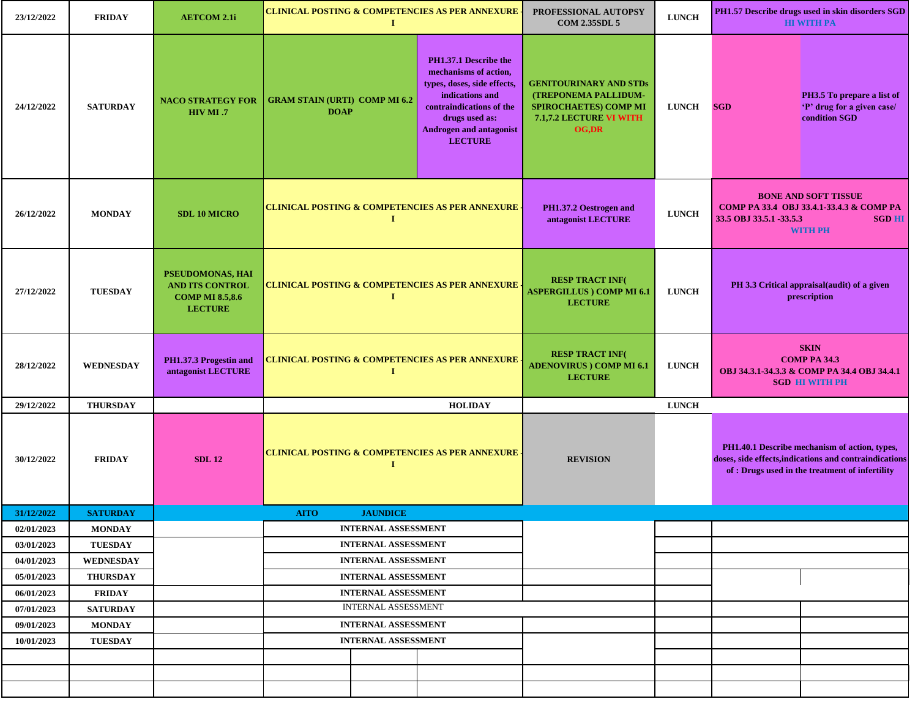| 23/12/2022               | <b>FRIDAY</b>                    | <b>AETCOM 2.1i</b>                                                                     | <b>CLINICAL POSTING &amp; COMPETENCIES AS PER ANNEXURE</b><br>$\bf{I}$   |          |                                                                                                                                                                                                    | PROFESSIONAL AUTOPSY<br><b>COM 2.35SDL 5</b>                                                                                            | <b>LUNCH</b> | PH1.57 Describe drugs used in skin disorders SGD<br><b>HI WITH PA</b>                                                                                      |
|--------------------------|----------------------------------|----------------------------------------------------------------------------------------|--------------------------------------------------------------------------|----------|----------------------------------------------------------------------------------------------------------------------------------------------------------------------------------------------------|-----------------------------------------------------------------------------------------------------------------------------------------|--------------|------------------------------------------------------------------------------------------------------------------------------------------------------------|
| 24/12/2022               | <b>SATURDAY</b>                  | <b>NACO STRATEGY FOR</b><br>HIV MI .7                                                  | <b>GRAM STAIN (URTI) COMP MI 6.2</b><br><b>DOAP</b>                      |          | PH1.37.1 Describe the<br>mechanisms of action,<br>types, doses, side effects,<br>indications and<br>contraindications of the<br>drugs used as:<br><b>Androgen and antagonist</b><br><b>LECTURE</b> | <b>GENITOURINARY AND STDs</b><br><b>(TREPONEMA PALLIDUM-</b><br><b>SPIROCHAETES) COMP MI</b><br>7.1,7.2 LECTURE VI WITH<br><b>OG,DR</b> | <b>LUNCH</b> | PH3.5 To prepare a list of<br><b>SGD</b><br>'P' drug for a given case/<br>condition SGD                                                                    |
| 26/12/2022               | <b>MONDAY</b>                    | <b>SDL 10 MICRO</b>                                                                    | <b>CLINICAL POSTING &amp; COMPETENCIES AS PER ANNEXURE .</b>             | $\bf{I}$ |                                                                                                                                                                                                    | PH1.37.2 Oestrogen and<br>antagonist LECTURE                                                                                            | <b>LUNCH</b> | <b>BONE AND SOFT TISSUE</b><br>СОМР РА 33.4 ОВЈ 33.4.1-33.4.3 & СОМР РА<br>33.5 OBJ 33.5.1 -33.5.3<br><b>SGD HI</b><br><b>WITH PH</b>                      |
| 27/12/2022               | <b>TUESDAY</b>                   | PSEUDOMONAS, HAI<br><b>AND ITS CONTROL</b><br><b>COMP MI 8.5,8.6</b><br><b>LECTURE</b> | <b>CLINICAL POSTING &amp; COMPETENCIES AS PER ANNEXURE</b>               | $\bf{I}$ |                                                                                                                                                                                                    | <b>RESP TRACT INF(</b><br><b>ASPERGILLUS ) COMP MI 6.1</b><br><b>LECTURE</b>                                                            | <b>LUNCH</b> | PH 3.3 Critical appraisal(audit) of a given<br>prescription                                                                                                |
| 28/12/2022               | <b>WEDNESDAY</b>                 | PH1.37.3 Progestin and<br>antagonist LECTURE                                           | <b>CLINICAL POSTING &amp; COMPETENCIES AS PER ANNEXURE -</b><br>$\bf{I}$ |          |                                                                                                                                                                                                    | <b>RESP TRACT INF(</b><br><b>ADENOVIRUS</b> ) COMP MI 6.1<br><b>LECTURE</b>                                                             | <b>LUNCH</b> | <b>SKIN</b><br><b>COMP PA 34.3</b><br>OBJ 34.3.1-34.3.3 & COMP PA 34.4 OBJ 34.4.1<br><b>SGD HI WITH PH</b>                                                 |
| 29/12/2022               | <b>THURSDAY</b>                  |                                                                                        |                                                                          |          | <b>HOLIDAY</b>                                                                                                                                                                                     |                                                                                                                                         | <b>LUNCH</b> |                                                                                                                                                            |
| 30/12/2022               | <b>FRIDAY</b>                    | <b>SDL 12</b>                                                                          | <b>CLINICAL POSTING &amp; COMPETENCIES AS PER ANNEXURE -</b>             | 1        |                                                                                                                                                                                                    | <b>REVISION</b>                                                                                                                         |              | PH1.40.1 Describe mechanism of action, types,<br>doses, side effects, indications and contraindications<br>of : Drugs used in the treatment of infertility |
| 31/12/2022               | <b>SATURDAY</b>                  |                                                                                        | <b>AITO</b><br><b>JAUNDICE</b>                                           |          |                                                                                                                                                                                                    |                                                                                                                                         |              |                                                                                                                                                            |
| 02/01/2023               | <b>MONDAY</b>                    |                                                                                        | <b>INTERNAL ASSESSMENT</b>                                               |          |                                                                                                                                                                                                    |                                                                                                                                         |              |                                                                                                                                                            |
| 03/01/2023               | <b>TUESDAY</b>                   |                                                                                        | <b>INTERNAL ASSESSMENT</b>                                               |          |                                                                                                                                                                                                    |                                                                                                                                         |              |                                                                                                                                                            |
| 04/01/2023               | <b>WEDNESDAY</b>                 |                                                                                        | <b>INTERNAL ASSESSMENT</b>                                               |          |                                                                                                                                                                                                    |                                                                                                                                         |              |                                                                                                                                                            |
| 05/01/2023               | <b>THURSDAY</b>                  |                                                                                        | <b>INTERNAL ASSESSMENT</b>                                               |          |                                                                                                                                                                                                    |                                                                                                                                         |              |                                                                                                                                                            |
| 06/01/2023               | <b>FRIDAY</b>                    |                                                                                        | <b>INTERNAL ASSESSMENT</b><br><b>INTERNAL ASSESSMENT</b>                 |          |                                                                                                                                                                                                    |                                                                                                                                         |              |                                                                                                                                                            |
| 07/01/2023<br>09/01/2023 | <b>SATURDAY</b><br><b>MONDAY</b> |                                                                                        | <b>INTERNAL ASSESSMENT</b>                                               |          |                                                                                                                                                                                                    |                                                                                                                                         |              |                                                                                                                                                            |
| 10/01/2023               | <b>TUESDAY</b>                   |                                                                                        | <b>INTERNAL ASSESSMENT</b>                                               |          |                                                                                                                                                                                                    |                                                                                                                                         |              |                                                                                                                                                            |
|                          |                                  |                                                                                        |                                                                          |          |                                                                                                                                                                                                    |                                                                                                                                         |              |                                                                                                                                                            |
|                          |                                  |                                                                                        |                                                                          |          |                                                                                                                                                                                                    |                                                                                                                                         |              |                                                                                                                                                            |
|                          |                                  |                                                                                        |                                                                          |          |                                                                                                                                                                                                    |                                                                                                                                         |              |                                                                                                                                                            |
|                          |                                  |                                                                                        |                                                                          |          |                                                                                                                                                                                                    |                                                                                                                                         |              |                                                                                                                                                            |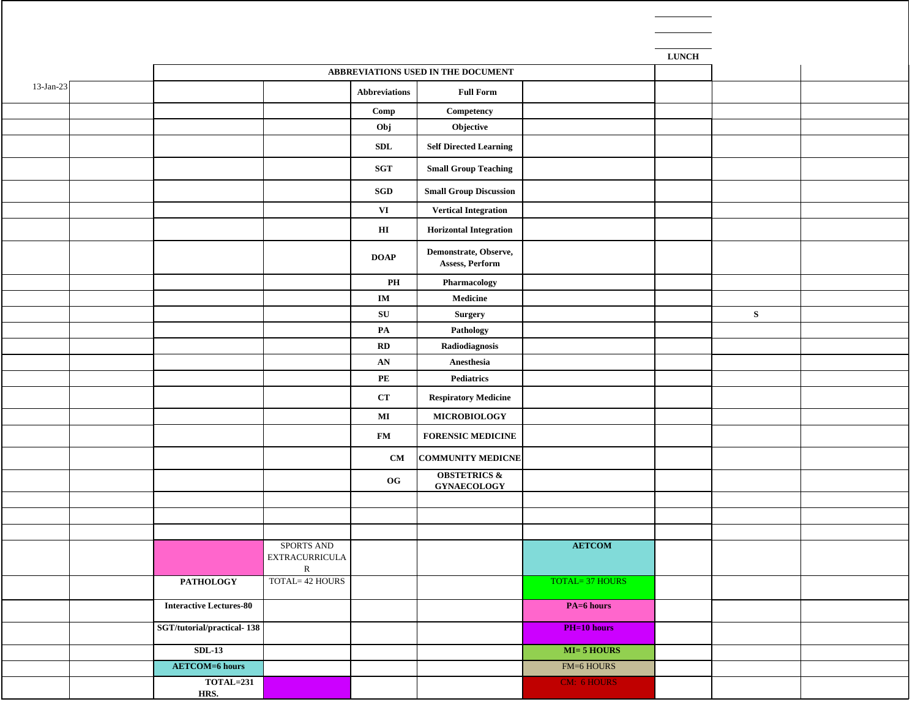|              |                                |                                      |                         |                                               |                       | <b>LUNCH</b> |   |  |
|--------------|--------------------------------|--------------------------------------|-------------------------|-----------------------------------------------|-----------------------|--------------|---|--|
|              |                                |                                      |                         | ABBREVIATIONS USED IN THE DOCUMENT            |                       |              |   |  |
| $13$ -Jan-23 |                                |                                      | <b>Abbreviations</b>    | <b>Full Form</b>                              |                       |              |   |  |
|              |                                |                                      | Comp                    | Competency                                    |                       |              |   |  |
|              |                                |                                      | Obj                     | Objective                                     |                       |              |   |  |
|              |                                |                                      | SDL                     | <b>Self Directed Learning</b>                 |                       |              |   |  |
|              |                                |                                      | SGT                     | <b>Small Group Teaching</b>                   |                       |              |   |  |
|              |                                |                                      | SGD                     | <b>Small Group Discussion</b>                 |                       |              |   |  |
|              |                                |                                      | VI                      | <b>Vertical Integration</b>                   |                       |              |   |  |
|              |                                |                                      | $\mathbf{H}\mathbf{I}$  | <b>Horizontal Integration</b>                 |                       |              |   |  |
|              |                                |                                      | <b>DOAP</b>             | Demonstrate, Observe,<br>Assess, Perform      |                       |              |   |  |
|              |                                |                                      | $\mathbf{PH}$           | Pharmacology                                  |                       |              |   |  |
|              |                                |                                      | $\mathbf{IM}$           | Medicine                                      |                       |              |   |  |
|              |                                |                                      | ${\bf SU}$              | Surgery                                       |                       |              | S |  |
|              |                                |                                      | $\mathbf{PA}$           | Pathology                                     |                       |              |   |  |
|              |                                |                                      | $\mathbf{R} \mathbf{D}$ | Radiodiagnosis                                |                       |              |   |  |
|              |                                |                                      | AN                      | Anesthesia                                    |                       |              |   |  |
|              |                                |                                      | $\mathbf{PE}$           | Pediatrics                                    |                       |              |   |  |
|              |                                |                                      | CT                      | <b>Respiratory Medicine</b>                   |                       |              |   |  |
|              |                                |                                      | $\bf{MI}$               | <b>MICROBIOLOGY</b>                           |                       |              |   |  |
|              |                                |                                      | $\mathbf{FM}$           | <b>FORENSIC MEDICINE</b>                      |                       |              |   |  |
|              |                                |                                      | CM                      | <b>COMMUNITY MEDICNE</b>                      |                       |              |   |  |
|              |                                |                                      | O <sub>G</sub>          | <b>OBSTETRICS &amp;</b><br><b>GYNAECOLOGY</b> |                       |              |   |  |
|              |                                |                                      |                         |                                               |                       |              |   |  |
|              |                                |                                      |                         |                                               |                       |              |   |  |
|              |                                | SPORTS AND                           |                         |                                               | <b>AETCOM</b>         |              |   |  |
|              |                                | <b>EXTRACURRICULA</b><br>$\mathbf R$ |                         |                                               |                       |              |   |  |
|              | <b>PATHOLOGY</b>               | TOTAL= 42 HOURS                      |                         |                                               | <b>TOTAL=37 HOURS</b> |              |   |  |
|              | <b>Interactive Lectures-80</b> |                                      |                         |                                               | PA=6 hours            |              |   |  |
|              | SGT/tutorial/practical-138     |                                      |                         |                                               | <b>PH=10 hours</b>    |              |   |  |
|              | $SDL-13$                       |                                      |                         |                                               | $MI = 5$ HOURS        |              |   |  |
|              | <b>AETCOM=6 hours</b>          |                                      |                         |                                               | FM=6 HOURS            |              |   |  |
|              | <b>TOTAL=231</b><br>HRS.       |                                      |                         |                                               | CM: 6 HOURS           |              |   |  |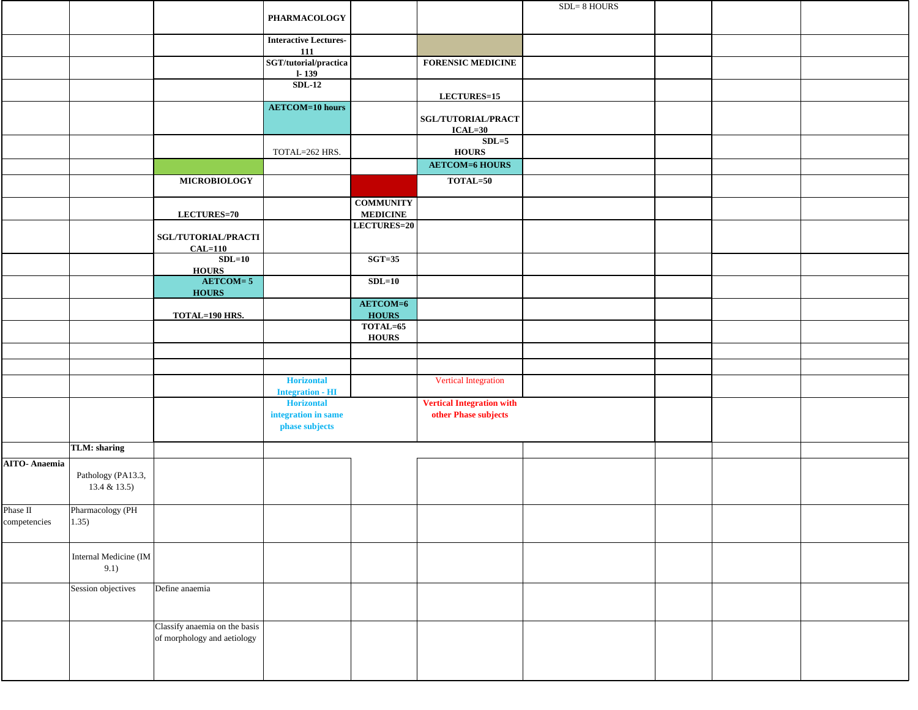|                     |                                   |                                  |                                                     |                                     |                                        | SDL=8 HOURS |  |  |
|---------------------|-----------------------------------|----------------------------------|-----------------------------------------------------|-------------------------------------|----------------------------------------|-------------|--|--|
|                     |                                   |                                  | PHARMACOLOGY                                        |                                     |                                        |             |  |  |
|                     |                                   |                                  |                                                     |                                     |                                        |             |  |  |
|                     |                                   |                                  | <b>Interactive Lectures-</b><br><b>111</b>          |                                     |                                        |             |  |  |
|                     |                                   |                                  | $\operatorname{SGT/tutorial/praction}$<br>$1 - 139$ |                                     | <b>FORENSIC MEDICINE</b>               |             |  |  |
|                     |                                   |                                  | $SDL-12$                                            |                                     |                                        |             |  |  |
|                     |                                   |                                  |                                                     |                                     | LECTURES=15                            |             |  |  |
|                     |                                   |                                  | <b>AETCOM=10 hours</b>                              |                                     | <b>SGL/TUTORIAL/PRACT</b><br>$ICAL=30$ |             |  |  |
|                     |                                   |                                  |                                                     |                                     | $SDL=5$                                |             |  |  |
|                     |                                   |                                  | TOTAL=262 HRS.                                      |                                     | <b>HOURS</b><br><b>AETCOM=6 HOURS</b>  |             |  |  |
|                     |                                   |                                  |                                                     |                                     |                                        |             |  |  |
|                     |                                   | <b>MICROBIOLOGY</b>              |                                                     |                                     | TOTAL=50                               |             |  |  |
|                     |                                   | LECTURES=70                      |                                                     | <b>COMMUNITY</b><br><b>MEDICINE</b> |                                        |             |  |  |
|                     |                                   |                                  |                                                     | LECTURES=20                         |                                        |             |  |  |
|                     |                                   | SGL/TUTORIAL/PRACTI<br>$CAL=110$ |                                                     |                                     |                                        |             |  |  |
|                     |                                   | $SDL=10$<br><b>HOURS</b>         |                                                     | $SGT=35$                            |                                        |             |  |  |
|                     |                                   | $AETCOM = 5$<br><b>HOURS</b>     |                                                     | $SDL=10$                            |                                        |             |  |  |
|                     |                                   |                                  |                                                     | AETCOM=6                            |                                        |             |  |  |
|                     |                                   | TOTAL=190 HRS.                   |                                                     | <b>HOURS</b><br>TOTAL=65            |                                        |             |  |  |
|                     |                                   |                                  |                                                     | <b>HOURS</b>                        |                                        |             |  |  |
|                     |                                   |                                  |                                                     |                                     |                                        |             |  |  |
|                     |                                   |                                  |                                                     |                                     |                                        |             |  |  |
|                     |                                   |                                  | <b>Horizontal</b><br><b>Integration - HI</b>        |                                     | <b>Vertical Integration</b>            |             |  |  |
|                     |                                   |                                  | <b>Horizontal</b>                                   |                                     | <b>Vertical Integration with</b>       |             |  |  |
|                     |                                   |                                  | integration in same<br>phase subjects               |                                     | other Phase subjects                   |             |  |  |
|                     | TLM: sharing                      |                                  |                                                     |                                     |                                        |             |  |  |
| <b>AITO-Anaemia</b> |                                   |                                  |                                                     |                                     |                                        |             |  |  |
|                     | Pathology (PA13.3,<br>13.4 & 13.5 |                                  |                                                     |                                     |                                        |             |  |  |
| Phase II            | Pharmacology (PH                  |                                  |                                                     |                                     |                                        |             |  |  |
| competencies        | $ 1.35\rangle$                    |                                  |                                                     |                                     |                                        |             |  |  |
|                     | Internal Medicine (IM<br>9.1)     |                                  |                                                     |                                     |                                        |             |  |  |
|                     | Session objectives                | Define anaemia                   |                                                     |                                     |                                        |             |  |  |
|                     |                                   |                                  |                                                     |                                     |                                        |             |  |  |
|                     |                                   | Classify anaemia on the basis    |                                                     |                                     |                                        |             |  |  |
|                     |                                   | of morphology and aetiology      |                                                     |                                     |                                        |             |  |  |
|                     |                                   |                                  |                                                     |                                     |                                        |             |  |  |
|                     |                                   |                                  |                                                     |                                     |                                        |             |  |  |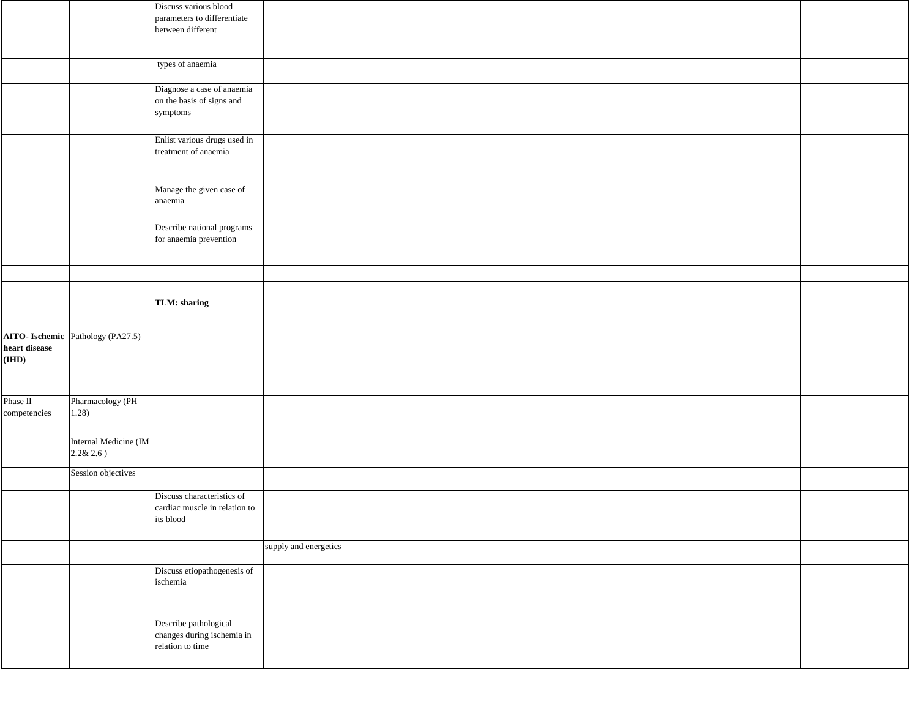|               |                                   | Discuss various blood                            |                       |  |  |  |
|---------------|-----------------------------------|--------------------------------------------------|-----------------------|--|--|--|
|               |                                   | parameters to differentiate<br>between different |                       |  |  |  |
|               |                                   |                                                  |                       |  |  |  |
|               |                                   |                                                  |                       |  |  |  |
|               |                                   | types of anaemia                                 |                       |  |  |  |
|               |                                   | Diagnose a case of anaemia                       |                       |  |  |  |
|               |                                   | on the basis of signs and<br>symptoms            |                       |  |  |  |
|               |                                   |                                                  |                       |  |  |  |
|               |                                   | Enlist various drugs used in                     |                       |  |  |  |
|               |                                   | treatment of anaemia                             |                       |  |  |  |
|               |                                   |                                                  |                       |  |  |  |
|               |                                   | Manage the given case of                         |                       |  |  |  |
|               |                                   | anaemia                                          |                       |  |  |  |
|               |                                   | Describe national programs                       |                       |  |  |  |
|               |                                   | for anaemia prevention                           |                       |  |  |  |
|               |                                   |                                                  |                       |  |  |  |
|               |                                   |                                                  |                       |  |  |  |
|               |                                   |                                                  |                       |  |  |  |
|               |                                   | TLM: sharing                                     |                       |  |  |  |
|               |                                   |                                                  |                       |  |  |  |
|               | AITO- Ischemic Pathology (PA27.5) |                                                  |                       |  |  |  |
| heart disease |                                   |                                                  |                       |  |  |  |
| (IHD)         |                                   |                                                  |                       |  |  |  |
|               |                                   |                                                  |                       |  |  |  |
| Phase II      | Pharmacology (PH                  |                                                  |                       |  |  |  |
| competencies  | 1.28)                             |                                                  |                       |  |  |  |
|               |                                   |                                                  |                       |  |  |  |
|               | Internal Medicine (IM             |                                                  |                       |  |  |  |
|               | $2.2&2.6$ )                       |                                                  |                       |  |  |  |
|               | Session objectives                |                                                  |                       |  |  |  |
|               |                                   | Discuss characteristics of                       |                       |  |  |  |
|               |                                   | cardiac muscle in relation to                    |                       |  |  |  |
|               |                                   | its blood                                        |                       |  |  |  |
|               |                                   |                                                  | supply and energetics |  |  |  |
|               |                                   |                                                  |                       |  |  |  |
|               |                                   | Discuss etiopathogenesis of<br>ischemia          |                       |  |  |  |
|               |                                   |                                                  |                       |  |  |  |
|               |                                   |                                                  |                       |  |  |  |
|               |                                   | Describe pathological                            |                       |  |  |  |
|               |                                   | changes during ischemia in<br>relation to time   |                       |  |  |  |
|               |                                   |                                                  |                       |  |  |  |
|               |                                   |                                                  |                       |  |  |  |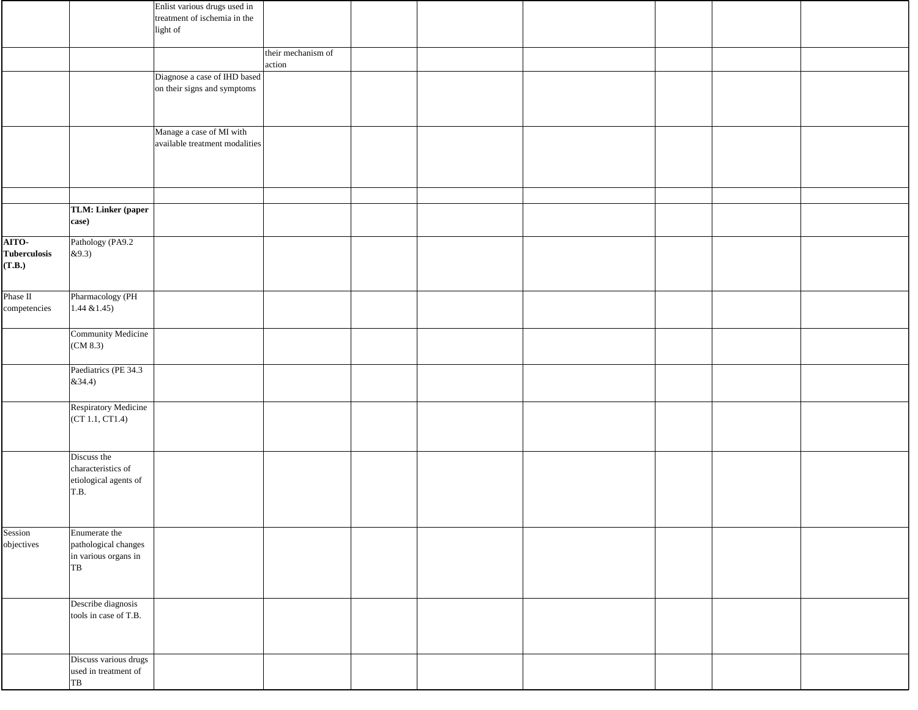|                     |                                              | Enlist various drugs used in   |                    |  |  |  |
|---------------------|----------------------------------------------|--------------------------------|--------------------|--|--|--|
|                     |                                              | treatment of ischemia in the   |                    |  |  |  |
|                     |                                              | light of                       |                    |  |  |  |
|                     |                                              |                                | their mechanism of |  |  |  |
|                     |                                              |                                | action             |  |  |  |
|                     |                                              | Diagnose a case of IHD based   |                    |  |  |  |
|                     |                                              | on their signs and symptoms    |                    |  |  |  |
|                     |                                              |                                |                    |  |  |  |
|                     |                                              |                                |                    |  |  |  |
|                     |                                              | Manage a case of MI with       |                    |  |  |  |
|                     |                                              | available treatment modalities |                    |  |  |  |
|                     |                                              |                                |                    |  |  |  |
|                     |                                              |                                |                    |  |  |  |
|                     |                                              |                                |                    |  |  |  |
|                     |                                              |                                |                    |  |  |  |
|                     | TLM: Linker (paper                           |                                |                    |  |  |  |
|                     | case)                                        |                                |                    |  |  |  |
| AITO-               | Pathology (PA9.2                             |                                |                    |  |  |  |
| <b>Tuberculosis</b> | &9.3)                                        |                                |                    |  |  |  |
| (T.B.)              |                                              |                                |                    |  |  |  |
|                     |                                              |                                |                    |  |  |  |
| Phase II            | Pharmacology (PH                             |                                |                    |  |  |  |
| competencies        | $1.44 \& 1.45$                               |                                |                    |  |  |  |
|                     |                                              |                                |                    |  |  |  |
|                     | Community Medicine                           |                                |                    |  |  |  |
|                     | $\left(\text{CM } 8.3\right)$                |                                |                    |  |  |  |
|                     |                                              |                                |                    |  |  |  |
|                     | Paediatrics (PE 34.3                         |                                |                    |  |  |  |
|                     | &34.4)                                       |                                |                    |  |  |  |
|                     | Respiratory Medicine                         |                                |                    |  |  |  |
|                     | (CT 1.1, CT1.4)                              |                                |                    |  |  |  |
|                     |                                              |                                |                    |  |  |  |
|                     |                                              |                                |                    |  |  |  |
|                     | Discuss the                                  |                                |                    |  |  |  |
|                     | characteristics of                           |                                |                    |  |  |  |
|                     | etiological agents of                        |                                |                    |  |  |  |
|                     | T.B.                                         |                                |                    |  |  |  |
|                     |                                              |                                |                    |  |  |  |
|                     |                                              |                                |                    |  |  |  |
| Session             | Enumerate the                                |                                |                    |  |  |  |
| objectives          | pathological changes<br>in various organs in |                                |                    |  |  |  |
|                     | TB                                           |                                |                    |  |  |  |
|                     |                                              |                                |                    |  |  |  |
|                     |                                              |                                |                    |  |  |  |
|                     | Describe diagnosis                           |                                |                    |  |  |  |
|                     | tools in case of T.B.                        |                                |                    |  |  |  |
|                     |                                              |                                |                    |  |  |  |
|                     |                                              |                                |                    |  |  |  |
|                     | Discuss various drugs                        |                                |                    |  |  |  |
|                     | used in treatment of                         |                                |                    |  |  |  |
|                     | TB                                           |                                |                    |  |  |  |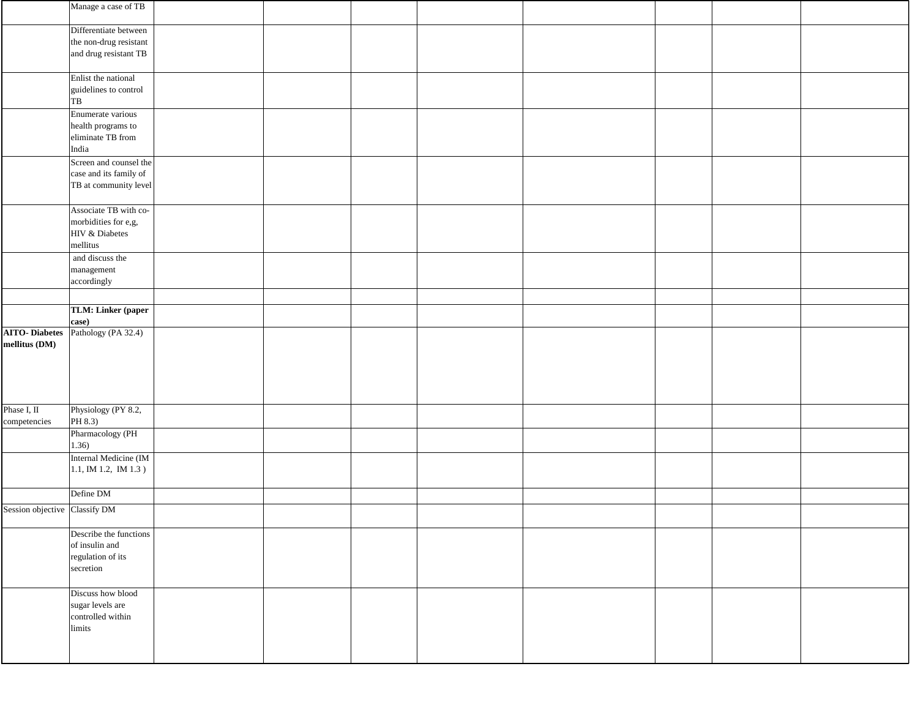|                                       | Manage a case of TB                                                         |  |  |  |
|---------------------------------------|-----------------------------------------------------------------------------|--|--|--|
|                                       | Differentiate between<br>the non-drug resistant<br>and drug resistant TB    |  |  |  |
|                                       | Enlist the national<br>guidelines to control<br>TB                          |  |  |  |
|                                       | Enumerate various<br>health programs to<br>eliminate TB from<br>India       |  |  |  |
|                                       | Screen and counsel the<br>case and its family of<br>TB at community level   |  |  |  |
|                                       | Associate TB with co-<br>morbidities for e,g,<br>HIV & Diabetes<br>mellitus |  |  |  |
|                                       | and discuss the<br>management<br>accordingly                                |  |  |  |
|                                       | TLM: Linker (paper<br>case)                                                 |  |  |  |
| <b>AITO-Diabetes</b><br>mellitus (DM) | Pathology (PA 32.4)                                                         |  |  |  |
| Phase I, II<br>competencies           | Physiology (PY 8.2,<br>PH 8.3)                                              |  |  |  |
|                                       | Pharmacology (PH<br>1.36)                                                   |  |  |  |
|                                       | Internal Medicine (IM<br>$1.1$ , IM 1.2, IM 1.3)                            |  |  |  |
| Session objective Classify DM         | Define DM                                                                   |  |  |  |
|                                       | Describe the functions<br>of insulin and<br>regulation of its<br>secretion  |  |  |  |
|                                       | Discuss how blood<br>sugar levels are<br>controlled within<br>limits        |  |  |  |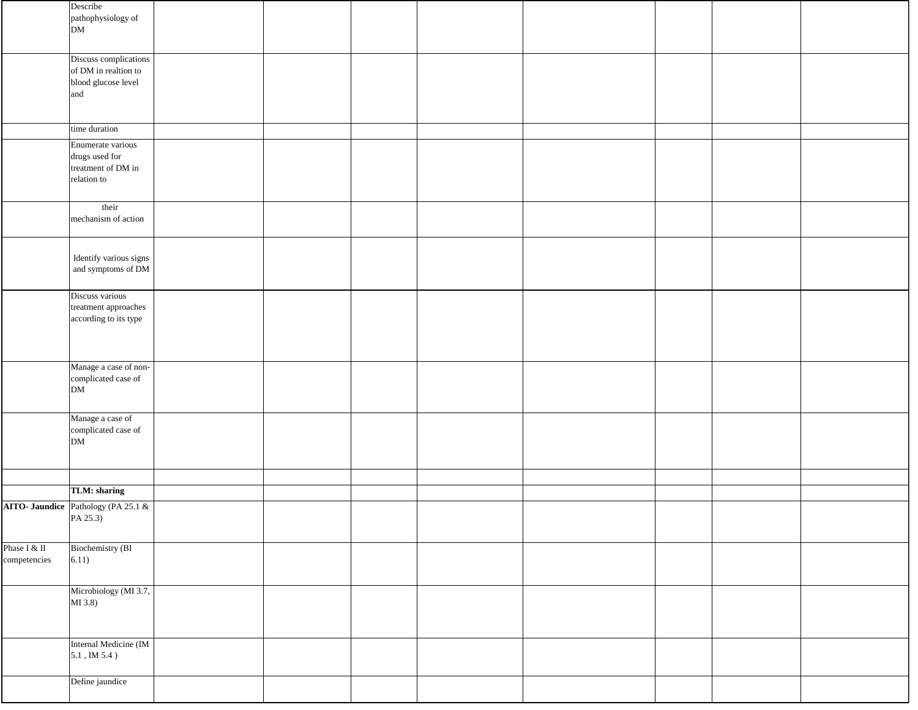|                              | Describe<br>pathophysiology of<br><b>DM</b>                                 |  |  |  |
|------------------------------|-----------------------------------------------------------------------------|--|--|--|
|                              | Discuss complications<br>of DM in realtion to<br>blood glucose level<br>and |  |  |  |
|                              | time duration                                                               |  |  |  |
|                              | Enumerate various<br>drugs used for<br>treatment of DM in<br>relation to    |  |  |  |
|                              | their<br>mechanism of action                                                |  |  |  |
|                              | Identify various signs<br>and symptoms of DM                                |  |  |  |
|                              | Discuss various<br>treatment approaches<br>according to its type            |  |  |  |
|                              | Manage a case of non-<br>complicated case of<br>DM                          |  |  |  |
|                              | Manage a case of<br>complicated case of<br>DM                               |  |  |  |
|                              |                                                                             |  |  |  |
|                              | TLM: sharing                                                                |  |  |  |
|                              | <b>AITO- Jaundice</b> Pathology (PA 25.1 &<br>$PA$ 25.3)                    |  |  |  |
| Phase I & II<br>competencies | Biochemistry (BI<br>6.11)                                                   |  |  |  |
|                              | Microbiology (MI 3.7,<br>MI(3.8)                                            |  |  |  |
|                              | Internal Medicine (IM<br>$5.1$ , IM $5.4$ )                                 |  |  |  |
|                              | Define jaundice                                                             |  |  |  |